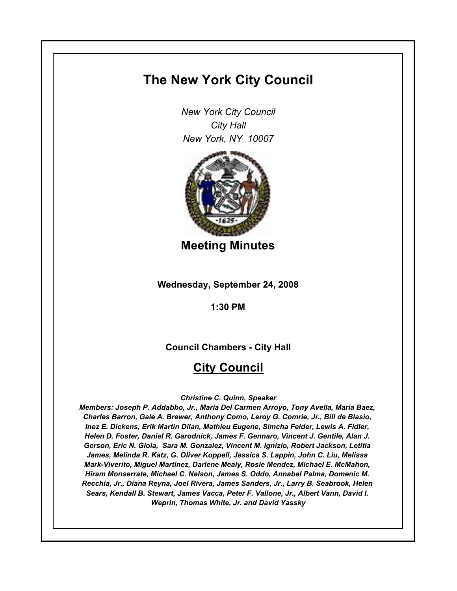# **The New York City Council**

*New York City Council City Hall New York, NY 10007*



**Meeting Minutes**

**Wednesday, September 24, 2008**

**1:30 PM**

**Council Chambers - City Hall**

# **City Council**

*Christine C. Quinn, Speaker*

*Members: Joseph P. Addabbo, Jr., Maria Del Carmen Arroyo, Tony Avella, Maria Baez, Charles Barron, Gale A. Brewer, Anthony Como, Leroy G. Comrie, Jr., Bill de Blasio, Inez E. Dickens, Erik Martin Dilan, Mathieu Eugene, Simcha Felder, Lewis A. Fidler, Helen D. Foster, Daniel R. Garodnick, James F. Gennaro, Vincent J. Gentile, Alan J. Gerson, Eric N. Gioia, Sara M. Gonzalez, Vincent M. Ignizio, Robert Jackson, Letitia James, Melinda R. Katz, G. Oliver Koppell, Jessica S. Lappin, John C. Liu, Melissa Mark-Viverito, Miguel Martinez, Darlene Mealy, Rosie Mendez, Michael E. McMahon, Hiram Monserrate, Michael C. Nelson, James S. Oddo, Annabel Palma, Domenic M. Recchia, Jr., Diana Reyna, Joel Rivera, James Sanders, Jr., Larry B. Seabrook, Helen Sears, Kendall B. Stewart, James Vacca, Peter F. Vallone, Jr., Albert Vann, David I. Weprin, Thomas White, Jr. and David Yassky*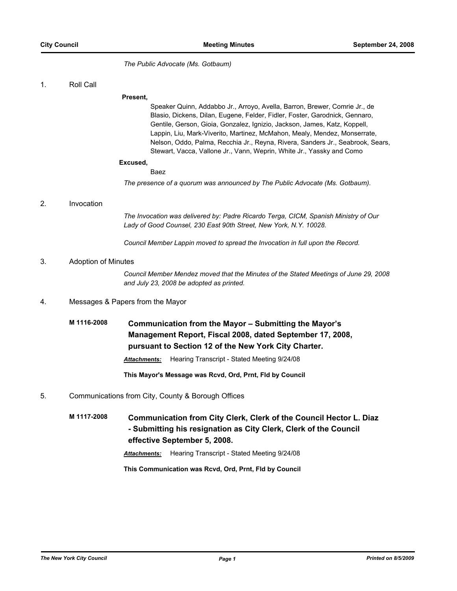*The Public Advocate (Ms. Gotbaum)*

1. Roll Call

#### **Present,**

Speaker Quinn, Addabbo Jr., Arroyo, Avella, Barron, Brewer, Comrie Jr., de Blasio, Dickens, Dilan, Eugene, Felder, Fidler, Foster, Garodnick, Gennaro, Gentile, Gerson, Gioia, Gonzalez, Ignizio, Jackson, James, Katz, Koppell, Lappin, Liu, Mark-Viverito, Martinez, McMahon, Mealy, Mendez, Monserrate, Nelson, Oddo, Palma, Recchia Jr., Reyna, Rivera, Sanders Jr., Seabrook, Sears, Stewart, Vacca, Vallone Jr., Vann, Weprin, White Jr., Yassky and Como

#### **Excused,**

```
Baez
```
*The presence of a quorum was announced by The Public Advocate (Ms. Gotbaum).*

#### 2. Invocation

*The Invocation was delivered by: Padre Ricardo Terga, CICM, Spanish Ministry of Our Lady of Good Counsel, 230 East 90th Street, New York, N.Y. 10028.*

*Council Member Lappin moved to spread the Invocation in full upon the Record.*

## 3. Adoption of Minutes

*Council Member Mendez moved that the Minutes of the Stated Meetings of June 29, 2008 and July 23, 2008 be adopted as printed.*

## 4. Messages & Papers from the Mayor

**M 1116-2008 Communication from the Mayor – Submitting the Mayor's Management Report, Fiscal 2008, dated September 17, 2008, pursuant to Section 12 of the New York City Charter.**

*Attachments:* Hearing Transcript - Stated Meeting 9/24/08

**This Mayor's Message was Rcvd, Ord, Prnt, Fld by Council**

## 5. Communications from City, County & Borough Offices

**M 1117-2008 Communication from City Clerk, Clerk of the Council Hector L. Diaz - Submitting his resignation as City Clerk, Clerk of the Council effective September 5, 2008.**

*Attachments:* Hearing Transcript - Stated Meeting 9/24/08

**This Communication was Rcvd, Ord, Prnt, Fld by Council**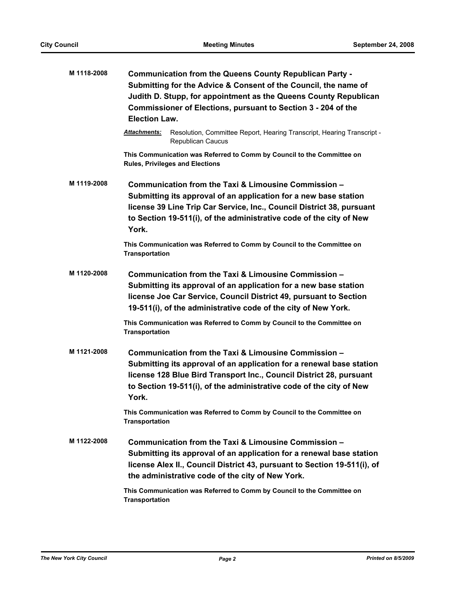| M 1118-2008 | Communication from the Queens County Republican Party -<br>Submitting for the Advice & Consent of the Council, the name of<br>Judith D. Stupp, for appointment as the Queens County Republican<br>Commissioner of Elections, pursuant to Section 3 - 204 of the<br><b>Election Law.</b> |
|-------------|-----------------------------------------------------------------------------------------------------------------------------------------------------------------------------------------------------------------------------------------------------------------------------------------|
|             | Attachments:<br>Resolution, Committee Report, Hearing Transcript, Hearing Transcript -<br>Republican Caucus                                                                                                                                                                             |
|             | This Communication was Referred to Comm by Council to the Committee on<br><b>Rules, Privileges and Elections</b>                                                                                                                                                                        |
| M 1119-2008 | Communication from the Taxi & Limousine Commission -<br>Submitting its approval of an application for a new base station<br>license 39 Line Trip Car Service, Inc., Council District 38, pursuant<br>to Section 19-511(i), of the administrative code of the city of New<br>York.       |
|             | This Communication was Referred to Comm by Council to the Committee on<br><b>Transportation</b>                                                                                                                                                                                         |
| M 1120-2008 | Communication from the Taxi & Limousine Commission -<br>Submitting its approval of an application for a new base station<br>license Joe Car Service, Council District 49, pursuant to Section<br>19-511(i), of the administrative code of the city of New York.                         |
|             | This Communication was Referred to Comm by Council to the Committee on<br>Transportation                                                                                                                                                                                                |
| M 1121-2008 | Communication from the Taxi & Limousine Commission -<br>Submitting its approval of an application for a renewal base station<br>license 128 Blue Bird Transport Inc., Council District 28, pursuant<br>to Section 19-511(i), of the administrative code of the city of New<br>York.     |
|             | This Communication was Referred to Comm by Council to the Committee on<br><b>Transportation</b>                                                                                                                                                                                         |
| M 1122-2008 | Communication from the Taxi & Limousine Commission -<br>Submitting its approval of an application for a renewal base station<br>license Alex II., Council District 43, pursuant to Section 19-511(i), of<br>the administrative code of the city of New York.                            |
|             | This Communication was Referred to Comm by Council to the Committee on<br><b>Transportation</b>                                                                                                                                                                                         |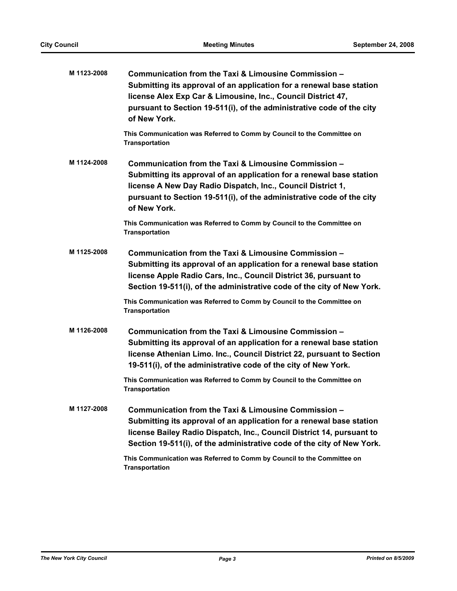| M 1123-2008 | Communication from the Taxi & Limousine Commission -<br>Submitting its approval of an application for a renewal base station<br>license Alex Exp Car & Limousine, Inc., Council District 47,<br>pursuant to Section 19-511(i), of the administrative code of the city<br>of New York. |
|-------------|---------------------------------------------------------------------------------------------------------------------------------------------------------------------------------------------------------------------------------------------------------------------------------------|
|             | This Communication was Referred to Comm by Council to the Committee on<br><b>Transportation</b>                                                                                                                                                                                       |
| M 1124-2008 | Communication from the Taxi & Limousine Commission -<br>Submitting its approval of an application for a renewal base station<br>license A New Day Radio Dispatch, Inc., Council District 1,<br>pursuant to Section 19-511(i), of the administrative code of the city<br>of New York.  |
|             | This Communication was Referred to Comm by Council to the Committee on<br><b>Transportation</b>                                                                                                                                                                                       |
| M 1125-2008 | Communication from the Taxi & Limousine Commission -<br>Submitting its approval of an application for a renewal base station<br>license Apple Radio Cars, Inc., Council District 36, pursuant to<br>Section 19-511(i), of the administrative code of the city of New York.            |
|             | This Communication was Referred to Comm by Council to the Committee on<br><b>Transportation</b>                                                                                                                                                                                       |
| M 1126-2008 | Communication from the Taxi & Limousine Commission -<br>Submitting its approval of an application for a renewal base station<br>license Athenian Limo. Inc., Council District 22, pursuant to Section<br>19-511(i), of the administrative code of the city of New York.               |
|             | This Communication was Referred to Comm by Council to the Committee on<br><b>Transportation</b>                                                                                                                                                                                       |
| M 1127-2008 | Communication from the Taxi & Limousine Commission -<br>Submitting its approval of an application for a renewal base station<br>license Bailey Radio Dispatch, Inc., Council District 14, pursuant to<br>Section 19-511(i), of the administrative code of the city of New York.       |
|             | This Communication was Referred to Comm by Council to the Committee on<br><b>Transportation</b>                                                                                                                                                                                       |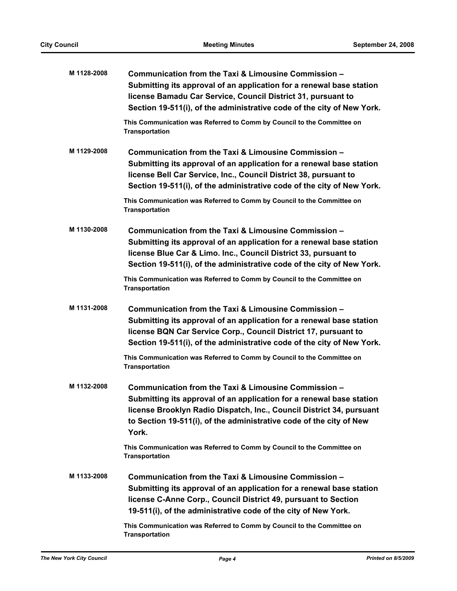| M 1128-2008 | Communication from the Taxi & Limousine Commission -<br>Submitting its approval of an application for a renewal base station<br>license Bamadu Car Service, Council District 31, pursuant to<br>Section 19-511(i), of the administrative code of the city of New York.               |
|-------------|--------------------------------------------------------------------------------------------------------------------------------------------------------------------------------------------------------------------------------------------------------------------------------------|
|             | This Communication was Referred to Comm by Council to the Committee on<br><b>Transportation</b>                                                                                                                                                                                      |
| M 1129-2008 | Communication from the Taxi & Limousine Commission -<br>Submitting its approval of an application for a renewal base station<br>license Bell Car Service, Inc., Council District 38, pursuant to<br>Section 19-511(i), of the administrative code of the city of New York.           |
|             | This Communication was Referred to Comm by Council to the Committee on<br><b>Transportation</b>                                                                                                                                                                                      |
| M 1130-2008 | Communication from the Taxi & Limousine Commission -<br>Submitting its approval of an application for a renewal base station<br>license Blue Car & Limo. Inc., Council District 33, pursuant to<br>Section 19-511(i), of the administrative code of the city of New York.            |
|             | This Communication was Referred to Comm by Council to the Committee on<br><b>Transportation</b>                                                                                                                                                                                      |
| M 1131-2008 | Communication from the Taxi & Limousine Commission -<br>Submitting its approval of an application for a renewal base station<br>license BQN Car Service Corp., Council District 17, pursuant to<br>Section 19-511(i), of the administrative code of the city of New York.            |
|             | This Communication was Referred to Comm by Council to the Committee on<br><b>Transportation</b>                                                                                                                                                                                      |
| M 1132-2008 | Communication from the Taxi & Limousine Commission -<br>Submitting its approval of an application for a renewal base station<br>license Brooklyn Radio Dispatch, Inc., Council District 34, pursuant<br>to Section 19-511(i), of the administrative code of the city of New<br>York. |
|             | This Communication was Referred to Comm by Council to the Committee on<br><b>Transportation</b>                                                                                                                                                                                      |
| M 1133-2008 | Communication from the Taxi & Limousine Commission -<br>Submitting its approval of an application for a renewal base station<br>license C-Anne Corp., Council District 49, pursuant to Section<br>19-511(i), of the administrative code of the city of New York.                     |
|             | This Communication was Referred to Comm by Council to the Committee on<br><b>Transportation</b>                                                                                                                                                                                      |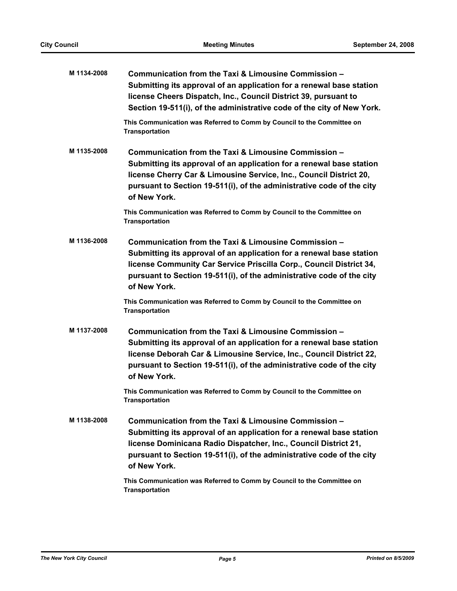| M 1134-2008 | Communication from the Taxi & Limousine Commission -<br>Submitting its approval of an application for a renewal base station<br>license Cheers Dispatch, Inc., Council District 39, pursuant to<br>Section 19-511(i), of the administrative code of the city of New York.                    |
|-------------|----------------------------------------------------------------------------------------------------------------------------------------------------------------------------------------------------------------------------------------------------------------------------------------------|
|             | This Communication was Referred to Comm by Council to the Committee on<br><b>Transportation</b>                                                                                                                                                                                              |
| M 1135-2008 | Communication from the Taxi & Limousine Commission -<br>Submitting its approval of an application for a renewal base station<br>license Cherry Car & Limousine Service, Inc., Council District 20,<br>pursuant to Section 19-511(i), of the administrative code of the city<br>of New York.  |
|             | This Communication was Referred to Comm by Council to the Committee on<br><b>Transportation</b>                                                                                                                                                                                              |
| M 1136-2008 | Communication from the Taxi & Limousine Commission -<br>Submitting its approval of an application for a renewal base station<br>license Community Car Service Priscilla Corp., Council District 34,<br>pursuant to Section 19-511(i), of the administrative code of the city<br>of New York. |
|             | This Communication was Referred to Comm by Council to the Committee on<br><b>Transportation</b>                                                                                                                                                                                              |
| M 1137-2008 | Communication from the Taxi & Limousine Commission -<br>Submitting its approval of an application for a renewal base station<br>license Deborah Car & Limousine Service, Inc., Council District 22,<br>pursuant to Section 19-511(i), of the administrative code of the city<br>of New York. |
|             | This Communication was Referred to Comm by Council to the Committee on<br>Transportation                                                                                                                                                                                                     |
| M 1138-2008 | Communication from the Taxi & Limousine Commission -<br>Submitting its approval of an application for a renewal base station<br>license Dominicana Radio Dispatcher, Inc., Council District 21,<br>pursuant to Section 19-511(i), of the administrative code of the city<br>of New York.     |
|             | This Communication was Referred to Comm by Council to the Committee on<br>Transportation                                                                                                                                                                                                     |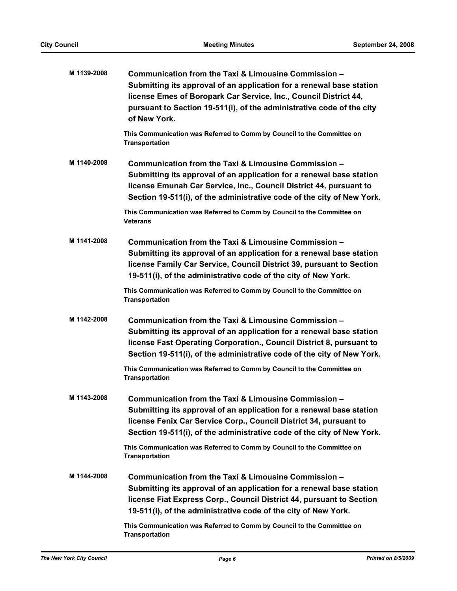| M 1139-2008 | Communication from the Taxi & Limousine Commission -<br>Submitting its approval of an application for a renewal base station<br>license Emes of Boropark Car Service, Inc., Council District 44,<br>pursuant to Section 19-511(i), of the administrative code of the city<br>of New York. |
|-------------|-------------------------------------------------------------------------------------------------------------------------------------------------------------------------------------------------------------------------------------------------------------------------------------------|
|             | This Communication was Referred to Comm by Council to the Committee on<br><b>Transportation</b>                                                                                                                                                                                           |
| M 1140-2008 | Communication from the Taxi & Limousine Commission -<br>Submitting its approval of an application for a renewal base station<br>license Emunah Car Service, Inc., Council District 44, pursuant to<br>Section 19-511(i), of the administrative code of the city of New York.              |
|             | This Communication was Referred to Comm by Council to the Committee on<br>Veterans                                                                                                                                                                                                        |
| M 1141-2008 | Communication from the Taxi & Limousine Commission -<br>Submitting its approval of an application for a renewal base station<br>license Family Car Service, Council District 39, pursuant to Section<br>19-511(i), of the administrative code of the city of New York.                    |
|             | This Communication was Referred to Comm by Council to the Committee on<br><b>Transportation</b>                                                                                                                                                                                           |
| M 1142-2008 | Communication from the Taxi & Limousine Commission -<br>Submitting its approval of an application for a renewal base station<br>license Fast Operating Corporation., Council District 8, pursuant to<br>Section 19-511(i), of the administrative code of the city of New York.            |
|             | This Communication was Referred to Comm by Council to the Committee on<br><b>Transportation</b>                                                                                                                                                                                           |
| M 1143-2008 | Communication from the Taxi & Limousine Commission -<br>Submitting its approval of an application for a renewal base station<br>license Fenix Car Service Corp., Council District 34, pursuant to<br>Section 19-511(i), of the administrative code of the city of New York.               |
|             | This Communication was Referred to Comm by Council to the Committee on<br><b>Transportation</b>                                                                                                                                                                                           |
| M 1144-2008 | Communication from the Taxi & Limousine Commission -<br>Submitting its approval of an application for a renewal base station<br>license Fiat Express Corp., Council District 44, pursuant to Section<br>19-511(i), of the administrative code of the city of New York.                    |
|             | This Communication was Referred to Comm by Council to the Committee on<br><b>Transportation</b>                                                                                                                                                                                           |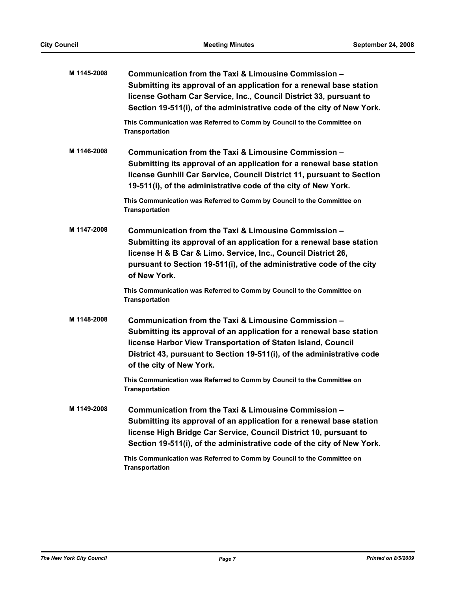| M 1145-2008 | Communication from the Taxi & Limousine Commission -<br>Submitting its approval of an application for a renewal base station<br>license Gotham Car Service, Inc., Council District 33, pursuant to<br>Section 19-511(i), of the administrative code of the city of New York.                       |
|-------------|----------------------------------------------------------------------------------------------------------------------------------------------------------------------------------------------------------------------------------------------------------------------------------------------------|
|             | This Communication was Referred to Comm by Council to the Committee on<br>Transportation                                                                                                                                                                                                           |
| M 1146-2008 | Communication from the Taxi & Limousine Commission -<br>Submitting its approval of an application for a renewal base station<br>license Gunhill Car Service, Council District 11, pursuant to Section<br>19-511(i), of the administrative code of the city of New York.                            |
|             | This Communication was Referred to Comm by Council to the Committee on<br><b>Transportation</b>                                                                                                                                                                                                    |
| M 1147-2008 | Communication from the Taxi & Limousine Commission -<br>Submitting its approval of an application for a renewal base station<br>license H & B Car & Limo. Service, Inc., Council District 26,<br>pursuant to Section 19-511(i), of the administrative code of the city<br>of New York.             |
|             | This Communication was Referred to Comm by Council to the Committee on<br><b>Transportation</b>                                                                                                                                                                                                    |
| M 1148-2008 | Communication from the Taxi & Limousine Commission -<br>Submitting its approval of an application for a renewal base station<br>license Harbor View Transportation of Staten Island, Council<br>District 43, pursuant to Section 19-511(i), of the administrative code<br>of the city of New York. |
|             | This Communication was Referred to Comm by Council to the Committee on<br><b>Transportation</b>                                                                                                                                                                                                    |
| M 1149-2008 | Communication from the Taxi & Limousine Commission -<br>Submitting its approval of an application for a renewal base station<br>license High Bridge Car Service, Council District 10, pursuant to<br>Section 19-511(i), of the administrative code of the city of New York.                        |
|             | This Communication was Referred to Comm by Council to the Committee on<br><b>Transportation</b>                                                                                                                                                                                                    |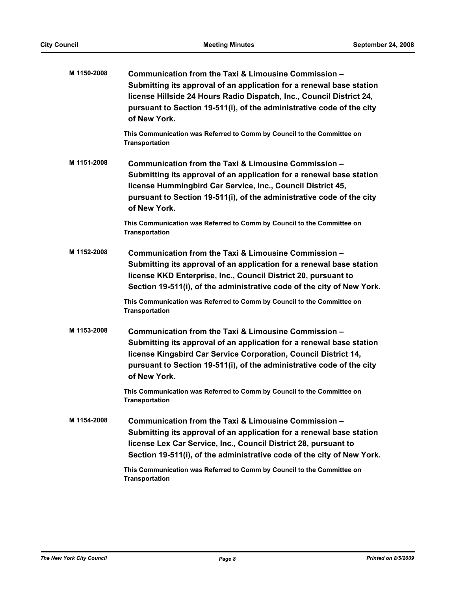| M 1150-2008 | Communication from the Taxi & Limousine Commission -<br>Submitting its approval of an application for a renewal base station<br>license Hillside 24 Hours Radio Dispatch, Inc., Council District 24,<br>pursuant to Section 19-511(i), of the administrative code of the city<br>of New York. |
|-------------|-----------------------------------------------------------------------------------------------------------------------------------------------------------------------------------------------------------------------------------------------------------------------------------------------|
|             | This Communication was Referred to Comm by Council to the Committee on<br><b>Transportation</b>                                                                                                                                                                                               |
| M 1151-2008 | Communication from the Taxi & Limousine Commission -<br>Submitting its approval of an application for a renewal base station<br>license Hummingbird Car Service, Inc., Council District 45,<br>pursuant to Section 19-511(i), of the administrative code of the city<br>of New York.          |
|             | This Communication was Referred to Comm by Council to the Committee on<br><b>Transportation</b>                                                                                                                                                                                               |
| M 1152-2008 | Communication from the Taxi & Limousine Commission -<br>Submitting its approval of an application for a renewal base station<br>license KKD Enterprise, Inc., Council District 20, pursuant to<br>Section 19-511(i), of the administrative code of the city of New York.                      |
|             | This Communication was Referred to Comm by Council to the Committee on<br><b>Transportation</b>                                                                                                                                                                                               |
| M 1153-2008 | Communication from the Taxi & Limousine Commission -<br>Submitting its approval of an application for a renewal base station<br>license Kingsbird Car Service Corporation, Council District 14,<br>pursuant to Section 19-511(i), of the administrative code of the city<br>of New York.      |
|             | This Communication was Referred to Comm by Council to the Committee on<br>Transportation                                                                                                                                                                                                      |
| M 1154-2008 | Communication from the Taxi & Limousine Commission -<br>Submitting its approval of an application for a renewal base station<br>license Lex Car Service, Inc., Council District 28, pursuant to<br>Section 19-511(i), of the administrative code of the city of New York.                     |
|             | This Communication was Referred to Comm by Council to the Committee on<br><b>Transportation</b>                                                                                                                                                                                               |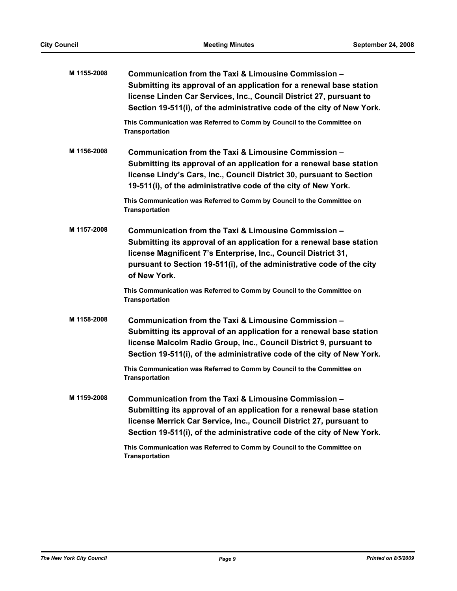| M 1155-2008 | Communication from the Taxi & Limousine Commission -<br>Submitting its approval of an application for a renewal base station<br>license Linden Car Services, Inc., Council District 27, pursuant to<br>Section 19-511(i), of the administrative code of the city of New York.           |
|-------------|-----------------------------------------------------------------------------------------------------------------------------------------------------------------------------------------------------------------------------------------------------------------------------------------|
|             | This Communication was Referred to Comm by Council to the Committee on<br><b>Transportation</b>                                                                                                                                                                                         |
| M 1156-2008 | Communication from the Taxi & Limousine Commission -<br>Submitting its approval of an application for a renewal base station<br>license Lindy's Cars, Inc., Council District 30, pursuant to Section<br>19-511(i), of the administrative code of the city of New York.                  |
|             | This Communication was Referred to Comm by Council to the Committee on<br><b>Transportation</b>                                                                                                                                                                                         |
| M 1157-2008 | Communication from the Taxi & Limousine Commission -<br>Submitting its approval of an application for a renewal base station<br>license Magnificent 7's Enterprise, Inc., Council District 31,<br>pursuant to Section 19-511(i), of the administrative code of the city<br>of New York. |
|             | This Communication was Referred to Comm by Council to the Committee on<br><b>Transportation</b>                                                                                                                                                                                         |
| M 1158-2008 | Communication from the Taxi & Limousine Commission -<br>Submitting its approval of an application for a renewal base station<br>license Malcolm Radio Group, Inc., Council District 9, pursuant to<br>Section 19-511(i), of the administrative code of the city of New York.            |
|             | This Communication was Referred to Comm by Council to the Committee on<br><b>Transportation</b>                                                                                                                                                                                         |
| M 1159-2008 | Communication from the Taxi & Limousine Commission -<br>Submitting its approval of an application for a renewal base station<br>license Merrick Car Service, Inc., Council District 27, pursuant to<br>Section 19-511(i), of the administrative code of the city of New York.           |
|             | This Communication was Referred to Comm by Council to the Committee on<br><b>Transportation</b>                                                                                                                                                                                         |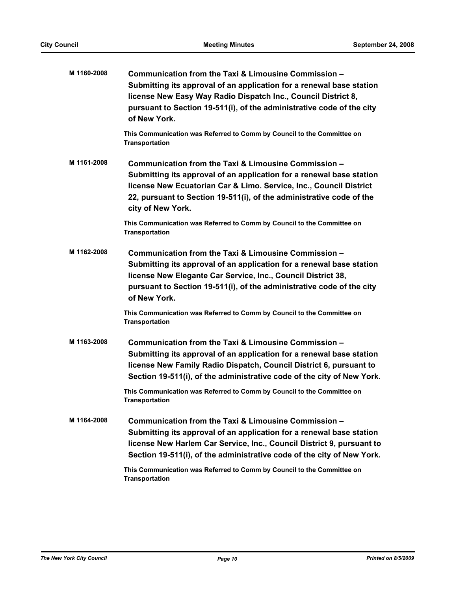| M 1160-2008 | Communication from the Taxi & Limousine Commission -<br>Submitting its approval of an application for a renewal base station<br>license New Easy Way Radio Dispatch Inc., Council District 8,<br>pursuant to Section 19-511(i), of the administrative code of the city<br>of New York.          |
|-------------|-------------------------------------------------------------------------------------------------------------------------------------------------------------------------------------------------------------------------------------------------------------------------------------------------|
|             | This Communication was Referred to Comm by Council to the Committee on<br><b>Transportation</b>                                                                                                                                                                                                 |
| M 1161-2008 | Communication from the Taxi & Limousine Commission -<br>Submitting its approval of an application for a renewal base station<br>license New Ecuatorian Car & Limo. Service, Inc., Council District<br>22, pursuant to Section 19-511(i), of the administrative code of the<br>city of New York. |
|             | This Communication was Referred to Comm by Council to the Committee on<br><b>Transportation</b>                                                                                                                                                                                                 |
| M 1162-2008 | Communication from the Taxi & Limousine Commission -<br>Submitting its approval of an application for a renewal base station<br>license New Elegante Car Service, Inc., Council District 38,<br>pursuant to Section 19-511(i), of the administrative code of the city<br>of New York.           |
|             | This Communication was Referred to Comm by Council to the Committee on<br><b>Transportation</b>                                                                                                                                                                                                 |
| M 1163-2008 | Communication from the Taxi & Limousine Commission -<br>Submitting its approval of an application for a renewal base station<br>license New Family Radio Dispatch, Council District 6, pursuant to<br>Section 19-511(i), of the administrative code of the city of New York.                    |
|             | This Communication was Referred to Comm by Council to the Committee on<br><b>Transportation</b>                                                                                                                                                                                                 |
| M 1164-2008 | Communication from the Taxi & Limousine Commission -<br>Submitting its approval of an application for a renewal base station<br>license New Harlem Car Service, Inc., Council District 9, pursuant to<br>Section 19-511(i), of the administrative code of the city of New York.                 |
|             | This Communication was Referred to Comm by Council to the Committee on<br><b>Transportation</b>                                                                                                                                                                                                 |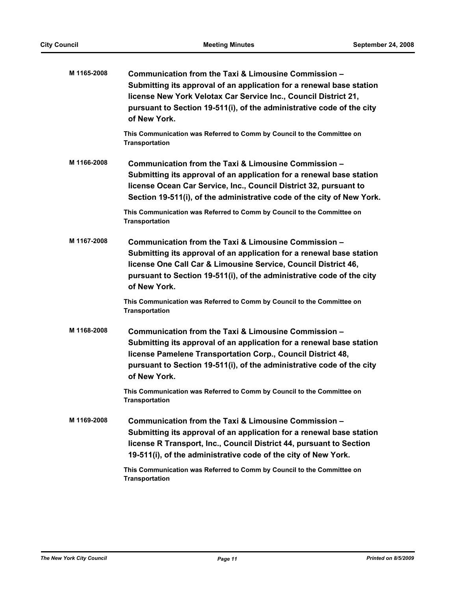| M 1165-2008 | Communication from the Taxi & Limousine Commission -<br>Submitting its approval of an application for a renewal base station<br>license New York Velotax Car Service Inc., Council District 21,<br>pursuant to Section 19-511(i), of the administrative code of the city<br>of New York. |
|-------------|------------------------------------------------------------------------------------------------------------------------------------------------------------------------------------------------------------------------------------------------------------------------------------------|
|             | This Communication was Referred to Comm by Council to the Committee on<br><b>Transportation</b>                                                                                                                                                                                          |
| M 1166-2008 | Communication from the Taxi & Limousine Commission -<br>Submitting its approval of an application for a renewal base station<br>license Ocean Car Service, Inc., Council District 32, pursuant to<br>Section 19-511(i), of the administrative code of the city of New York.              |
|             | This Communication was Referred to Comm by Council to the Committee on<br><b>Transportation</b>                                                                                                                                                                                          |
| M 1167-2008 | Communication from the Taxi & Limousine Commission -<br>Submitting its approval of an application for a renewal base station<br>license One Call Car & Limousine Service, Council District 46,<br>pursuant to Section 19-511(i), of the administrative code of the city<br>of New York.  |
|             | This Communication was Referred to Comm by Council to the Committee on<br><b>Transportation</b>                                                                                                                                                                                          |
| M 1168-2008 | Communication from the Taxi & Limousine Commission -<br>Submitting its approval of an application for a renewal base station<br>license Pamelene Transportation Corp., Council District 48,<br>pursuant to Section 19-511(i), of the administrative code of the city<br>of New York.     |
|             | This Communication was Referred to Comm by Council to the Committee on<br>Transportation                                                                                                                                                                                                 |
| M 1169-2008 | Communication from the Taxi & Limousine Commission -<br>Submitting its approval of an application for a renewal base station<br>license R Transport, Inc., Council District 44, pursuant to Section<br>19-511(i), of the administrative code of the city of New York.                    |
|             | This Communication was Referred to Comm by Council to the Committee on<br><b>Transportation</b>                                                                                                                                                                                          |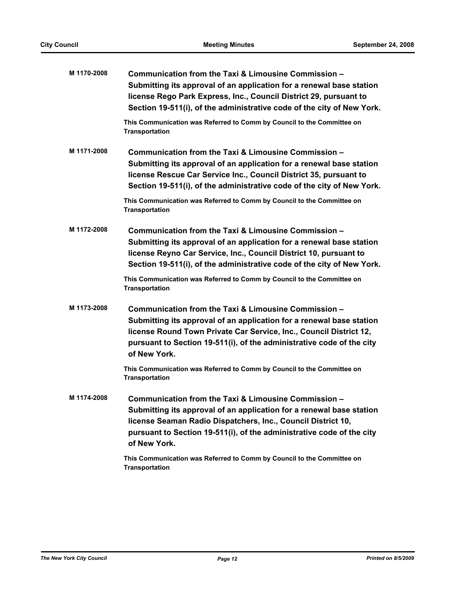| M 1170-2008 | Communication from the Taxi & Limousine Commission -<br>Submitting its approval of an application for a renewal base station<br>license Rego Park Express, Inc., Council District 29, pursuant to<br>Section 19-511(i), of the administrative code of the city of New York.                 |
|-------------|---------------------------------------------------------------------------------------------------------------------------------------------------------------------------------------------------------------------------------------------------------------------------------------------|
|             | This Communication was Referred to Comm by Council to the Committee on<br><b>Transportation</b>                                                                                                                                                                                             |
| M 1171-2008 | Communication from the Taxi & Limousine Commission -<br>Submitting its approval of an application for a renewal base station<br>license Rescue Car Service Inc., Council District 35, pursuant to<br>Section 19-511(i), of the administrative code of the city of New York.                 |
|             | This Communication was Referred to Comm by Council to the Committee on<br><b>Transportation</b>                                                                                                                                                                                             |
| M 1172-2008 | Communication from the Taxi & Limousine Commission -<br>Submitting its approval of an application for a renewal base station<br>license Reyno Car Service, Inc., Council District 10, pursuant to<br>Section 19-511(i), of the administrative code of the city of New York.                 |
|             | This Communication was Referred to Comm by Council to the Committee on<br><b>Transportation</b>                                                                                                                                                                                             |
| M 1173-2008 | Communication from the Taxi & Limousine Commission -<br>Submitting its approval of an application for a renewal base station<br>license Round Town Private Car Service, Inc., Council District 12,<br>pursuant to Section 19-511(i), of the administrative code of the city<br>of New York. |
|             | This Communication was Referred to Comm by Council to the Committee on<br><b>Transportation</b>                                                                                                                                                                                             |
| M 1174-2008 | Communication from the Taxi & Limousine Commission -<br>Submitting its approval of an application for a renewal base station<br>license Seaman Radio Dispatchers, Inc., Council District 10,<br>pursuant to Section 19-511(i), of the administrative code of the city<br>of New York.       |
|             | This Communication was Referred to Comm by Council to the Committee on<br><b>Transportation</b>                                                                                                                                                                                             |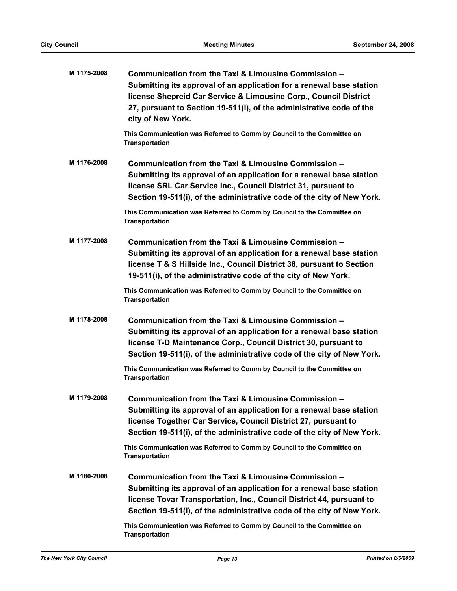| M 1175-2008 | Communication from the Taxi & Limousine Commission -<br>Submitting its approval of an application for a renewal base station<br>license Shepreid Car Service & Limousine Corp., Council District<br>27, pursuant to Section 19-511(i), of the administrative code of the<br>city of New York. |
|-------------|-----------------------------------------------------------------------------------------------------------------------------------------------------------------------------------------------------------------------------------------------------------------------------------------------|
|             | This Communication was Referred to Comm by Council to the Committee on<br><b>Transportation</b>                                                                                                                                                                                               |
| M 1176-2008 | Communication from the Taxi & Limousine Commission -<br>Submitting its approval of an application for a renewal base station<br>license SRL Car Service Inc., Council District 31, pursuant to<br>Section 19-511(i), of the administrative code of the city of New York.                      |
|             | This Communication was Referred to Comm by Council to the Committee on<br><b>Transportation</b>                                                                                                                                                                                               |
| M 1177-2008 | Communication from the Taxi & Limousine Commission -<br>Submitting its approval of an application for a renewal base station<br>license T & S Hillside Inc., Council District 38, pursuant to Section<br>19-511(i), of the administrative code of the city of New York.                       |
|             | This Communication was Referred to Comm by Council to the Committee on<br><b>Transportation</b>                                                                                                                                                                                               |
| M 1178-2008 | Communication from the Taxi & Limousine Commission -<br>Submitting its approval of an application for a renewal base station<br>license T-D Maintenance Corp., Council District 30, pursuant to<br>Section 19-511(i), of the administrative code of the city of New York.                     |
|             | This Communication was Referred to Comm by Council to the Committee on<br><b>Transportation</b>                                                                                                                                                                                               |
| M 1179-2008 | Communication from the Taxi & Limousine Commission -<br>Submitting its approval of an application for a renewal base station<br>license Together Car Service, Council District 27, pursuant to<br>Section 19-511(i), of the administrative code of the city of New York.                      |
|             | This Communication was Referred to Comm by Council to the Committee on<br><b>Transportation</b>                                                                                                                                                                                               |
| M 1180-2008 | Communication from the Taxi & Limousine Commission -<br>Submitting its approval of an application for a renewal base station<br>license Tovar Transportation, Inc., Council District 44, pursuant to<br>Section 19-511(i), of the administrative code of the city of New York.                |
|             | This Communication was Referred to Comm by Council to the Committee on<br><b>Transportation</b>                                                                                                                                                                                               |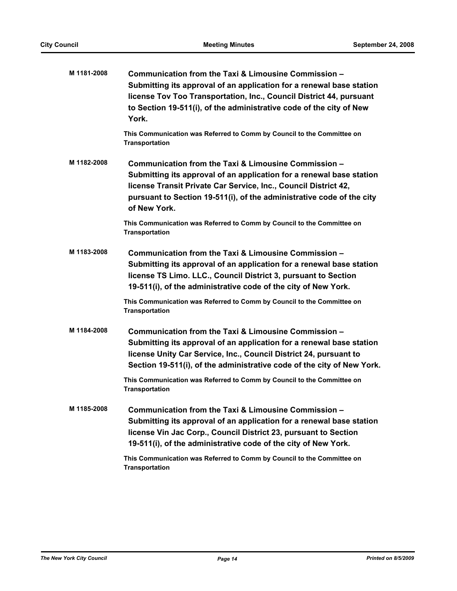| M 1181-2008 | Communication from the Taxi & Limousine Commission -<br>Submitting its approval of an application for a renewal base station<br>license Tov Too Transportation, Inc., Council District 44, pursuant<br>to Section 19-511(i), of the administrative code of the city of New<br>York.      |
|-------------|------------------------------------------------------------------------------------------------------------------------------------------------------------------------------------------------------------------------------------------------------------------------------------------|
|             | This Communication was Referred to Comm by Council to the Committee on<br><b>Transportation</b>                                                                                                                                                                                          |
| M 1182-2008 | Communication from the Taxi & Limousine Commission -<br>Submitting its approval of an application for a renewal base station<br>license Transit Private Car Service, Inc., Council District 42,<br>pursuant to Section 19-511(i), of the administrative code of the city<br>of New York. |
|             | This Communication was Referred to Comm by Council to the Committee on<br><b>Transportation</b>                                                                                                                                                                                          |
| M 1183-2008 | Communication from the Taxi & Limousine Commission -<br>Submitting its approval of an application for a renewal base station<br>license TS Limo. LLC., Council District 3, pursuant to Section<br>19-511(i), of the administrative code of the city of New York.                         |
|             | This Communication was Referred to Comm by Council to the Committee on<br><b>Transportation</b>                                                                                                                                                                                          |
| M 1184-2008 | Communication from the Taxi & Limousine Commission -<br>Submitting its approval of an application for a renewal base station<br>license Unity Car Service, Inc., Council District 24, pursuant to<br>Section 19-511(i), of the administrative code of the city of New York.              |
|             | This Communication was Referred to Comm by Council to the Committee on<br><b>Transportation</b>                                                                                                                                                                                          |
| M 1185-2008 | Communication from the Taxi & Limousine Commission -<br>Submitting its approval of an application for a renewal base station<br>license Vin Jac Corp., Council District 23, pursuant to Section<br>19-511(i), of the administrative code of the city of New York.                        |
|             | This Communication was Referred to Comm by Council to the Committee on<br><b>Transportation</b>                                                                                                                                                                                          |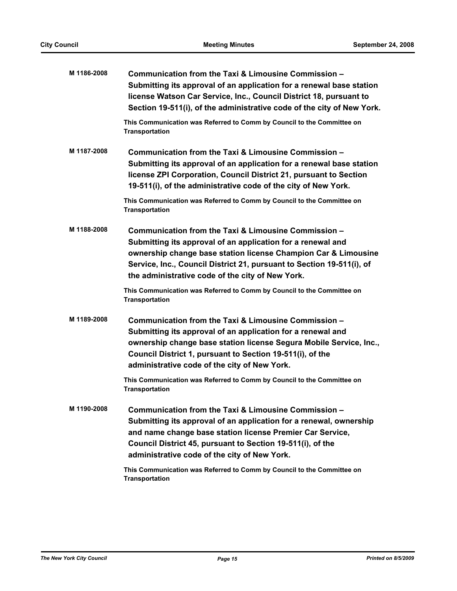| M 1186-2008 | Communication from the Taxi & Limousine Commission -<br>Submitting its approval of an application for a renewal base station<br>license Watson Car Service, Inc., Council District 18, pursuant to<br>Section 19-511(i), of the administrative code of the city of New York.                                       |
|-------------|--------------------------------------------------------------------------------------------------------------------------------------------------------------------------------------------------------------------------------------------------------------------------------------------------------------------|
|             | This Communication was Referred to Comm by Council to the Committee on<br><b>Transportation</b>                                                                                                                                                                                                                    |
| M 1187-2008 | Communication from the Taxi & Limousine Commission -<br>Submitting its approval of an application for a renewal base station<br>license ZPI Corporation, Council District 21, pursuant to Section<br>19-511(i), of the administrative code of the city of New York.                                                |
|             | This Communication was Referred to Comm by Council to the Committee on<br><b>Transportation</b>                                                                                                                                                                                                                    |
| M 1188-2008 | Communication from the Taxi & Limousine Commission -<br>Submitting its approval of an application for a renewal and<br>ownership change base station license Champion Car & Limousine<br>Service, Inc., Council District 21, pursuant to Section 19-511(i), of<br>the administrative code of the city of New York. |
|             | This Communication was Referred to Comm by Council to the Committee on<br><b>Transportation</b>                                                                                                                                                                                                                    |
| M 1189-2008 | Communication from the Taxi & Limousine Commission -<br>Submitting its approval of an application for a renewal and<br>ownership change base station license Segura Mobile Service, Inc.,<br>Council District 1, pursuant to Section 19-511(i), of the<br>administrative code of the city of New York.             |
|             | This Communication was Referred to Comm by Council to the Committee on<br><b>Transportation</b>                                                                                                                                                                                                                    |
| M 1190-2008 | Communication from the Taxi & Limousine Commission -<br>Submitting its approval of an application for a renewal, ownership<br>and name change base station license Premier Car Service,<br>Council District 45, pursuant to Section 19-511(i), of the<br>administrative code of the city of New York.              |
|             | This Communication was Referred to Comm by Council to the Committee on                                                                                                                                                                                                                                             |

**Transportation**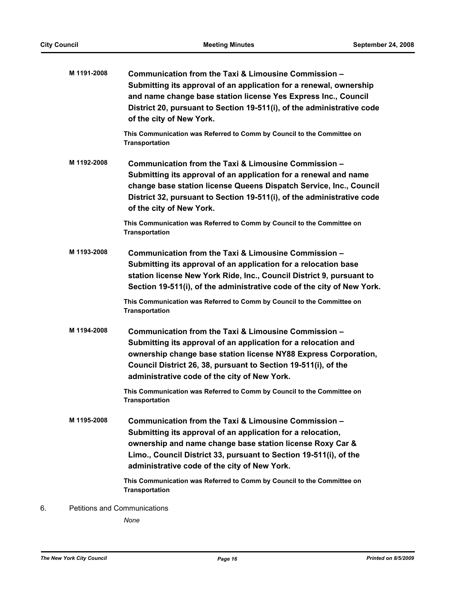|    | M 1191-2008 | Communication from the Taxi & Limousine Commission -<br>Submitting its approval of an application for a renewal, ownership<br>and name change base station license Yes Express Inc., Council<br>District 20, pursuant to Section 19-511(i), of the administrative code<br>of the city of New York.          |
|----|-------------|-------------------------------------------------------------------------------------------------------------------------------------------------------------------------------------------------------------------------------------------------------------------------------------------------------------|
|    |             | This Communication was Referred to Comm by Council to the Committee on<br><b>Transportation</b>                                                                                                                                                                                                             |
|    | M 1192-2008 | Communication from the Taxi & Limousine Commission -<br>Submitting its approval of an application for a renewal and name<br>change base station license Queens Dispatch Service, Inc., Council<br>District 32, pursuant to Section 19-511(i), of the administrative code<br>of the city of New York.        |
|    |             | This Communication was Referred to Comm by Council to the Committee on<br><b>Transportation</b>                                                                                                                                                                                                             |
|    | M 1193-2008 | Communication from the Taxi & Limousine Commission -<br>Submitting its approval of an application for a relocation base<br>station license New York Ride, Inc., Council District 9, pursuant to<br>Section 19-511(i), of the administrative code of the city of New York.                                   |
|    |             | This Communication was Referred to Comm by Council to the Committee on<br><b>Transportation</b>                                                                                                                                                                                                             |
|    | M 1194-2008 | Communication from the Taxi & Limousine Commission -<br>Submitting its approval of an application for a relocation and<br>ownership change base station license NY88 Express Corporation,<br>Council District 26, 38, pursuant to Section 19-511(i), of the<br>administrative code of the city of New York. |
|    |             | This Communication was Referred to Comm by Council to the Committee on<br><b>Transportation</b>                                                                                                                                                                                                             |
|    | M 1195-2008 | Communication from the Taxi & Limousine Commission -<br>Submitting its approval of an application for a relocation,<br>ownership and name change base station license Roxy Car &<br>Limo., Council District 33, pursuant to Section 19-511(i), of the<br>administrative code of the city of New York.       |
|    |             | This Communication was Referred to Comm by Council to the Committee on<br><b>Transportation</b>                                                                                                                                                                                                             |
| 6. |             | <b>Petitions and Communications</b>                                                                                                                                                                                                                                                                         |

*None*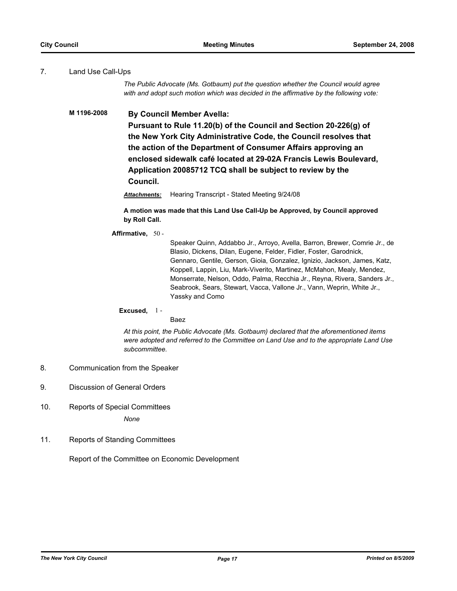## 7. Land Use Call-Ups

*The Public Advocate (Ms. Gotbaum) put the question whether the Council would agree with and adopt such motion which was decided in the affirmative by the following vote:*

## **M 1196-2008 By Council Member Avella:**

**Pursuant to Rule 11.20(b) of the Council and Section 20-226(g) of the New York City Administrative Code, the Council resolves that the action of the Department of Consumer Affairs approving an enclosed sidewalk café located at 29-02A Francis Lewis Boulevard, Application 20085712 TCQ shall be subject to review by the Council.**

*Attachments:* Hearing Transcript - Stated Meeting 9/24/08

**A motion was made that this Land Use Call-Up be Approved, by Council approved by Roll Call.**

**Affirmative,** 50 -

Speaker Quinn, Addabbo Jr., Arroyo, Avella, Barron, Brewer, Comrie Jr., de Blasio, Dickens, Dilan, Eugene, Felder, Fidler, Foster, Garodnick, Gennaro, Gentile, Gerson, Gioia, Gonzalez, Ignizio, Jackson, James, Katz, Koppell, Lappin, Liu, Mark-Viverito, Martinez, McMahon, Mealy, Mendez, Monserrate, Nelson, Oddo, Palma, Recchia Jr., Reyna, Rivera, Sanders Jr., Seabrook, Sears, Stewart, Vacca, Vallone Jr., Vann, Weprin, White Jr., Yassky and Como

#### **Excused,** 1 -

Baez

*At this point, the Public Advocate (Ms. Gotbaum) declared that the aforementioned items were adopted and referred to the Committee on Land Use and to the appropriate Land Use subcommittee.*

- 8. Communication from the Speaker
- 9. Discussion of General Orders
- 10. Reports of Special Committees

*None*

11. Reports of Standing Committees

Report of the Committee on Economic Development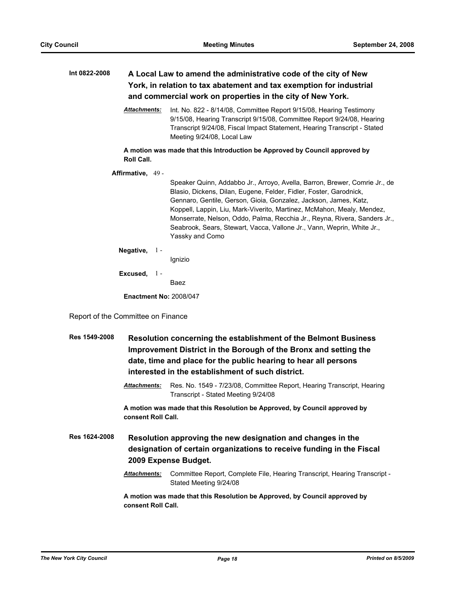| Int 0822-2008<br>A Local Law to amend the administrative code of the city of New<br>York, in relation to tax abatement and tax exemption for industrial<br>and commercial work on properties in the city of New York. |                     |                                                                                                                                                                                                                                                                                                                                                                                                                                                                          |
|-----------------------------------------------------------------------------------------------------------------------------------------------------------------------------------------------------------------------|---------------------|--------------------------------------------------------------------------------------------------------------------------------------------------------------------------------------------------------------------------------------------------------------------------------------------------------------------------------------------------------------------------------------------------------------------------------------------------------------------------|
|                                                                                                                                                                                                                       | <b>Attachments:</b> | Int. No. 822 - 8/14/08, Committee Report 9/15/08, Hearing Testimony<br>9/15/08, Hearing Transcript 9/15/08, Committee Report 9/24/08, Hearing<br>Transcript 9/24/08, Fiscal Impact Statement, Hearing Transcript - Stated<br>Meeting 9/24/08, Local Law                                                                                                                                                                                                                  |
| <b>Roll Call.</b>                                                                                                                                                                                                     |                     | A motion was made that this Introduction be Approved by Council approved by                                                                                                                                                                                                                                                                                                                                                                                              |
| Affirmative, 49 -                                                                                                                                                                                                     |                     |                                                                                                                                                                                                                                                                                                                                                                                                                                                                          |
|                                                                                                                                                                                                                       |                     | Speaker Quinn, Addabbo Jr., Arroyo, Avella, Barron, Brewer, Comrie Jr., de<br>Blasio, Dickens, Dilan, Eugene, Felder, Fidler, Foster, Garodnick,<br>Gennaro, Gentile, Gerson, Gioia, Gonzalez, Jackson, James, Katz,<br>Koppell, Lappin, Liu, Mark-Viverito, Martinez, McMahon, Mealy, Mendez,<br>Monserrate, Nelson, Oddo, Palma, Recchia Jr., Reyna, Rivera, Sanders Jr.,<br>Seabrook, Sears, Stewart, Vacca, Vallone Jr., Vann, Weprin, White Jr.,<br>Yassky and Como |
|                                                                                                                                                                                                                       | Negative, $1 -$     | Ignizio                                                                                                                                                                                                                                                                                                                                                                                                                                                                  |
|                                                                                                                                                                                                                       | Excused, $1 -$      |                                                                                                                                                                                                                                                                                                                                                                                                                                                                          |
|                                                                                                                                                                                                                       |                     | Baez                                                                                                                                                                                                                                                                                                                                                                                                                                                                     |
| <b>Enactment No: 2008/047</b>                                                                                                                                                                                         |                     |                                                                                                                                                                                                                                                                                                                                                                                                                                                                          |
|                                                                                                                                                                                                                       |                     |                                                                                                                                                                                                                                                                                                                                                                                                                                                                          |
| Report of the Committee on Finance                                                                                                                                                                                    |                     |                                                                                                                                                                                                                                                                                                                                                                                                                                                                          |
| Res 1549-2008                                                                                                                                                                                                         |                     | Resolution concerning the establishment of the Belmont Business<br>Improvement District in the Borough of the Bronx and setting the<br>date, time and place for the public hearing to hear all persons<br>interested in the establishment of such district.                                                                                                                                                                                                              |

*Attachments:* Res. No. 1549 - 7/23/08, Committee Report, Hearing Transcript, Hearing Transcript - Stated Meeting 9/24/08

**A motion was made that this Resolution be Approved, by Council approved by consent Roll Call.**

**Res 1624-2008 Resolution approving the new designation and changes in the designation of certain organizations to receive funding in the Fiscal 2009 Expense Budget.**

> *Attachments:* Committee Report, Complete File, Hearing Transcript, Hearing Transcript - Stated Meeting 9/24/08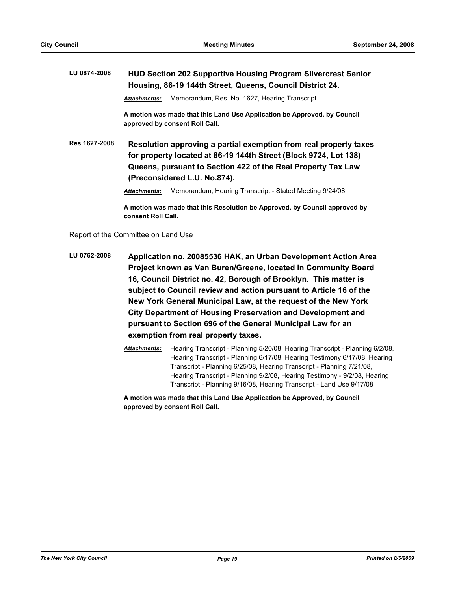# **LU 0874-2008 HUD Section 202 Supportive Housing Program Silvercrest Senior Housing, 86-19 144th Street, Queens, Council District 24.**

*Attachments:* Memorandum, Res. No. 1627, Hearing Transcript

**A motion was made that this Land Use Application be Approved, by Council approved by consent Roll Call.**

**Res 1627-2008 Resolution approving a partial exemption from real property taxes for property located at 86-19 144th Street (Block 9724, Lot 138) Queens, pursuant to Section 422 of the Real Property Tax Law (Preconsidered L.U. No.874).**

*Attachments:* Memorandum, Hearing Transcript - Stated Meeting 9/24/08

**A motion was made that this Resolution be Approved, by Council approved by consent Roll Call.**

Report of the Committee on Land Use

- **LU 0762-2008 Application no. 20085536 HAK, an Urban Development Action Area Project known as Van Buren/Greene, located in Community Board 16, Council District no. 42, Borough of Brooklyn. This matter is subject to Council review and action pursuant to Article 16 of the New York General Municipal Law, at the request of the New York City Department of Housing Preservation and Development and pursuant to Section 696 of the General Municipal Law for an exemption from real property taxes.**
	- *Attachments:* Hearing Transcript Planning 5/20/08, Hearing Transcript Planning 6/2/08, Hearing Transcript - Planning 6/17/08, Hearing Testimony 6/17/08, Hearing Transcript - Planning 6/25/08, Hearing Transcript - Planning 7/21/08, Hearing Transcript - Planning 9/2/08, Hearing Testimony - 9/2/08, Hearing Transcript - Planning 9/16/08, Hearing Transcript - Land Use 9/17/08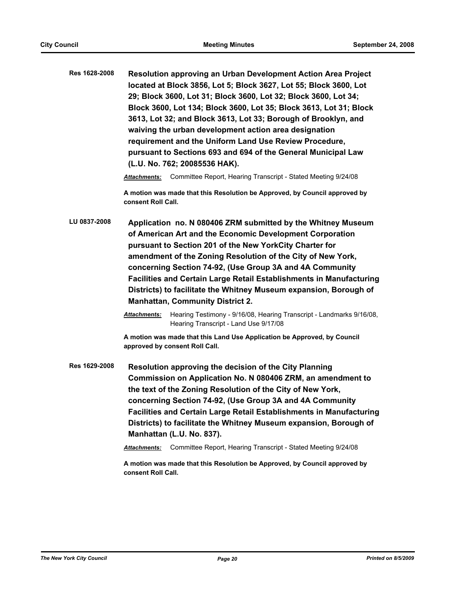| Res 1628-2008 | Resolution approving an Urban Development Action Area Project      |
|---------------|--------------------------------------------------------------------|
|               | located at Block 3856, Lot 5; Block 3627, Lot 55; Block 3600, Lot  |
|               | 29; Block 3600, Lot 31; Block 3600, Lot 32; Block 3600, Lot 34;    |
|               | Block 3600, Lot 134; Block 3600, Lot 35; Block 3613, Lot 31; Block |
|               | 3613, Lot 32; and Block 3613, Lot 33; Borough of Brooklyn, and     |
|               | waiving the urban development action area designation              |
|               | requirement and the Uniform Land Use Review Procedure,             |
|               | pursuant to Sections 693 and 694 of the General Municipal Law      |
|               | (L.U. No. 762; 20085536 HAK).                                      |

*Attachments:* Committee Report, Hearing Transcript - Stated Meeting 9/24/08

**A motion was made that this Resolution be Approved, by Council approved by consent Roll Call.**

**LU 0837-2008 Application no. N 080406 ZRM submitted by the Whitney Museum of American Art and the Economic Development Corporation pursuant to Section 201 of the New YorkCity Charter for amendment of the Zoning Resolution of the City of New York, concerning Section 74-92, (Use Group 3A and 4A Community Facilities and Certain Large Retail Establishments in Manufacturing Districts) to facilitate the Whitney Museum expansion, Borough of Manhattan, Community District 2.**

> *Attachments:* Hearing Testimony - 9/16/08, Hearing Transcript - Landmarks 9/16/08, Hearing Transcript - Land Use 9/17/08

**A motion was made that this Land Use Application be Approved, by Council approved by consent Roll Call.**

**Res 1629-2008 Resolution approving the decision of the City Planning Commission on Application No. N 080406 ZRM, an amendment to the text of the Zoning Resolution of the City of New York, concerning Section 74-92, (Use Group 3A and 4A Community Facilities and Certain Large Retail Establishments in Manufacturing Districts) to facilitate the Whitney Museum expansion, Borough of Manhattan (L.U. No. 837).**

*Attachments:* Committee Report, Hearing Transcript - Stated Meeting 9/24/08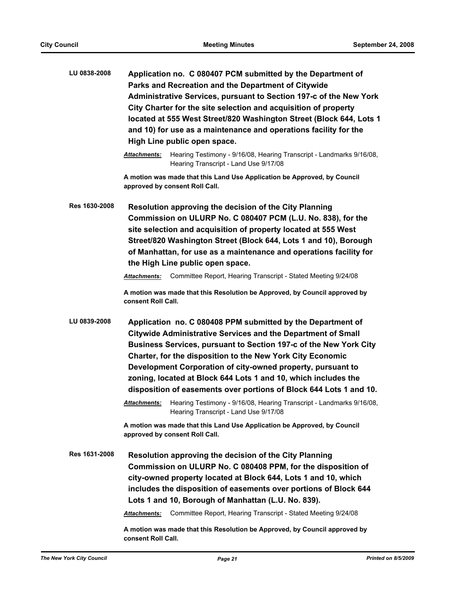| <b>Attachments:</b><br>Hearing Transcript - Land Use 9/17/08<br>A motion was made that this Land Use Application be Approved, by Council<br>approved by consent Roll Call.<br>Res 1630-2008<br><b>Resolution approving the decision of the City Planning</b><br>site selection and acquisition of property located at 555 West<br>the High Line public open space.<br>Committee Report, Hearing Transcript - Stated Meeting 9/24/08<br>Attachments:<br>consent Roll Call.<br>LU 0839-2008<br>Application no. C 080408 PPM submitted by the Department of<br><b>Citywide Administrative Services and the Department of Small</b><br>Charter, for the disposition to the New York City Economic<br>Development Corporation of city-owned property, pursuant to<br>zoning, located at Block 644 Lots 1 and 10, which includes the<br>Hearing Transcript - Land Use 9/17/08<br>A motion was made that this Land Use Application be Approved, by Council<br>approved by consent Roll Call.<br>Res 1631-2008<br>Resolution approving the decision of the City Planning<br>city-owned property located at Block 644, Lots 1 and 10, which | LU 0838-2008 | Application no. C 080407 PCM submitted by the Department of<br>Parks and Recreation and the Department of Citywide<br>Administrative Services, pursuant to Section 197-c of the New York<br>City Charter for the site selection and acquisition of property<br>located at 555 West Street/820 Washington Street (Block 644, Lots 1<br>and 10) for use as a maintenance and operations facility for the<br>High Line public open space. |  |  |
|------------------------------------------------------------------------------------------------------------------------------------------------------------------------------------------------------------------------------------------------------------------------------------------------------------------------------------------------------------------------------------------------------------------------------------------------------------------------------------------------------------------------------------------------------------------------------------------------------------------------------------------------------------------------------------------------------------------------------------------------------------------------------------------------------------------------------------------------------------------------------------------------------------------------------------------------------------------------------------------------------------------------------------------------------------------------------------------------------------------------------------|--------------|----------------------------------------------------------------------------------------------------------------------------------------------------------------------------------------------------------------------------------------------------------------------------------------------------------------------------------------------------------------------------------------------------------------------------------------|--|--|
|                                                                                                                                                                                                                                                                                                                                                                                                                                                                                                                                                                                                                                                                                                                                                                                                                                                                                                                                                                                                                                                                                                                                    |              | Hearing Testimony - 9/16/08, Hearing Transcript - Landmarks 9/16/08,                                                                                                                                                                                                                                                                                                                                                                   |  |  |
|                                                                                                                                                                                                                                                                                                                                                                                                                                                                                                                                                                                                                                                                                                                                                                                                                                                                                                                                                                                                                                                                                                                                    |              |                                                                                                                                                                                                                                                                                                                                                                                                                                        |  |  |
|                                                                                                                                                                                                                                                                                                                                                                                                                                                                                                                                                                                                                                                                                                                                                                                                                                                                                                                                                                                                                                                                                                                                    |              | Commission on ULURP No. C 080407 PCM (L.U. No. 838), for the<br>Street/820 Washington Street (Block 644, Lots 1 and 10), Borough<br>of Manhattan, for use as a maintenance and operations facility for<br>A motion was made that this Resolution be Approved, by Council approved by                                                                                                                                                   |  |  |
|                                                                                                                                                                                                                                                                                                                                                                                                                                                                                                                                                                                                                                                                                                                                                                                                                                                                                                                                                                                                                                                                                                                                    |              | Business Services, pursuant to Section 197-c of the New York City<br>disposition of easements over portions of Block 644 Lots 1 and 10.<br>Attachments: Hearing Testimony - 9/16/08, Hearing Transcript - Landmarks 9/16/08                                                                                                                                                                                                            |  |  |
|                                                                                                                                                                                                                                                                                                                                                                                                                                                                                                                                                                                                                                                                                                                                                                                                                                                                                                                                                                                                                                                                                                                                    |              |                                                                                                                                                                                                                                                                                                                                                                                                                                        |  |  |
| Lots 1 and 10, Borough of Manhattan (L.U. No. 839).<br>Committee Report, Hearing Transcript - Stated Meeting 9/24/08<br>Attachments:                                                                                                                                                                                                                                                                                                                                                                                                                                                                                                                                                                                                                                                                                                                                                                                                                                                                                                                                                                                               |              | Commission on ULURP No. C 080408 PPM, for the disposition of<br>includes the disposition of easements over portions of Block 644<br>A motion was made that this Resolution be Approved, by Council approved by                                                                                                                                                                                                                         |  |  |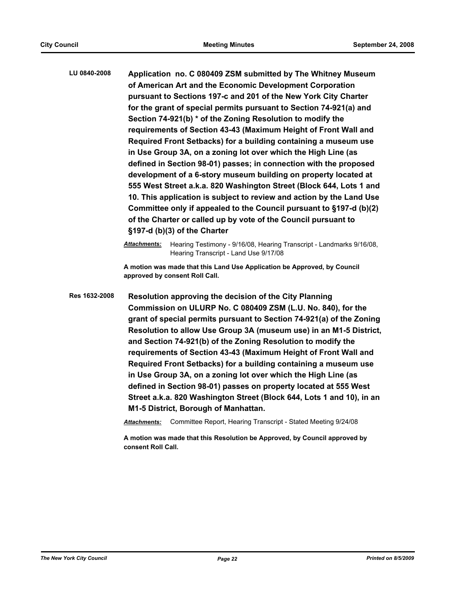**LU 0840-2008 Application no. C 080409 ZSM submitted by The Whitney Museum of American Art and the Economic Development Corporation pursuant to Sections 197-c and 201 of the New York City Charter for the grant of special permits pursuant to Section 74-921(a) and Section 74-921(b) \* of the Zoning Resolution to modify the requirements of Section 43-43 (Maximum Height of Front Wall and Required Front Setbacks) for a building containing a museum use in Use Group 3A, on a zoning lot over which the High Line (as defined in Section 98-01) passes; in connection with the proposed development of a 6-story museum building on property located at 555 West Street a.k.a. 820 Washington Street (Block 644, Lots 1 and 10. This application is subject to review and action by the Land Use Committee only if appealed to the Council pursuant to §197-d (b)(2) of the Charter or called up by vote of the Council pursuant to §197-d (b)(3) of the Charter**

> *Attachments:* Hearing Testimony - 9/16/08, Hearing Transcript - Landmarks 9/16/08, Hearing Transcript - Land Use 9/17/08

**A motion was made that this Land Use Application be Approved, by Council approved by consent Roll Call.**

**Res 1632-2008 Resolution approving the decision of the City Planning Commission on ULURP No. C 080409 ZSM (L.U. No. 840), for the grant of special permits pursuant to Section 74-921(a) of the Zoning Resolution to allow Use Group 3A (museum use) in an M1-5 District, and Section 74-921(b) of the Zoning Resolution to modify the requirements of Section 43-43 (Maximum Height of Front Wall and Required Front Setbacks) for a building containing a museum use in Use Group 3A, on a zoning lot over which the High Line (as defined in Section 98-01) passes on property located at 555 West Street a.k.a. 820 Washington Street (Block 644, Lots 1 and 10), in an M1-5 District, Borough of Manhattan.**

*Attachments:* Committee Report, Hearing Transcript - Stated Meeting 9/24/08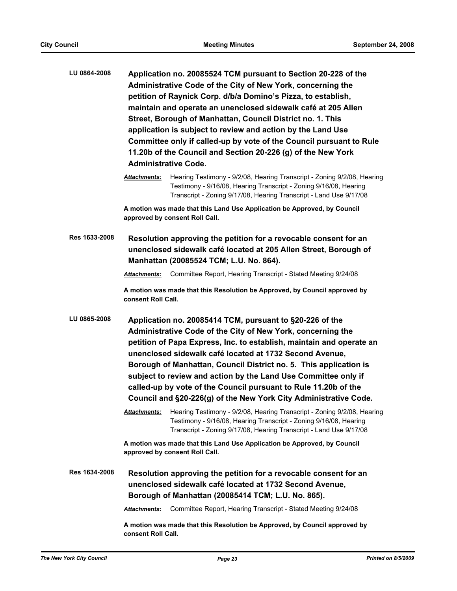| LU 0864-2008 | Application no. 20085524 TCM pursuant to Section 20-228 of the      |
|--------------|---------------------------------------------------------------------|
|              | Administrative Code of the City of New York, concerning the         |
|              | petition of Raynick Corp. d/b/a Domino's Pizza, to establish,       |
|              | maintain and operate an unenclosed sidewalk café at 205 Allen       |
|              | Street, Borough of Manhattan, Council District no. 1. This          |
|              | application is subject to review and action by the Land Use         |
|              | Committee only if called-up by vote of the Council pursuant to Rule |
|              | 11.20b of the Council and Section 20-226 (g) of the New York        |
|              | <b>Administrative Code.</b>                                         |

*Attachments:* Hearing Testimony - 9/2/08, Hearing Transcript - Zoning 9/2/08, Hearing Testimony - 9/16/08, Hearing Transcript - Zoning 9/16/08, Hearing Transcript - Zoning 9/17/08, Hearing Transcript - Land Use 9/17/08

**A motion was made that this Land Use Application be Approved, by Council approved by consent Roll Call.**

**Res 1633-2008 Resolution approving the petition for a revocable consent for an unenclosed sidewalk café located at 205 Allen Street, Borough of Manhattan (20085524 TCM; L.U. No. 864).**

*Attachments:* Committee Report, Hearing Transcript - Stated Meeting 9/24/08

**A motion was made that this Resolution be Approved, by Council approved by consent Roll Call.**

**LU 0865-2008 Application no. 20085414 TCM, pursuant to §20-226 of the Administrative Code of the City of New York, concerning the petition of Papa Express, Inc. to establish, maintain and operate an unenclosed sidewalk café located at 1732 Second Avenue, Borough of Manhattan, Council District no. 5. This application is subject to review and action by the Land Use Committee only if called-up by vote of the Council pursuant to Rule 11.20b of the Council and §20-226(g) of the New York City Administrative Code.**

> *Attachments:* Hearing Testimony - 9/2/08, Hearing Transcript - Zoning 9/2/08, Hearing Testimony - 9/16/08, Hearing Transcript - Zoning 9/16/08, Hearing Transcript - Zoning 9/17/08, Hearing Transcript - Land Use 9/17/08

**A motion was made that this Land Use Application be Approved, by Council approved by consent Roll Call.**

**Res 1634-2008 Resolution approving the petition for a revocable consent for an unenclosed sidewalk café located at 1732 Second Avenue, Borough of Manhattan (20085414 TCM; L.U. No. 865).**

*Attachments:* Committee Report, Hearing Transcript - Stated Meeting 9/24/08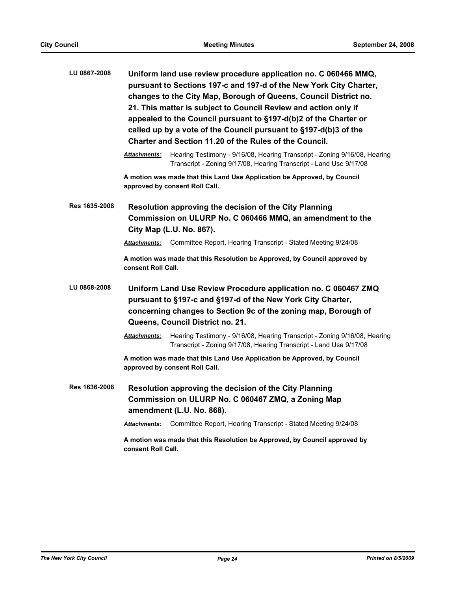| LU 0867-2008  | Uniform land use review procedure application no. C 060466 MMQ,<br>pursuant to Sections 197-c and 197-d of the New York City Charter,<br>changes to the City Map, Borough of Queens, Council District no.<br>21. This matter is subject to Council Review and action only if<br>appealed to the Council pursuant to §197-d(b)2 of the Charter or<br>called up by a vote of the Council pursuant to §197-d(b)3 of the<br>Charter and Section 11.20 of the Rules of the Council. |  |
|---------------|--------------------------------------------------------------------------------------------------------------------------------------------------------------------------------------------------------------------------------------------------------------------------------------------------------------------------------------------------------------------------------------------------------------------------------------------------------------------------------|--|
|               | Hearing Testimony - 9/16/08, Hearing Transcript - Zoning 9/16/08, Hearing<br><b>Attachments:</b><br>Transcript - Zoning 9/17/08, Hearing Transcript - Land Use 9/17/08                                                                                                                                                                                                                                                                                                         |  |
|               | A motion was made that this Land Use Application be Approved, by Council<br>approved by consent Roll Call.                                                                                                                                                                                                                                                                                                                                                                     |  |
| Res 1635-2008 | Resolution approving the decision of the City Planning<br>Commission on ULURP No. C 060466 MMQ, an amendment to the<br>City Map (L.U. No. 867).                                                                                                                                                                                                                                                                                                                                |  |
|               | Committee Report, Hearing Transcript - Stated Meeting 9/24/08<br><b>Attachments:</b>                                                                                                                                                                                                                                                                                                                                                                                           |  |
|               | A motion was made that this Resolution be Approved, by Council approved by<br>consent Roll Call.                                                                                                                                                                                                                                                                                                                                                                               |  |
| LU 0868-2008  | Uniform Land Use Review Procedure application no. C 060467 ZMQ<br>pursuant to §197-c and §197-d of the New York City Charter,<br>concerning changes to Section 9c of the zoning map, Borough of<br>Queens, Council District no. 21.                                                                                                                                                                                                                                            |  |
|               | <b>Attachments:</b><br>Hearing Testimony - 9/16/08, Hearing Transcript - Zoning 9/16/08, Hearing<br>Transcript - Zoning 9/17/08, Hearing Transcript - Land Use 9/17/08                                                                                                                                                                                                                                                                                                         |  |
|               | A motion was made that this Land Use Application be Approved, by Council<br>approved by consent Roll Call.                                                                                                                                                                                                                                                                                                                                                                     |  |
| Res 1636-2008 | Resolution approving the decision of the City Planning<br>Commission on ULURP No. C 060467 ZMQ, a Zoning Map<br>amendment (L.U. No. 868).                                                                                                                                                                                                                                                                                                                                      |  |
|               | Committee Report, Hearing Transcript - Stated Meeting 9/24/08<br><b>Attachments:</b>                                                                                                                                                                                                                                                                                                                                                                                           |  |
|               | A motion was made that this Resolution be Approved, by Council approved by<br>consent Roll Call.                                                                                                                                                                                                                                                                                                                                                                               |  |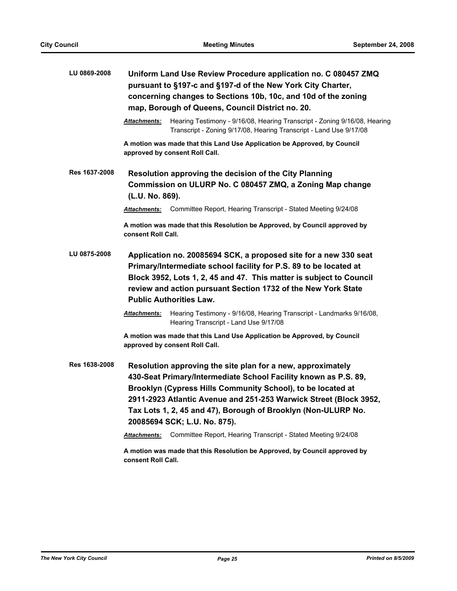| LU 0869-2008  | Uniform Land Use Review Procedure application no. C 080457 ZMQ<br>pursuant to §197-c and §197-d of the New York City Charter,<br>concerning changes to Sections 10b, 10c, and 10d of the zoning<br>map, Borough of Queens, Council District no. 20.                                                             |                                                                                                                                                                                                                                                                                                                                                                     |  |
|---------------|-----------------------------------------------------------------------------------------------------------------------------------------------------------------------------------------------------------------------------------------------------------------------------------------------------------------|---------------------------------------------------------------------------------------------------------------------------------------------------------------------------------------------------------------------------------------------------------------------------------------------------------------------------------------------------------------------|--|
|               | Attachments:                                                                                                                                                                                                                                                                                                    | Hearing Testimony - 9/16/08, Hearing Transcript - Zoning 9/16/08, Hearing<br>Transcript - Zoning 9/17/08, Hearing Transcript - Land Use 9/17/08                                                                                                                                                                                                                     |  |
|               | A motion was made that this Land Use Application be Approved, by Council<br>approved by consent Roll Call.                                                                                                                                                                                                      |                                                                                                                                                                                                                                                                                                                                                                     |  |
| Res 1637-2008 | Resolution approving the decision of the City Planning<br>Commission on ULURP No. C 080457 ZMQ, a Zoning Map change<br>(L.U. No. 869).                                                                                                                                                                          |                                                                                                                                                                                                                                                                                                                                                                     |  |
|               | Attachments:                                                                                                                                                                                                                                                                                                    | Committee Report, Hearing Transcript - Stated Meeting 9/24/08                                                                                                                                                                                                                                                                                                       |  |
|               | consent Roll Call.                                                                                                                                                                                                                                                                                              | A motion was made that this Resolution be Approved, by Council approved by                                                                                                                                                                                                                                                                                          |  |
| LU 0875-2008  | Application no. 20085694 SCK, a proposed site for a new 330 seat<br>Primary/Intermediate school facility for P.S. 89 to be located at<br>Block 3952, Lots 1, 2, 45 and 47. This matter is subject to Council<br>review and action pursuant Section 1732 of the New York State<br><b>Public Authorities Law.</b> |                                                                                                                                                                                                                                                                                                                                                                     |  |
|               | Attachments:                                                                                                                                                                                                                                                                                                    | Hearing Testimony - 9/16/08, Hearing Transcript - Landmarks 9/16/08,<br>Hearing Transcript - Land Use 9/17/08                                                                                                                                                                                                                                                       |  |
|               |                                                                                                                                                                                                                                                                                                                 | A motion was made that this Land Use Application be Approved, by Council<br>approved by consent Roll Call.                                                                                                                                                                                                                                                          |  |
| Res 1638-2008 |                                                                                                                                                                                                                                                                                                                 | Resolution approving the site plan for a new, approximately<br>430-Seat Primary/Intermediate School Facility known as P.S. 89,<br>Brooklyn (Cypress Hills Community School), to be located at<br>2911-2923 Atlantic Avenue and 251-253 Warwick Street (Block 3952,<br>Tax Lots 1, 2, 45 and 47), Borough of Brooklyn (Non-ULURP No.<br>20085694 SCK; L.U. No. 875). |  |
|               | <b>Attachments:</b>                                                                                                                                                                                                                                                                                             | Committee Report, Hearing Transcript - Stated Meeting 9/24/08                                                                                                                                                                                                                                                                                                       |  |
|               | consent Roll Call.                                                                                                                                                                                                                                                                                              | A motion was made that this Resolution be Approved, by Council approved by                                                                                                                                                                                                                                                                                          |  |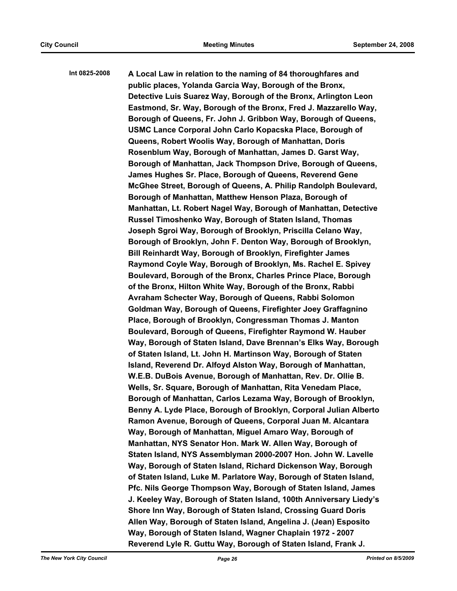**Int 0825-2008 A Local Law in relation to the naming of 84 thoroughfares and public places, Yolanda Garcia Way, Borough of the Bronx, Detective Luis Suarez Way, Borough of the Bronx, Arlington Leon Eastmond, Sr. Way, Borough of the Bronx, Fred J. Mazzarello Way, Borough of Queens, Fr. John J. Gribbon Way, Borough of Queens, USMC Lance Corporal John Carlo Kopacska Place, Borough of Queens, Robert Woolis Way, Borough of Manhattan, Doris Rosenblum Way, Borough of Manhattan, James D. Garst Way, Borough of Manhattan, Jack Thompson Drive, Borough of Queens, James Hughes Sr. Place, Borough of Queens, Reverend Gene McGhee Street, Borough of Queens, A. Philip Randolph Boulevard, Borough of Manhattan, Matthew Henson Plaza, Borough of Manhattan, Lt. Robert Nagel Way, Borough of Manhattan, Detective Russel Timoshenko Way, Borough of Staten Island, Thomas Joseph Sgroi Way, Borough of Brooklyn, Priscilla Celano Way, Borough of Brooklyn, John F. Denton Way, Borough of Brooklyn, Bill Reinhardt Way, Borough of Brooklyn, Firefighter James Raymond Coyle Way, Borough of Brooklyn, Ms. Rachel E. Spivey Boulevard, Borough of the Bronx, Charles Prince Place, Borough of the Bronx, Hilton White Way, Borough of the Bronx, Rabbi Avraham Schecter Way, Borough of Queens, Rabbi Solomon Goldman Way, Borough of Queens, Firefighter Joey Graffagnino Place, Borough of Brooklyn, Congressman Thomas J. Manton Boulevard, Borough of Queens, Firefighter Raymond W. Hauber Way, Borough of Staten Island, Dave Brennan's Elks Way, Borough of Staten Island, Lt. John H. Martinson Way, Borough of Staten Island, Reverend Dr. Alfoyd Alston Way, Borough of Manhattan, W.E.B. DuBois Avenue, Borough of Manhattan, Rev. Dr. Ollie B. Wells, Sr. Square, Borough of Manhattan, Rita Venedam Place, Borough of Manhattan, Carlos Lezama Way, Borough of Brooklyn, Benny A. Lyde Place, Borough of Brooklyn, Corporal Julian Alberto Ramon Avenue, Borough of Queens, Corporal Juan M. Alcantara Way, Borough of Manhattan, Miguel Amaro Way, Borough of Manhattan, NYS Senator Hon. Mark W. Allen Way, Borough of Staten Island, NYS Assemblyman 2000-2007 Hon. John W. Lavelle Way, Borough of Staten Island, Richard Dickenson Way, Borough of Staten Island, Luke M. Parlatore Way, Borough of Staten Island, Pfc. Nils George Thompson Way, Borough of Staten Island, James J. Keeley Way, Borough of Staten Island, 100th Anniversary Liedy's Shore Inn Way, Borough of Staten Island, Crossing Guard Doris Allen Way, Borough of Staten Island, Angelina J. (Jean) Esposito Way, Borough of Staten Island, Wagner Chaplain 1972 - 2007 Reverend Lyle R. Guttu Way, Borough of Staten Island, Frank J.**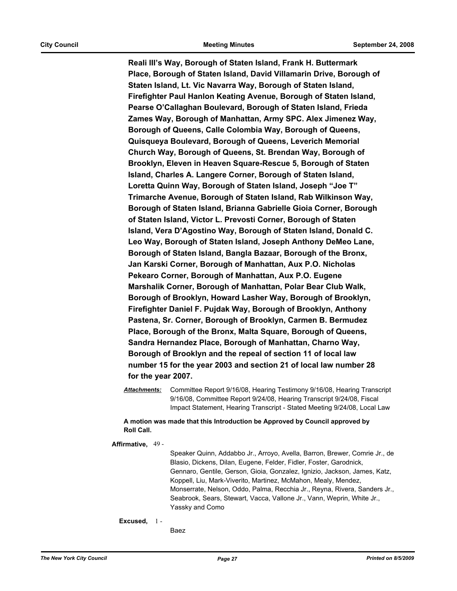**Reali III's Way, Borough of Staten Island, Frank H. Buttermark Place, Borough of Staten Island, David Villamarin Drive, Borough of Staten Island, Lt. Vic Navarra Way, Borough of Staten Island, Firefighter Paul Hanlon Keating Avenue, Borough of Staten Island, Pearse O'Callaghan Boulevard, Borough of Staten Island, Frieda Zames Way, Borough of Manhattan, Army SPC. Alex Jimenez Way, Borough of Queens, Calle Colombia Way, Borough of Queens, Quisqueya Boulevard, Borough of Queens, Leverich Memorial Church Way, Borough of Queens, St. Brendan Way, Borough of Brooklyn, Eleven in Heaven Square-Rescue 5, Borough of Staten Island, Charles A. Langere Corner, Borough of Staten Island, Loretta Quinn Way, Borough of Staten Island, Joseph "Joe T" Trimarche Avenue, Borough of Staten Island, Rab Wilkinson Way, Borough of Staten Island, Brianna Gabrielle Gioia Corner, Borough of Staten Island, Victor L. Prevosti Corner, Borough of Staten Island, Vera D'Agostino Way, Borough of Staten Island, Donald C. Leo Way, Borough of Staten Island, Joseph Anthony DeMeo Lane, Borough of Staten Island, Bangla Bazaar, Borough of the Bronx, Jan Karski Corner, Borough of Manhattan, Aux P.O. Nicholas Pekearo Corner, Borough of Manhattan, Aux P.O. Eugene Marshalik Corner, Borough of Manhattan, Polar Bear Club Walk, Borough of Brooklyn, Howard Lasher Way, Borough of Brooklyn, Firefighter Daniel F. Pujdak Way, Borough of Brooklyn, Anthony Pastena, Sr. Corner, Borough of Brooklyn, Carmen B. Bermudez Place, Borough of the Bronx, Malta Square, Borough of Queens, Sandra Hernandez Place, Borough of Manhattan, Charno Way, Borough of Brooklyn and the repeal of section 11 of local law number 15 for the year 2003 and section 21 of local law number 28 for the year 2007.**

*Attachments:* Committee Report 9/16/08, Hearing Testimony 9/16/08, Hearing Transcript 9/16/08, Committee Report 9/24/08, Hearing Transcript 9/24/08, Fiscal Impact Statement, Hearing Transcript - Stated Meeting 9/24/08, Local Law

**A motion was made that this Introduction be Approved by Council approved by Roll Call.**

**Affirmative,** 49 -

Speaker Quinn, Addabbo Jr., Arroyo, Avella, Barron, Brewer, Comrie Jr., de Blasio, Dickens, Dilan, Eugene, Felder, Fidler, Foster, Garodnick, Gennaro, Gentile, Gerson, Gioia, Gonzalez, Ignizio, Jackson, James, Katz, Koppell, Liu, Mark-Viverito, Martinez, McMahon, Mealy, Mendez, Monserrate, Nelson, Oddo, Palma, Recchia Jr., Reyna, Rivera, Sanders Jr., Seabrook, Sears, Stewart, Vacca, Vallone Jr., Vann, Weprin, White Jr., Yassky and Como

**Excused,** 1 -

Baez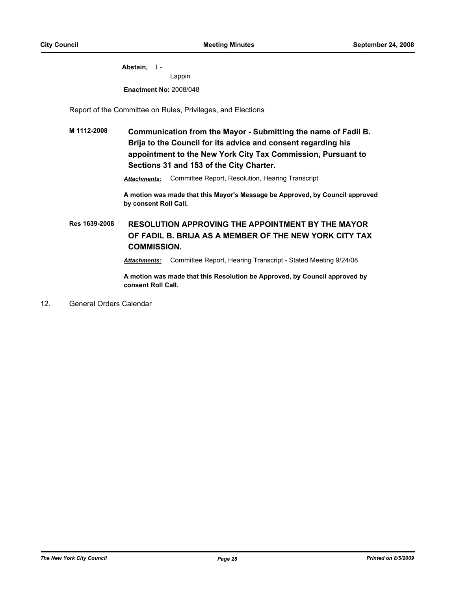**Abstain,** 1 - Lappin **Enactment No:** 2008/048

Report of the Committee on Rules, Privileges, and Elections

## **M 1112-2008 Communication from the Mayor - Submitting the name of Fadil B. Brija to the Council for its advice and consent regarding his appointment to the New York City Tax Commission, Pursuant to Sections 31 and 153 of the City Charter.**

*Attachments:* Committee Report, Resolution, Hearing Transcript

**A motion was made that this Mayor's Message be Approved, by Council approved by consent Roll Call.**

**Res 1639-2008 RESOLUTION APPROVING THE APPOINTMENT BY THE MAYOR OF FADIL B. BRIJA AS A MEMBER OF THE NEW YORK CITY TAX COMMISSION.**

*Attachments:* Committee Report, Hearing Transcript - Stated Meeting 9/24/08

**A motion was made that this Resolution be Approved, by Council approved by consent Roll Call.**

12. General Orders Calendar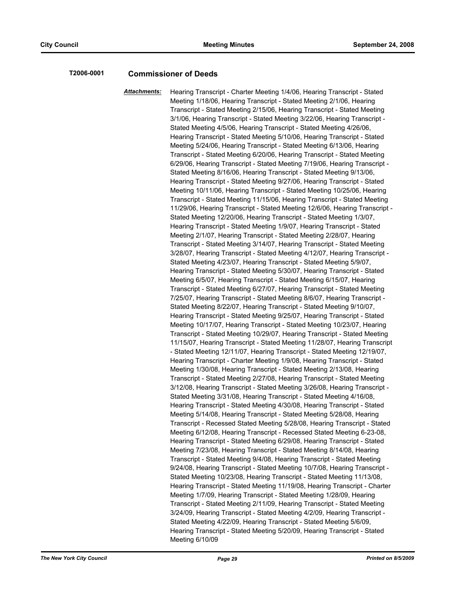## **T2006-0001 Commissioner of Deeds**

*Attachments:* Hearing Transcript - Charter Meeting 1/4/06, Hearing Transcript - Stated Meeting 1/18/06, Hearing Transcript - Stated Meeting 2/1/06, Hearing Transcript - Stated Meeting 2/15/06, Hearing Transcript - Stated Meeting 3/1/06, Hearing Transcript - Stated Meeting 3/22/06, Hearing Transcript - Stated Meeting 4/5/06, Hearing Transcript - Stated Meeting 4/26/06, Hearing Transcript - Stated Meeting 5/10/06, Hearing Transcript - Stated Meeting 5/24/06, Hearing Transcript - Stated Meeting 6/13/06, Hearing Transcript - Stated Meeting 6/20/06, Hearing Transcript - Stated Meeting 6/29/06, Hearing Transcript - Stated Meeting 7/19/06, Hearing Transcript - Stated Meeting 8/16/06, Hearing Transcript - Stated Meeting 9/13/06, Hearing Transcript - Stated Meeting 9/27/06, Hearing Transcript - Stated Meeting 10/11/06, Hearing Transcript - Stated Meeting 10/25/06, Hearing Transcript - Stated Meeting 11/15/06, Hearing Transcript - Stated Meeting 11/29/06, Hearing Transcript - Stated Meeting 12/6/06, Hearing Transcript - Stated Meeting 12/20/06, Hearing Transcript - Stated Meeting 1/3/07, Hearing Transcript - Stated Meeting 1/9/07, Hearing Transcript - Stated Meeting 2/1/07, Hearing Transcript - Stated Meeting 2/28/07, Hearing Transcript - Stated Meeting 3/14/07, Hearing Transcript - Stated Meeting 3/28/07, Hearing Transcript - Stated Meeting 4/12/07, Hearing Transcript - Stated Meeting 4/23/07, Hearing Transcript - Stated Meeting 5/9/07, Hearing Transcript - Stated Meeting 5/30/07, Hearing Transcript - Stated Meeting 6/5/07, Hearing Transcript - Stated Meeting 6/15/07, Hearing Transcript - Stated Meeting 6/27/07, Hearing Transcript - Stated Meeting 7/25/07, Hearing Transcript - Stated Meeting 8/6/07, Hearing Transcript - Stated Meeting 8/22/07, Hearing Transcript - Stated Meeting 9/10/07, Hearing Transcript - Stated Meeting 9/25/07, Hearing Transcript - Stated Meeting 10/17/07, Hearing Transcript - Stated Meeting 10/23/07, Hearing Transcript - Stated Meeting 10/29/07, Hearing Transcript - Stated Meeting 11/15/07, Hearing Transcript - Stated Meeting 11/28/07, Hearing Transcript - Stated Meeting 12/11/07, Hearing Transcript - Stated Meeting 12/19/07, Hearing Transcript - Charter Meeting 1/9/08, Hearing Transcript - Stated Meeting 1/30/08, Hearing Transcript - Stated Meeting 2/13/08, Hearing Transcript - Stated Meeting 2/27/08, Hearing Transcript - Stated Meeting 3/12/08, Hearing Transcript - Stated Meeting 3/26/08, Hearing Transcript - Stated Meeting 3/31/08, Hearing Transcript - Stated Meeting 4/16/08, Hearing Transcript - Stated Meeting 4/30/08, Hearing Transcript - Stated Meeting 5/14/08, Hearing Transcript - Stated Meeting 5/28/08, Hearing Transcript - Recessed Stated Meeting 5/28/08, Hearing Transcript - Stated Meeting 6/12/08, Hearing Transcript - Recessed Stated Meeting 6-23-08, Hearing Transcript - Stated Meeting 6/29/08, Hearing Transcript - Stated Meeting 7/23/08, Hearing Transcript - Stated Meeting 8/14/08, Hearing Transcript - Stated Meeting 9/4/08, Hearing Transcript - Stated Meeting 9/24/08, Hearing Transcript - Stated Meeting 10/7/08, Hearing Transcript - Stated Meeting 10/23/08, Hearing Transcript - Stated Meeting 11/13/08, Hearing Transcript - Stated Meeting 11/19/08, Hearing Transcript - Charter Meeting 1/7/09, Hearing Transcript - Stated Meeting 1/28/09, Hearing Transcript - Stated Meeting 2/11/09, Hearing Transcript - Stated Meeting 3/24/09, Hearing Transcript - Stated Meeting 4/2/09, Hearing Transcript - Stated Meeting 4/22/09, Hearing Transcript - Stated Meeting 5/6/09, Hearing Transcript - Stated Meeting 5/20/09, Hearing Transcript - Stated Meeting 6/10/09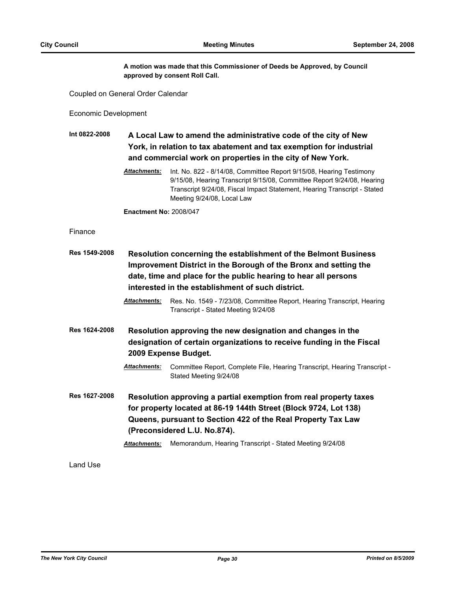**A motion was made that this Commissioner of Deeds be Approved, by Council approved by consent Roll Call.**

Coupled on General Order Calendar

Economic Development

**Int 0822-2008 A Local Law to amend the administrative code of the city of New York, in relation to tax abatement and tax exemption for industrial and commercial work on properties in the city of New York.**

> *Attachments:* Int. No. 822 - 8/14/08, Committee Report 9/15/08, Hearing Testimony 9/15/08, Hearing Transcript 9/15/08, Committee Report 9/24/08, Hearing Transcript 9/24/08, Fiscal Impact Statement, Hearing Transcript - Stated Meeting 9/24/08, Local Law

**Enactment No:** 2008/047

## Finance

| Res 1549-2008 | Resolution concerning the establishment of the Belmont Business<br>Improvement District in the Borough of the Bronx and setting the<br>date, time and place for the public hearing to hear all persons<br>interested in the establishment of such district. |                                                                                                                                                                                                                                                                                                  |  |
|---------------|-------------------------------------------------------------------------------------------------------------------------------------------------------------------------------------------------------------------------------------------------------------|--------------------------------------------------------------------------------------------------------------------------------------------------------------------------------------------------------------------------------------------------------------------------------------------------|--|
|               | <b>Attachments:</b>                                                                                                                                                                                                                                         | Res. No. 1549 - 7/23/08, Committee Report, Hearing Transcript, Hearing<br>Transcript - Stated Meeting 9/24/08                                                                                                                                                                                    |  |
| Res 1624-2008 |                                                                                                                                                                                                                                                             | Resolution approving the new designation and changes in the<br>designation of certain organizations to receive funding in the Fiscal<br>2009 Expense Budget.                                                                                                                                     |  |
|               | <b>Attachments:</b>                                                                                                                                                                                                                                         | Committee Report, Complete File, Hearing Transcript, Hearing Transcript -<br>Stated Meeting 9/24/08                                                                                                                                                                                              |  |
| Res 1627-2008 | <b>Attachments:</b>                                                                                                                                                                                                                                         | Resolution approving a partial exemption from real property taxes<br>for property located at 86-19 144th Street (Block 9724, Lot 138)<br>Queens, pursuant to Section 422 of the Real Property Tax Law<br>(Preconsidered L.U. No.874).<br>Memorandum, Hearing Transcript - Stated Meeting 9/24/08 |  |

Land Use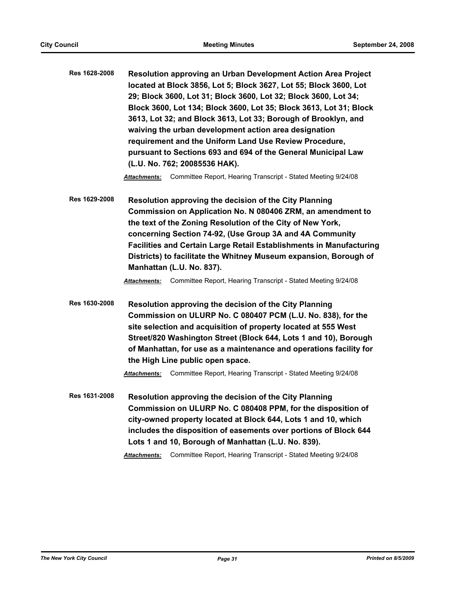**Res 1628-2008 Resolution approving an Urban Development Action Area Project located at Block 3856, Lot 5; Block 3627, Lot 55; Block 3600, Lot 29; Block 3600, Lot 31; Block 3600, Lot 32; Block 3600, Lot 34; Block 3600, Lot 134; Block 3600, Lot 35; Block 3613, Lot 31; Block 3613, Lot 32; and Block 3613, Lot 33; Borough of Brooklyn, and waiving the urban development action area designation requirement and the Uniform Land Use Review Procedure, pursuant to Sections 693 and 694 of the General Municipal Law (L.U. No. 762; 20085536 HAK).**

*Attachments:* Committee Report, Hearing Transcript - Stated Meeting 9/24/08

**Res 1629-2008 Resolution approving the decision of the City Planning Commission on Application No. N 080406 ZRM, an amendment to the text of the Zoning Resolution of the City of New York, concerning Section 74-92, (Use Group 3A and 4A Community Facilities and Certain Large Retail Establishments in Manufacturing Districts) to facilitate the Whitney Museum expansion, Borough of Manhattan (L.U. No. 837).**

*Attachments:* Committee Report, Hearing Transcript - Stated Meeting 9/24/08

**Res 1630-2008 Resolution approving the decision of the City Planning Commission on ULURP No. C 080407 PCM (L.U. No. 838), for the site selection and acquisition of property located at 555 West Street/820 Washington Street (Block 644, Lots 1 and 10), Borough of Manhattan, for use as a maintenance and operations facility for the High Line public open space.**

*Attachments:* Committee Report, Hearing Transcript - Stated Meeting 9/24/08

**Res 1631-2008 Resolution approving the decision of the City Planning Commission on ULURP No. C 080408 PPM, for the disposition of city-owned property located at Block 644, Lots 1 and 10, which includes the disposition of easements over portions of Block 644 Lots 1 and 10, Borough of Manhattan (L.U. No. 839).**

*Attachments:* Committee Report, Hearing Transcript - Stated Meeting 9/24/08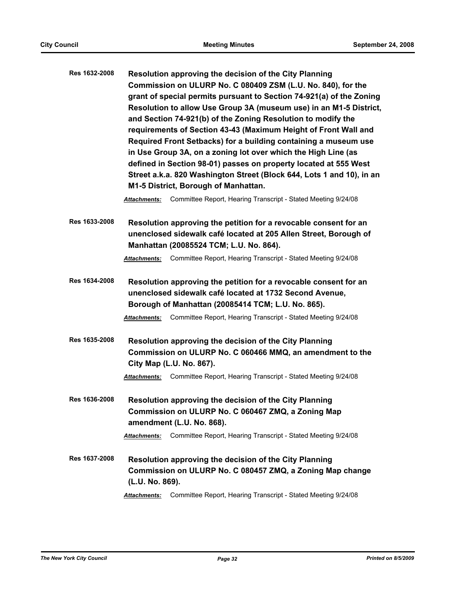| Res 1632-2008        | Resolution approving the decision of the City Planning<br>Commission on ULURP No. C 080409 ZSM (L.U. No. 840), for the<br>grant of special permits pursuant to Section 74-921(a) of the Zoning<br>Resolution to allow Use Group 3A (museum use) in an M1-5 District,<br>and Section 74-921(b) of the Zoning Resolution to modify the<br>requirements of Section 43-43 (Maximum Height of Front Wall and<br>Required Front Setbacks) for a building containing a museum use |                                                                                                                                                                                 |  |
|----------------------|----------------------------------------------------------------------------------------------------------------------------------------------------------------------------------------------------------------------------------------------------------------------------------------------------------------------------------------------------------------------------------------------------------------------------------------------------------------------------|---------------------------------------------------------------------------------------------------------------------------------------------------------------------------------|--|
|                      |                                                                                                                                                                                                                                                                                                                                                                                                                                                                            | in Use Group 3A, on a zoning lot over which the High Line (as                                                                                                                   |  |
|                      |                                                                                                                                                                                                                                                                                                                                                                                                                                                                            | defined in Section 98-01) passes on property located at 555 West<br>Street a.k.a. 820 Washington Street (Block 644, Lots 1 and 10), in an                                       |  |
|                      |                                                                                                                                                                                                                                                                                                                                                                                                                                                                            | M1-5 District, Borough of Manhattan.                                                                                                                                            |  |
|                      | <b>Attachments:</b>                                                                                                                                                                                                                                                                                                                                                                                                                                                        | Committee Report, Hearing Transcript - Stated Meeting 9/24/08                                                                                                                   |  |
| <b>Res 1633-2008</b> |                                                                                                                                                                                                                                                                                                                                                                                                                                                                            | Resolution approving the petition for a revocable consent for an<br>unenclosed sidewalk café located at 205 Allen Street, Borough of<br>Manhattan (20085524 TCM; L.U. No. 864). |  |
|                      | <b>Attachments:</b>                                                                                                                                                                                                                                                                                                                                                                                                                                                        | Committee Report, Hearing Transcript - Stated Meeting 9/24/08                                                                                                                   |  |
| <b>Res 1634-2008</b> | Resolution approving the petition for a revocable consent for an<br>unenclosed sidewalk café located at 1732 Second Avenue,<br>Borough of Manhattan (20085414 TCM; L.U. No. 865).                                                                                                                                                                                                                                                                                          |                                                                                                                                                                                 |  |
|                      | <b>Attachments:</b>                                                                                                                                                                                                                                                                                                                                                                                                                                                        | Committee Report, Hearing Transcript - Stated Meeting 9/24/08                                                                                                                   |  |
| Res 1635-2008        |                                                                                                                                                                                                                                                                                                                                                                                                                                                                            | Resolution approving the decision of the City Planning<br>Commission on ULURP No. C 060466 MMQ, an amendment to the<br>City Map (L.U. No. 867).                                 |  |
|                      |                                                                                                                                                                                                                                                                                                                                                                                                                                                                            | Attachments: Committee Report, Hearing Transcript - Stated Meeting 9/24/08                                                                                                      |  |
| Res 1636-2008        |                                                                                                                                                                                                                                                                                                                                                                                                                                                                            | Resolution approving the decision of the City Planning<br>Commission on ULURP No. C 060467 ZMQ, a Zoning Map<br>amendment (L.U. No. 868).                                       |  |
|                      | <b>Attachments:</b>                                                                                                                                                                                                                                                                                                                                                                                                                                                        | Committee Report, Hearing Transcript - Stated Meeting 9/24/08                                                                                                                   |  |
| Res 1637-2008        | (L.U. No. 869).                                                                                                                                                                                                                                                                                                                                                                                                                                                            | Resolution approving the decision of the City Planning<br>Commission on ULURP No. C 080457 ZMQ, a Zoning Map change                                                             |  |
|                      | <b>Attachments:</b>                                                                                                                                                                                                                                                                                                                                                                                                                                                        | Committee Report, Hearing Transcript - Stated Meeting 9/24/08                                                                                                                   |  |
|                      |                                                                                                                                                                                                                                                                                                                                                                                                                                                                            |                                                                                                                                                                                 |  |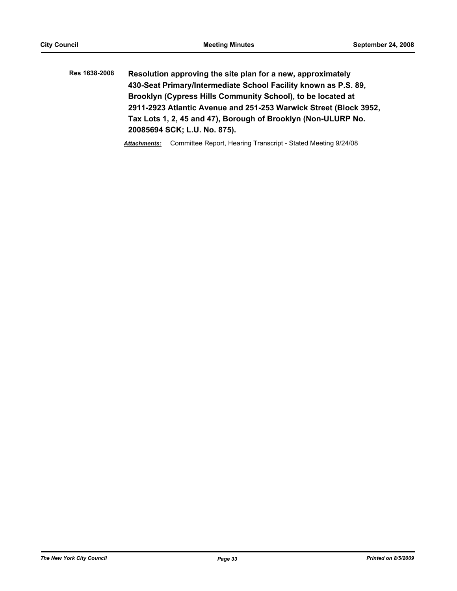**Res 1638-2008 Resolution approving the site plan for a new, approximately 430-Seat Primary/Intermediate School Facility known as P.S. 89, Brooklyn (Cypress Hills Community School), to be located at 2911-2923 Atlantic Avenue and 251-253 Warwick Street (Block 3952, Tax Lots 1, 2, 45 and 47), Borough of Brooklyn (Non-ULURP No. 20085694 SCK; L.U. No. 875).**

*Attachments:* Committee Report, Hearing Transcript - Stated Meeting 9/24/08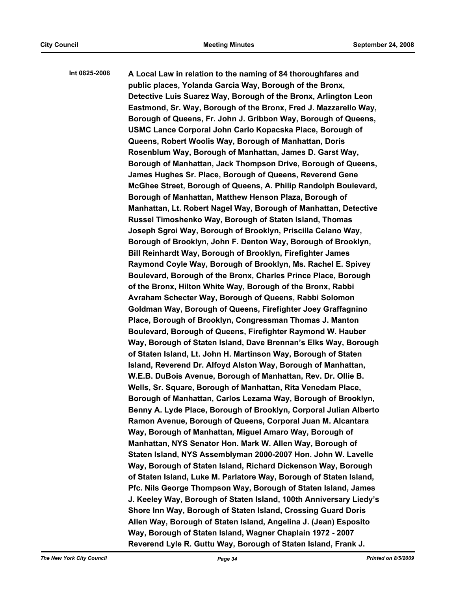**Int 0825-2008 A Local Law in relation to the naming of 84 thoroughfares and public places, Yolanda Garcia Way, Borough of the Bronx, Detective Luis Suarez Way, Borough of the Bronx, Arlington Leon Eastmond, Sr. Way, Borough of the Bronx, Fred J. Mazzarello Way, Borough of Queens, Fr. John J. Gribbon Way, Borough of Queens, USMC Lance Corporal John Carlo Kopacska Place, Borough of Queens, Robert Woolis Way, Borough of Manhattan, Doris Rosenblum Way, Borough of Manhattan, James D. Garst Way, Borough of Manhattan, Jack Thompson Drive, Borough of Queens, James Hughes Sr. Place, Borough of Queens, Reverend Gene McGhee Street, Borough of Queens, A. Philip Randolph Boulevard, Borough of Manhattan, Matthew Henson Plaza, Borough of Manhattan, Lt. Robert Nagel Way, Borough of Manhattan, Detective Russel Timoshenko Way, Borough of Staten Island, Thomas Joseph Sgroi Way, Borough of Brooklyn, Priscilla Celano Way, Borough of Brooklyn, John F. Denton Way, Borough of Brooklyn, Bill Reinhardt Way, Borough of Brooklyn, Firefighter James Raymond Coyle Way, Borough of Brooklyn, Ms. Rachel E. Spivey Boulevard, Borough of the Bronx, Charles Prince Place, Borough of the Bronx, Hilton White Way, Borough of the Bronx, Rabbi Avraham Schecter Way, Borough of Queens, Rabbi Solomon Goldman Way, Borough of Queens, Firefighter Joey Graffagnino Place, Borough of Brooklyn, Congressman Thomas J. Manton Boulevard, Borough of Queens, Firefighter Raymond W. Hauber Way, Borough of Staten Island, Dave Brennan's Elks Way, Borough of Staten Island, Lt. John H. Martinson Way, Borough of Staten Island, Reverend Dr. Alfoyd Alston Way, Borough of Manhattan, W.E.B. DuBois Avenue, Borough of Manhattan, Rev. Dr. Ollie B. Wells, Sr. Square, Borough of Manhattan, Rita Venedam Place, Borough of Manhattan, Carlos Lezama Way, Borough of Brooklyn, Benny A. Lyde Place, Borough of Brooklyn, Corporal Julian Alberto Ramon Avenue, Borough of Queens, Corporal Juan M. Alcantara Way, Borough of Manhattan, Miguel Amaro Way, Borough of Manhattan, NYS Senator Hon. Mark W. Allen Way, Borough of Staten Island, NYS Assemblyman 2000-2007 Hon. John W. Lavelle Way, Borough of Staten Island, Richard Dickenson Way, Borough of Staten Island, Luke M. Parlatore Way, Borough of Staten Island, Pfc. Nils George Thompson Way, Borough of Staten Island, James J. Keeley Way, Borough of Staten Island, 100th Anniversary Liedy's Shore Inn Way, Borough of Staten Island, Crossing Guard Doris Allen Way, Borough of Staten Island, Angelina J. (Jean) Esposito Way, Borough of Staten Island, Wagner Chaplain 1972 - 2007 Reverend Lyle R. Guttu Way, Borough of Staten Island, Frank J.**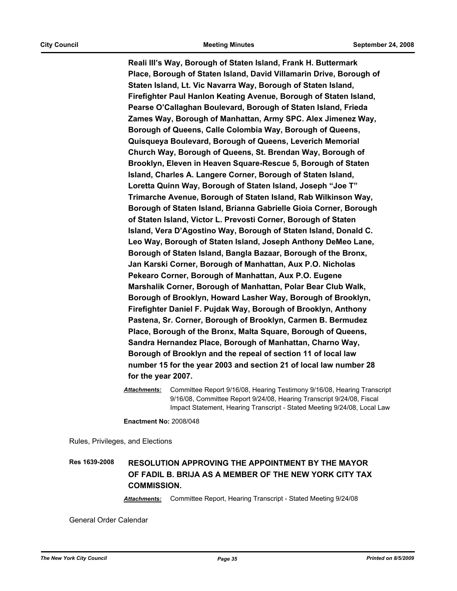**Reali III's Way, Borough of Staten Island, Frank H. Buttermark Place, Borough of Staten Island, David Villamarin Drive, Borough of Staten Island, Lt. Vic Navarra Way, Borough of Staten Island, Firefighter Paul Hanlon Keating Avenue, Borough of Staten Island, Pearse O'Callaghan Boulevard, Borough of Staten Island, Frieda Zames Way, Borough of Manhattan, Army SPC. Alex Jimenez Way, Borough of Queens, Calle Colombia Way, Borough of Queens, Quisqueya Boulevard, Borough of Queens, Leverich Memorial Church Way, Borough of Queens, St. Brendan Way, Borough of Brooklyn, Eleven in Heaven Square-Rescue 5, Borough of Staten Island, Charles A. Langere Corner, Borough of Staten Island, Loretta Quinn Way, Borough of Staten Island, Joseph "Joe T" Trimarche Avenue, Borough of Staten Island, Rab Wilkinson Way, Borough of Staten Island, Brianna Gabrielle Gioia Corner, Borough of Staten Island, Victor L. Prevosti Corner, Borough of Staten Island, Vera D'Agostino Way, Borough of Staten Island, Donald C. Leo Way, Borough of Staten Island, Joseph Anthony DeMeo Lane, Borough of Staten Island, Bangla Bazaar, Borough of the Bronx, Jan Karski Corner, Borough of Manhattan, Aux P.O. Nicholas Pekearo Corner, Borough of Manhattan, Aux P.O. Eugene Marshalik Corner, Borough of Manhattan, Polar Bear Club Walk, Borough of Brooklyn, Howard Lasher Way, Borough of Brooklyn, Firefighter Daniel F. Pujdak Way, Borough of Brooklyn, Anthony Pastena, Sr. Corner, Borough of Brooklyn, Carmen B. Bermudez Place, Borough of the Bronx, Malta Square, Borough of Queens, Sandra Hernandez Place, Borough of Manhattan, Charno Way, Borough of Brooklyn and the repeal of section 11 of local law number 15 for the year 2003 and section 21 of local law number 28 for the year 2007.**

*Attachments:* Committee Report 9/16/08, Hearing Testimony 9/16/08, Hearing Transcript 9/16/08, Committee Report 9/24/08, Hearing Transcript 9/24/08, Fiscal Impact Statement, Hearing Transcript - Stated Meeting 9/24/08, Local Law

**Enactment No:** 2008/048

Rules, Privileges, and Elections

## **Res 1639-2008 RESOLUTION APPROVING THE APPOINTMENT BY THE MAYOR OF FADIL B. BRIJA AS A MEMBER OF THE NEW YORK CITY TAX COMMISSION.**

*Attachments:* Committee Report, Hearing Transcript - Stated Meeting 9/24/08

General Order Calendar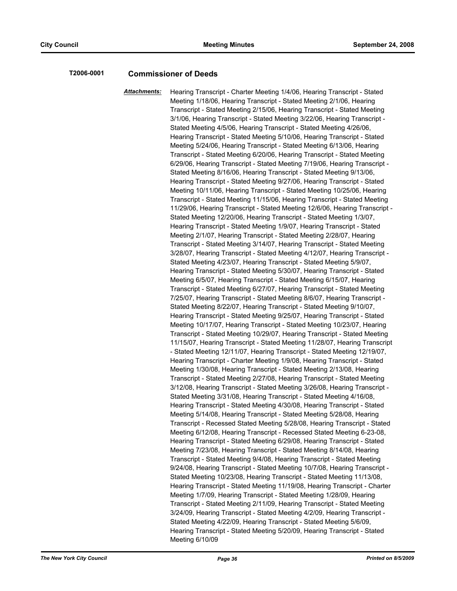## **T2006-0001 Commissioner of Deeds**

*Attachments:* Hearing Transcript - Charter Meeting 1/4/06, Hearing Transcript - Stated Meeting 1/18/06, Hearing Transcript - Stated Meeting 2/1/06, Hearing Transcript - Stated Meeting 2/15/06, Hearing Transcript - Stated Meeting 3/1/06, Hearing Transcript - Stated Meeting 3/22/06, Hearing Transcript - Stated Meeting 4/5/06, Hearing Transcript - Stated Meeting 4/26/06, Hearing Transcript - Stated Meeting 5/10/06, Hearing Transcript - Stated Meeting 5/24/06, Hearing Transcript - Stated Meeting 6/13/06, Hearing Transcript - Stated Meeting 6/20/06, Hearing Transcript - Stated Meeting 6/29/06, Hearing Transcript - Stated Meeting 7/19/06, Hearing Transcript - Stated Meeting 8/16/06, Hearing Transcript - Stated Meeting 9/13/06, Hearing Transcript - Stated Meeting 9/27/06, Hearing Transcript - Stated Meeting 10/11/06, Hearing Transcript - Stated Meeting 10/25/06, Hearing Transcript - Stated Meeting 11/15/06, Hearing Transcript - Stated Meeting 11/29/06, Hearing Transcript - Stated Meeting 12/6/06, Hearing Transcript - Stated Meeting 12/20/06, Hearing Transcript - Stated Meeting 1/3/07, Hearing Transcript - Stated Meeting 1/9/07, Hearing Transcript - Stated Meeting 2/1/07, Hearing Transcript - Stated Meeting 2/28/07, Hearing Transcript - Stated Meeting 3/14/07, Hearing Transcript - Stated Meeting 3/28/07, Hearing Transcript - Stated Meeting 4/12/07, Hearing Transcript - Stated Meeting 4/23/07, Hearing Transcript - Stated Meeting 5/9/07, Hearing Transcript - Stated Meeting 5/30/07, Hearing Transcript - Stated Meeting 6/5/07, Hearing Transcript - Stated Meeting 6/15/07, Hearing Transcript - Stated Meeting 6/27/07, Hearing Transcript - Stated Meeting 7/25/07, Hearing Transcript - Stated Meeting 8/6/07, Hearing Transcript - Stated Meeting 8/22/07, Hearing Transcript - Stated Meeting 9/10/07, Hearing Transcript - Stated Meeting 9/25/07, Hearing Transcript - Stated Meeting 10/17/07, Hearing Transcript - Stated Meeting 10/23/07, Hearing Transcript - Stated Meeting 10/29/07, Hearing Transcript - Stated Meeting 11/15/07, Hearing Transcript - Stated Meeting 11/28/07, Hearing Transcript - Stated Meeting 12/11/07, Hearing Transcript - Stated Meeting 12/19/07, Hearing Transcript - Charter Meeting 1/9/08, Hearing Transcript - Stated Meeting 1/30/08, Hearing Transcript - Stated Meeting 2/13/08, Hearing Transcript - Stated Meeting 2/27/08, Hearing Transcript - Stated Meeting 3/12/08, Hearing Transcript - Stated Meeting 3/26/08, Hearing Transcript - Stated Meeting 3/31/08, Hearing Transcript - Stated Meeting 4/16/08, Hearing Transcript - Stated Meeting 4/30/08, Hearing Transcript - Stated Meeting 5/14/08, Hearing Transcript - Stated Meeting 5/28/08, Hearing Transcript - Recessed Stated Meeting 5/28/08, Hearing Transcript - Stated Meeting 6/12/08, Hearing Transcript - Recessed Stated Meeting 6-23-08, Hearing Transcript - Stated Meeting 6/29/08, Hearing Transcript - Stated Meeting 7/23/08, Hearing Transcript - Stated Meeting 8/14/08, Hearing Transcript - Stated Meeting 9/4/08, Hearing Transcript - Stated Meeting 9/24/08, Hearing Transcript - Stated Meeting 10/7/08, Hearing Transcript - Stated Meeting 10/23/08, Hearing Transcript - Stated Meeting 11/13/08, Hearing Transcript - Stated Meeting 11/19/08, Hearing Transcript - Charter Meeting 1/7/09, Hearing Transcript - Stated Meeting 1/28/09, Hearing Transcript - Stated Meeting 2/11/09, Hearing Transcript - Stated Meeting 3/24/09, Hearing Transcript - Stated Meeting 4/2/09, Hearing Transcript - Stated Meeting 4/22/09, Hearing Transcript - Stated Meeting 5/6/09, Hearing Transcript - Stated Meeting 5/20/09, Hearing Transcript - Stated Meeting 6/10/09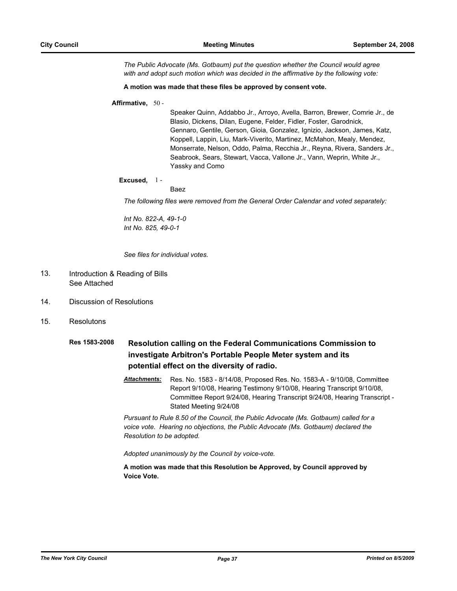*The Public Advocate (Ms. Gotbaum) put the question whether the Council would agree with and adopt such motion which was decided in the affirmative by the following vote:*

#### **A motion was made that these files be approved by consent vote.**

#### **Affirmative,** 50 -

Speaker Quinn, Addabbo Jr., Arroyo, Avella, Barron, Brewer, Comrie Jr., de Blasio, Dickens, Dilan, Eugene, Felder, Fidler, Foster, Garodnick, Gennaro, Gentile, Gerson, Gioia, Gonzalez, Ignizio, Jackson, James, Katz, Koppell, Lappin, Liu, Mark-Viverito, Martinez, McMahon, Mealy, Mendez, Monserrate, Nelson, Oddo, Palma, Recchia Jr., Reyna, Rivera, Sanders Jr., Seabrook, Sears, Stewart, Vacca, Vallone Jr., Vann, Weprin, White Jr., Yassky and Como

#### **Excused,** 1 -

#### Baez

*The following files were removed from the General Order Calendar and voted separately:*

*Int No. 822-A, 49-1-0 Int No. 825, 49-0-1* 

*See files for individual votes.*

#### Introduction & Reading of Bills See Attached 13.

- 14. Discussion of Resolutions
- 15. Resolutons
	- **Res 1583-2008 Resolution calling on the Federal Communications Commission to investigate Arbitron's Portable People Meter system and its potential effect on the diversity of radio.**
		- *Attachments:* Res. No. 1583 8/14/08, Proposed Res. No. 1583-A 9/10/08, Committee Report 9/10/08, Hearing Testimony 9/10/08, Hearing Transcript 9/10/08, Committee Report 9/24/08, Hearing Transcript 9/24/08, Hearing Transcript - Stated Meeting 9/24/08

*Pursuant to Rule 8.50 of the Council, the Public Advocate (Ms. Gotbaum) called for a voice vote. Hearing no objections, the Public Advocate (Ms. Gotbaum) declared the Resolution to be adopted.*

*Adopted unanimously by the Council by voice-vote.*

**A motion was made that this Resolution be Approved, by Council approved by Voice Vote.**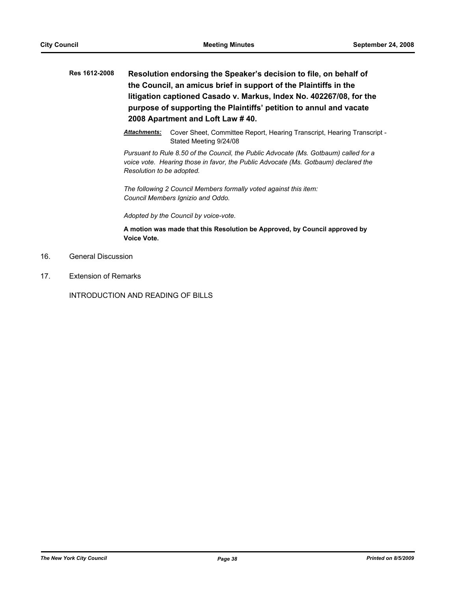- **Res 1612-2008 Resolution endorsing the Speaker's decision to file, on behalf of the Council, an amicus brief in support of the Plaintiffs in the litigation captioned Casado v. Markus, Index No. 402267/08, for the purpose of supporting the Plaintiffs' petition to annul and vacate 2008 Apartment and Loft Law # 40.**
	- *Attachments:* Cover Sheet, Committee Report, Hearing Transcript, Hearing Transcript Stated Meeting 9/24/08

*Pursuant to Rule 8.50 of the Council, the Public Advocate (Ms. Gotbaum) called for a voice vote. Hearing those in favor, the Public Advocate (Ms. Gotbaum) declared the Resolution to be adopted.*

*The following 2 Council Members formally voted against this item: Council Members Ignizio and Oddo.*

*Adopted by the Council by voice-vote.*

**A motion was made that this Resolution be Approved, by Council approved by Voice Vote.**

- 16. General Discussion
- 17. Extension of Remarks

INTRODUCTION AND READING OF BILLS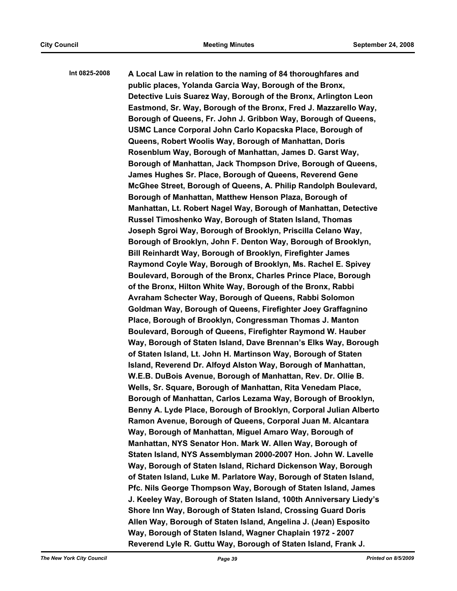**Int 0825-2008 A Local Law in relation to the naming of 84 thoroughfares and public places, Yolanda Garcia Way, Borough of the Bronx, Detective Luis Suarez Way, Borough of the Bronx, Arlington Leon Eastmond, Sr. Way, Borough of the Bronx, Fred J. Mazzarello Way, Borough of Queens, Fr. John J. Gribbon Way, Borough of Queens, USMC Lance Corporal John Carlo Kopacska Place, Borough of Queens, Robert Woolis Way, Borough of Manhattan, Doris Rosenblum Way, Borough of Manhattan, James D. Garst Way, Borough of Manhattan, Jack Thompson Drive, Borough of Queens, James Hughes Sr. Place, Borough of Queens, Reverend Gene McGhee Street, Borough of Queens, A. Philip Randolph Boulevard, Borough of Manhattan, Matthew Henson Plaza, Borough of Manhattan, Lt. Robert Nagel Way, Borough of Manhattan, Detective Russel Timoshenko Way, Borough of Staten Island, Thomas Joseph Sgroi Way, Borough of Brooklyn, Priscilla Celano Way, Borough of Brooklyn, John F. Denton Way, Borough of Brooklyn, Bill Reinhardt Way, Borough of Brooklyn, Firefighter James Raymond Coyle Way, Borough of Brooklyn, Ms. Rachel E. Spivey Boulevard, Borough of the Bronx, Charles Prince Place, Borough of the Bronx, Hilton White Way, Borough of the Bronx, Rabbi Avraham Schecter Way, Borough of Queens, Rabbi Solomon Goldman Way, Borough of Queens, Firefighter Joey Graffagnino Place, Borough of Brooklyn, Congressman Thomas J. Manton Boulevard, Borough of Queens, Firefighter Raymond W. Hauber Way, Borough of Staten Island, Dave Brennan's Elks Way, Borough of Staten Island, Lt. John H. Martinson Way, Borough of Staten Island, Reverend Dr. Alfoyd Alston Way, Borough of Manhattan, W.E.B. DuBois Avenue, Borough of Manhattan, Rev. Dr. Ollie B. Wells, Sr. Square, Borough of Manhattan, Rita Venedam Place, Borough of Manhattan, Carlos Lezama Way, Borough of Brooklyn, Benny A. Lyde Place, Borough of Brooklyn, Corporal Julian Alberto Ramon Avenue, Borough of Queens, Corporal Juan M. Alcantara Way, Borough of Manhattan, Miguel Amaro Way, Borough of Manhattan, NYS Senator Hon. Mark W. Allen Way, Borough of Staten Island, NYS Assemblyman 2000-2007 Hon. John W. Lavelle Way, Borough of Staten Island, Richard Dickenson Way, Borough of Staten Island, Luke M. Parlatore Way, Borough of Staten Island, Pfc. Nils George Thompson Way, Borough of Staten Island, James J. Keeley Way, Borough of Staten Island, 100th Anniversary Liedy's Shore Inn Way, Borough of Staten Island, Crossing Guard Doris Allen Way, Borough of Staten Island, Angelina J. (Jean) Esposito Way, Borough of Staten Island, Wagner Chaplain 1972 - 2007 Reverend Lyle R. Guttu Way, Borough of Staten Island, Frank J.**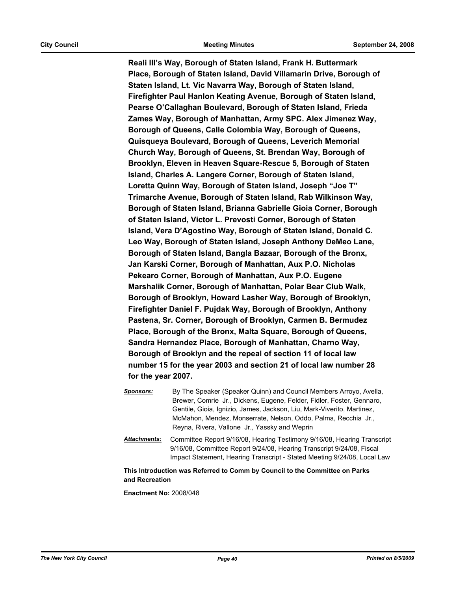**Reali III's Way, Borough of Staten Island, Frank H. Buttermark Place, Borough of Staten Island, David Villamarin Drive, Borough of Staten Island, Lt. Vic Navarra Way, Borough of Staten Island, Firefighter Paul Hanlon Keating Avenue, Borough of Staten Island, Pearse O'Callaghan Boulevard, Borough of Staten Island, Frieda Zames Way, Borough of Manhattan, Army SPC. Alex Jimenez Way, Borough of Queens, Calle Colombia Way, Borough of Queens, Quisqueya Boulevard, Borough of Queens, Leverich Memorial Church Way, Borough of Queens, St. Brendan Way, Borough of Brooklyn, Eleven in Heaven Square-Rescue 5, Borough of Staten Island, Charles A. Langere Corner, Borough of Staten Island, Loretta Quinn Way, Borough of Staten Island, Joseph "Joe T" Trimarche Avenue, Borough of Staten Island, Rab Wilkinson Way, Borough of Staten Island, Brianna Gabrielle Gioia Corner, Borough of Staten Island, Victor L. Prevosti Corner, Borough of Staten Island, Vera D'Agostino Way, Borough of Staten Island, Donald C. Leo Way, Borough of Staten Island, Joseph Anthony DeMeo Lane, Borough of Staten Island, Bangla Bazaar, Borough of the Bronx, Jan Karski Corner, Borough of Manhattan, Aux P.O. Nicholas Pekearo Corner, Borough of Manhattan, Aux P.O. Eugene Marshalik Corner, Borough of Manhattan, Polar Bear Club Walk, Borough of Brooklyn, Howard Lasher Way, Borough of Brooklyn, Firefighter Daniel F. Pujdak Way, Borough of Brooklyn, Anthony Pastena, Sr. Corner, Borough of Brooklyn, Carmen B. Bermudez Place, Borough of the Bronx, Malta Square, Borough of Queens, Sandra Hernandez Place, Borough of Manhattan, Charno Way, Borough of Brooklyn and the repeal of section 11 of local law number 15 for the year 2003 and section 21 of local law number 28 for the year 2007.**

*Sponsors:* By The Speaker (Speaker Quinn) and Council Members Arroyo, Avella, Brewer, Comrie Jr., Dickens, Eugene, Felder, Fidler, Foster, Gennaro, Gentile, Gioia, Ignizio, James, Jackson, Liu, Mark-Viverito, Martinez, McMahon, Mendez, Monserrate, Nelson, Oddo, Palma, Recchia Jr., Reyna, Rivera, Vallone Jr., Yassky and Weprin *Attachments:* Committee Report 9/16/08, Hearing Testimony 9/16/08, Hearing Transcript 9/16/08, Committee Report 9/24/08, Hearing Transcript 9/24/08, Fiscal

**This Introduction was Referred to Comm by Council to the Committee on Parks and Recreation**

Impact Statement, Hearing Transcript - Stated Meeting 9/24/08, Local Law

**Enactment No:** 2008/048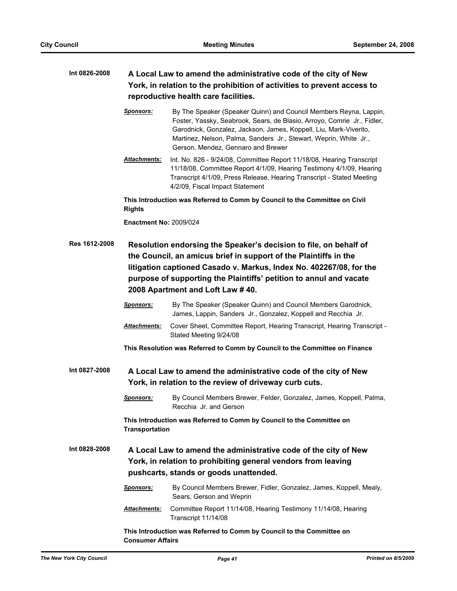## **Int 0826-2008 A Local Law to amend the administrative code of the city of New York, in relation to the prohibition of activities to prevent access to reproductive health care facilities.**

*Sponsors:* By The Speaker (Speaker Quinn) and Council Members Reyna, Lappin, Foster, Yassky, Seabrook, Sears, de Blasio, Arroyo, Comrie Jr., Fidler, Garodnick, Gonzalez, Jackson, James, Koppell, Liu, Mark-Viverito, Martinez, Nelson, Palma, Sanders Jr., Stewart, Weprin, White Jr., Gerson, Mendez, Gennaro and Brewer

*Attachments:* Int. No. 826 - 9/24/08, Committee Report 11/18/08, Hearing Transcript 11/18/08, Committee Report 4/1/09, Hearing Testimony 4/1/09, Hearing Transcript 4/1/09, Press Release, Hearing Transcript - Stated Meeting 4/2/09, Fiscal Impact Statement

**This Introduction was Referred to Comm by Council to the Committee on Civil Rights**

**Enactment No:** 2009/024

- **Res 1612-2008 Resolution endorsing the Speaker's decision to file, on behalf of the Council, an amicus brief in support of the Plaintiffs in the litigation captioned Casado v. Markus, Index No. 402267/08, for the purpose of supporting the Plaintiffs' petition to annul and vacate 2008 Apartment and Loft Law # 40.**
	- *Sponsors:* By The Speaker (Speaker Quinn) and Council Members Garodnick, James, Lappin, Sanders Jr., Gonzalez, Koppell and Recchia Jr.
	- *Attachments:* Cover Sheet, Committee Report, Hearing Transcript, Hearing Transcript Stated Meeting 9/24/08
	- **This Resolution was Referred to Comm by Council to the Committee on Finance**

**Int 0827-2008 A Local Law to amend the administrative code of the city of New York, in relation to the review of driveway curb cuts.**

> *Sponsors:* By Council Members Brewer, Felder, Gonzalez, James, Koppell, Palma, Recchia Jr. and Gerson

**This Introduction was Referred to Comm by Council to the Committee on Transportation**

**Int 0828-2008 A Local Law to amend the administrative code of the city of New York, in relation to prohibiting general vendors from leaving pushcarts, stands or goods unattended.**

> *Sponsors:* By Council Members Brewer, Fidler, Gonzalez, James, Koppell, Mealy, Sears, Gerson and Weprin *Attachments:* Committee Report 11/14/08, Hearing Testimony 11/14/08, Hearing Transcript 11/14/08

**This Introduction was Referred to Comm by Council to the Committee on Consumer Affairs**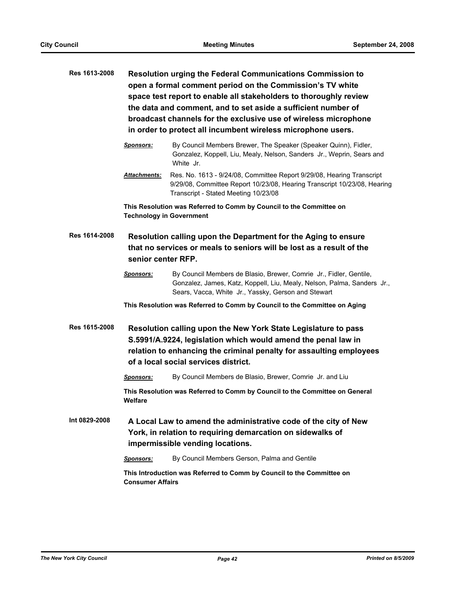| Res 1613-2008 | <b>Resolution urging the Federal Communications Commission to</b><br>open a formal comment period on the Commission's TV white<br>space test report to enable all stakeholders to thoroughly review<br>the data and comment, and to set aside a sufficient number of<br>broadcast channels for the exclusive use of wireless microphone<br>in order to protect all incumbent wireless microphone users. |                                                                                                                                                                                                      |  |
|---------------|---------------------------------------------------------------------------------------------------------------------------------------------------------------------------------------------------------------------------------------------------------------------------------------------------------------------------------------------------------------------------------------------------------|------------------------------------------------------------------------------------------------------------------------------------------------------------------------------------------------------|--|
|               | <b>Sponsors:</b>                                                                                                                                                                                                                                                                                                                                                                                        | By Council Members Brewer, The Speaker (Speaker Quinn), Fidler,<br>Gonzalez, Koppell, Liu, Mealy, Nelson, Sanders Jr., Weprin, Sears and<br>White Jr.                                                |  |
|               | Attachments:                                                                                                                                                                                                                                                                                                                                                                                            | Res. No. 1613 - 9/24/08, Committee Report 9/29/08, Hearing Transcript<br>9/29/08, Committee Report 10/23/08, Hearing Transcript 10/23/08, Hearing<br>Transcript - Stated Meeting 10/23/08            |  |
|               | <b>Technology in Government</b>                                                                                                                                                                                                                                                                                                                                                                         | This Resolution was Referred to Comm by Council to the Committee on                                                                                                                                  |  |
| Res 1614-2008 | Resolution calling upon the Department for the Aging to ensure<br>that no services or meals to seniors will be lost as a result of the<br>senior center RFP.                                                                                                                                                                                                                                            |                                                                                                                                                                                                      |  |
|               | <b>Sponsors:</b>                                                                                                                                                                                                                                                                                                                                                                                        | By Council Members de Blasio, Brewer, Comrie Jr., Fidler, Gentile,<br>Gonzalez, James, Katz, Koppell, Liu, Mealy, Nelson, Palma, Sanders Jr.,<br>Sears, Vacca, White Jr., Yassky, Gerson and Stewart |  |
|               |                                                                                                                                                                                                                                                                                                                                                                                                         | This Resolution was Referred to Comm by Council to the Committee on Aging                                                                                                                            |  |
| Res 1615-2008 | Resolution calling upon the New York State Legislature to pass<br>S.5991/A.9224, legislation which would amend the penal law in<br>relation to enhancing the criminal penalty for assaulting employees<br>of a local social services district.                                                                                                                                                          |                                                                                                                                                                                                      |  |
|               | <b>Sponsors:</b>                                                                                                                                                                                                                                                                                                                                                                                        | By Council Members de Blasio, Brewer, Comrie Jr. and Liu                                                                                                                                             |  |
|               | <b>Welfare</b>                                                                                                                                                                                                                                                                                                                                                                                          | This Resolution was Referred to Comm by Council to the Committee on General                                                                                                                          |  |
| Int 0829-2008 |                                                                                                                                                                                                                                                                                                                                                                                                         | A Local Law to amend the administrative code of the city of New<br>York, in relation to requiring demarcation on sidewalks of<br>impermissible vending locations.                                    |  |
|               | <b>Sponsors:</b>                                                                                                                                                                                                                                                                                                                                                                                        | By Council Members Gerson, Palma and Gentile                                                                                                                                                         |  |
|               | <b>Consumer Affairs</b>                                                                                                                                                                                                                                                                                                                                                                                 | This Introduction was Referred to Comm by Council to the Committee on                                                                                                                                |  |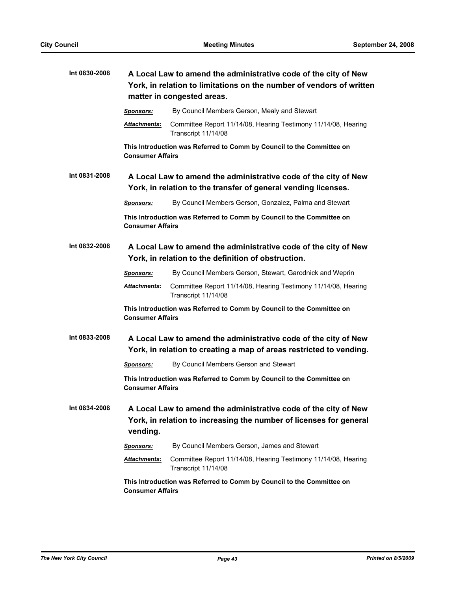| Int 0830-2008 | A Local Law to amend the administrative code of the city of New<br>York, in relation to limitations on the number of vendors of written<br>matter in congested areas. |                                                                                                                                       |
|---------------|-----------------------------------------------------------------------------------------------------------------------------------------------------------------------|---------------------------------------------------------------------------------------------------------------------------------------|
|               | <u>Sponsors:</u>                                                                                                                                                      | By Council Members Gerson, Mealy and Stewart                                                                                          |
|               | Attachments:                                                                                                                                                          | Committee Report 11/14/08, Hearing Testimony 11/14/08, Hearing<br>Transcript 11/14/08                                                 |
|               | <b>Consumer Affairs</b>                                                                                                                                               | This Introduction was Referred to Comm by Council to the Committee on                                                                 |
| Int 0831-2008 |                                                                                                                                                                       | A Local Law to amend the administrative code of the city of New<br>York, in relation to the transfer of general vending licenses.     |
|               | <b>Sponsors:</b>                                                                                                                                                      | By Council Members Gerson, Gonzalez, Palma and Stewart                                                                                |
|               | <b>Consumer Affairs</b>                                                                                                                                               | This Introduction was Referred to Comm by Council to the Committee on                                                                 |
| Int 0832-2008 | A Local Law to amend the administrative code of the city of New<br>York, in relation to the definition of obstruction.                                                |                                                                                                                                       |
|               | <b>Sponsors:</b>                                                                                                                                                      | By Council Members Gerson, Stewart, Garodnick and Weprin                                                                              |
|               | <b>Attachments:</b>                                                                                                                                                   | Committee Report 11/14/08, Hearing Testimony 11/14/08, Hearing<br>Transcript 11/14/08                                                 |
|               | <b>Consumer Affairs</b>                                                                                                                                               | This Introduction was Referred to Comm by Council to the Committee on                                                                 |
| Int 0833-2008 | A Local Law to amend the administrative code of the city of New<br>York, in relation to creating a map of areas restricted to vending.                                |                                                                                                                                       |
|               | <b>Sponsors:</b>                                                                                                                                                      | By Council Members Gerson and Stewart                                                                                                 |
|               | <b>Consumer Affairs</b>                                                                                                                                               | This Introduction was Referred to Comm by Council to the Committee on                                                                 |
| Int 0834-2008 | vending.                                                                                                                                                              | A Local Law to amend the administrative code of the city of New<br>York, in relation to increasing the number of licenses for general |
|               | <u>Sponsors:</u>                                                                                                                                                      | By Council Members Gerson, James and Stewart                                                                                          |
|               | <b>Attachments:</b>                                                                                                                                                   | Committee Report 11/14/08, Hearing Testimony 11/14/08, Hearing<br>Transcript 11/14/08                                                 |
|               | This Introduction was Referred to Comm by Council to the Committee on<br><b>Consumer Affairs</b>                                                                      |                                                                                                                                       |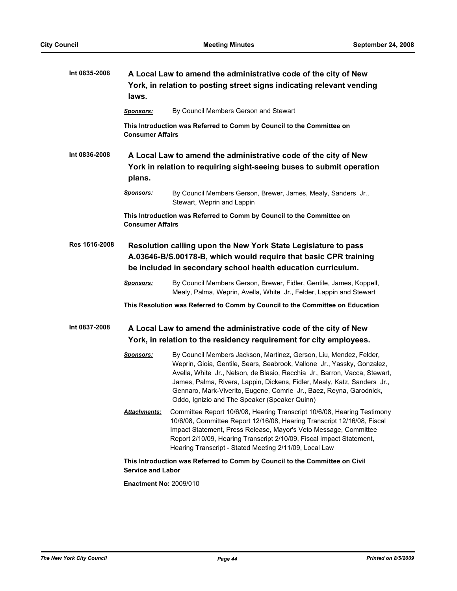| Int 0835-2008 | laws.                                                                                                                                                                                              | A Local Law to amend the administrative code of the city of New<br>York, in relation to posting street signs indicating relevant vending                                                                                                                                                                                                                                                                                        |
|---------------|----------------------------------------------------------------------------------------------------------------------------------------------------------------------------------------------------|---------------------------------------------------------------------------------------------------------------------------------------------------------------------------------------------------------------------------------------------------------------------------------------------------------------------------------------------------------------------------------------------------------------------------------|
|               | <u>Sponsors:</u>                                                                                                                                                                                   | By Council Members Gerson and Stewart                                                                                                                                                                                                                                                                                                                                                                                           |
|               | <b>Consumer Affairs</b>                                                                                                                                                                            | This Introduction was Referred to Comm by Council to the Committee on                                                                                                                                                                                                                                                                                                                                                           |
| Int 0836-2008 | plans.                                                                                                                                                                                             | A Local Law to amend the administrative code of the city of New<br>York in relation to requiring sight-seeing buses to submit operation                                                                                                                                                                                                                                                                                         |
|               | <b>Sponsors:</b>                                                                                                                                                                                   | By Council Members Gerson, Brewer, James, Mealy, Sanders Jr.,<br>Stewart, Weprin and Lappin                                                                                                                                                                                                                                                                                                                                     |
|               | <b>Consumer Affairs</b>                                                                                                                                                                            | This Introduction was Referred to Comm by Council to the Committee on                                                                                                                                                                                                                                                                                                                                                           |
| Res 1616-2008 | Resolution calling upon the New York State Legislature to pass<br>A.03646-B/S.00178-B, which would require that basic CPR training<br>be included in secondary school health education curriculum. |                                                                                                                                                                                                                                                                                                                                                                                                                                 |
|               | <b>Sponsors:</b>                                                                                                                                                                                   | By Council Members Gerson, Brewer, Fidler, Gentile, James, Koppell,<br>Mealy, Palma, Weprin, Avella, White Jr., Felder, Lappin and Stewart                                                                                                                                                                                                                                                                                      |
|               |                                                                                                                                                                                                    | This Resolution was Referred to Comm by Council to the Committee on Education                                                                                                                                                                                                                                                                                                                                                   |
| Int 0837-2008 |                                                                                                                                                                                                    | A Local Law to amend the administrative code of the city of New<br>York, in relation to the residency requirement for city employees.                                                                                                                                                                                                                                                                                           |
|               | <b>Sponsors:</b>                                                                                                                                                                                   | By Council Members Jackson, Martinez, Gerson, Liu, Mendez, Felder,<br>Weprin, Gioia, Gentile, Sears, Seabrook, Vallone Jr., Yassky, Gonzalez,<br>Avella, White Jr., Nelson, de Blasio, Recchia Jr., Barron, Vacca, Stewart,<br>James, Palma, Rivera, Lappin, Dickens, Fidler, Mealy, Katz, Sanders Jr.,<br>Gennaro, Mark-Viverito, Eugene, Comrie Jr., Baez, Reyna, Garodnick,<br>Oddo, Ignizio and The Speaker (Speaker Quinn) |
|               | Attachments:                                                                                                                                                                                       | Committee Report 10/6/08, Hearing Transcript 10/6/08, Hearing Testimony<br>10/6/08, Committee Report 12/16/08, Hearing Transcript 12/16/08, Fiscal<br>Impact Statement, Press Release, Mayor's Veto Message, Committee<br>Report 2/10/09, Hearing Transcript 2/10/09, Fiscal Impact Statement,<br>Hearing Transcript - Stated Meeting 2/11/09, Local Law                                                                        |
|               | <b>Service and Labor</b>                                                                                                                                                                           | This Introduction was Referred to Comm by Council to the Committee on Civil                                                                                                                                                                                                                                                                                                                                                     |

**Enactment No:** 2009/010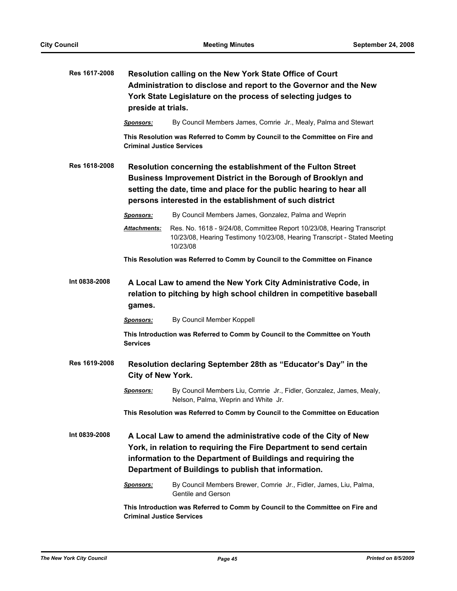| Res 1617-2008        | Resolution calling on the New York State Office of Court<br>Administration to disclose and report to the Governor and the New<br>York State Legislature on the process of selecting judges to<br>preside at trials. |                                                                                                                                                                                                                                                                 |  |
|----------------------|---------------------------------------------------------------------------------------------------------------------------------------------------------------------------------------------------------------------|-----------------------------------------------------------------------------------------------------------------------------------------------------------------------------------------------------------------------------------------------------------------|--|
|                      | <u>Sponsors:</u>                                                                                                                                                                                                    | By Council Members James, Comrie Jr., Mealy, Palma and Stewart                                                                                                                                                                                                  |  |
|                      | <b>Criminal Justice Services</b>                                                                                                                                                                                    | This Resolution was Referred to Comm by Council to the Committee on Fire and                                                                                                                                                                                    |  |
| Res 1618-2008        |                                                                                                                                                                                                                     | Resolution concerning the establishment of the Fulton Street<br>Business Improvement District in the Borough of Brooklyn and<br>setting the date, time and place for the public hearing to hear all<br>persons interested in the establishment of such district |  |
|                      | <b>Sponsors:</b>                                                                                                                                                                                                    | By Council Members James, Gonzalez, Palma and Weprin                                                                                                                                                                                                            |  |
|                      | Attachments:                                                                                                                                                                                                        | Res. No. 1618 - 9/24/08, Committee Report 10/23/08, Hearing Transcript<br>10/23/08, Hearing Testimony 10/23/08, Hearing Transcript - Stated Meeting<br>10/23/08                                                                                                 |  |
|                      |                                                                                                                                                                                                                     | This Resolution was Referred to Comm by Council to the Committee on Finance                                                                                                                                                                                     |  |
| Int 0838-2008        | games.                                                                                                                                                                                                              | A Local Law to amend the New York City Administrative Code, in<br>relation to pitching by high school children in competitive baseball                                                                                                                          |  |
|                      | <b>Sponsors:</b>                                                                                                                                                                                                    | By Council Member Koppell                                                                                                                                                                                                                                       |  |
|                      | <b>Services</b>                                                                                                                                                                                                     | This Introduction was Referred to Comm by Council to the Committee on Youth                                                                                                                                                                                     |  |
| <b>Res 1619-2008</b> | Resolution declaring September 28th as "Educator's Day" in the<br>City of New York.                                                                                                                                 |                                                                                                                                                                                                                                                                 |  |
|                      | <b>Sponsors:</b>                                                                                                                                                                                                    | By Council Members Liu, Comrie Jr., Fidler, Gonzalez, James, Mealy,<br>Nelson, Palma, Weprin and White Jr.                                                                                                                                                      |  |
|                      |                                                                                                                                                                                                                     | This Resolution was Referred to Comm by Council to the Committee on Education                                                                                                                                                                                   |  |
| Int 0839-2008        |                                                                                                                                                                                                                     | A Local Law to amend the administrative code of the City of New<br>York, in relation to requiring the Fire Department to send certain<br>information to the Department of Buildings and requiring the<br>Department of Buildings to publish that information.   |  |
|                      | <b>Sponsors:</b>                                                                                                                                                                                                    | By Council Members Brewer, Comrie Jr., Fidler, James, Liu, Palma,<br>Gentile and Gerson                                                                                                                                                                         |  |
|                      | This Introduction was Referred to Comm by Council to the Committee on Fire and<br><b>Criminal Justice Services</b>                                                                                                  |                                                                                                                                                                                                                                                                 |  |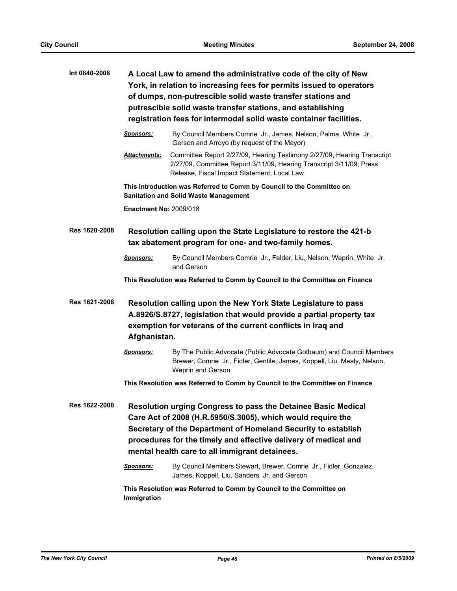| Int 0840-2008 | A Local Law to amend the administrative code of the city of New<br>York, in relation to increasing fees for permits issued to operators<br>of dumps, non-putrescible solid waste transfer stations and<br>putrescible solid waste transfer stations, and establishing<br>registration fees for intermodal solid waste container facilities. |                                                                                                                                                                                                                                                                                                                    |  |
|---------------|---------------------------------------------------------------------------------------------------------------------------------------------------------------------------------------------------------------------------------------------------------------------------------------------------------------------------------------------|--------------------------------------------------------------------------------------------------------------------------------------------------------------------------------------------------------------------------------------------------------------------------------------------------------------------|--|
|               | <b>Sponsors:</b>                                                                                                                                                                                                                                                                                                                            | By Council Members Comrie Jr., James, Nelson, Palma, White Jr.,<br>Gerson and Arroyo (by request of the Mayor)                                                                                                                                                                                                     |  |
|               | <b>Attachments:</b>                                                                                                                                                                                                                                                                                                                         | Committee Report 2/27/09, Hearing Testimony 2/27/09, Hearing Transcript<br>2/27/09, Committee Report 3/11/09, Hearing Transcript 3/11/09, Press<br>Release, Fiscal Impact Statement, Local Law                                                                                                                     |  |
|               |                                                                                                                                                                                                                                                                                                                                             | This Introduction was Referred to Comm by Council to the Committee on<br><b>Sanitation and Solid Waste Management</b>                                                                                                                                                                                              |  |
|               | <b>Enactment No: 2009/018</b>                                                                                                                                                                                                                                                                                                               |                                                                                                                                                                                                                                                                                                                    |  |
| Res 1620-2008 |                                                                                                                                                                                                                                                                                                                                             | Resolution calling upon the State Legislature to restore the 421-b<br>tax abatement program for one- and two-family homes.                                                                                                                                                                                         |  |
|               | <b>Sponsors:</b>                                                                                                                                                                                                                                                                                                                            | By Council Members Comrie Jr., Felder, Liu, Nelson, Weprin, White Jr.<br>and Gerson                                                                                                                                                                                                                                |  |
|               |                                                                                                                                                                                                                                                                                                                                             | This Resolution was Referred to Comm by Council to the Committee on Finance                                                                                                                                                                                                                                        |  |
| Res 1621-2008 |                                                                                                                                                                                                                                                                                                                                             | Resolution calling upon the New York State Legislature to pass<br>A.8926/S.8727, legislation that would provide a partial property tax<br>exemption for veterans of the current conflicts in Iraq and<br>Afghanistan.                                                                                              |  |
|               | <u>Sponsors:</u>                                                                                                                                                                                                                                                                                                                            | By The Public Advocate (Public Advocate Gotbaum) and Council Members<br>Brewer, Comrie Jr., Fidler, Gentile, James, Koppell, Liu, Mealy, Nelson,<br>Weprin and Gerson                                                                                                                                              |  |
|               |                                                                                                                                                                                                                                                                                                                                             | This Resolution was Referred to Comm by Council to the Committee on Finance                                                                                                                                                                                                                                        |  |
| Res 1622-2008 |                                                                                                                                                                                                                                                                                                                                             | Resolution urging Congress to pass the Detainee Basic Medical<br>Care Act of 2008 (H.R.5950/S.3005), which would require the<br>Secretary of the Department of Homeland Security to establish<br>procedures for the timely and effective delivery of medical and<br>mental health care to all immigrant detainees. |  |
|               | <b>Sponsors:</b>                                                                                                                                                                                                                                                                                                                            | By Council Members Stewart, Brewer, Comrie Jr., Fidler, Gonzalez,<br>James, Koppell, Liu, Sanders Jr. and Gerson                                                                                                                                                                                                   |  |
|               | Immigration                                                                                                                                                                                                                                                                                                                                 | This Resolution was Referred to Comm by Council to the Committee on                                                                                                                                                                                                                                                |  |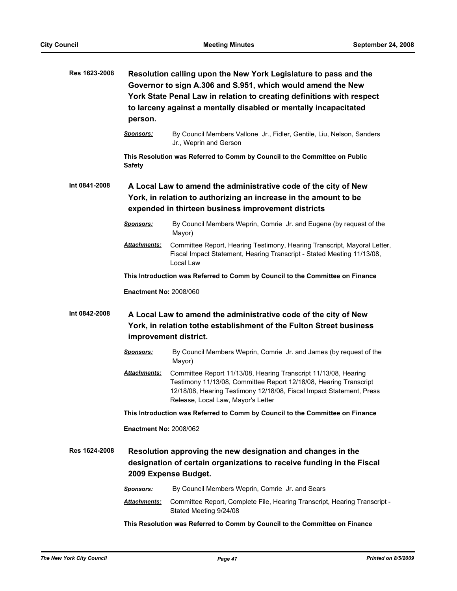| Res 1623-2008 | Resolution calling upon the New York Legislature to pass and the<br>Governor to sign A.306 and S.951, which would amend the New<br>York State Penal Law in relation to creating definitions with respect<br>to larceny against a mentally disabled or mentally incapacitated<br>person. |                                                                                                                                                                                                                                                    |  |
|---------------|-----------------------------------------------------------------------------------------------------------------------------------------------------------------------------------------------------------------------------------------------------------------------------------------|----------------------------------------------------------------------------------------------------------------------------------------------------------------------------------------------------------------------------------------------------|--|
|               | <u>Sponsors:</u>                                                                                                                                                                                                                                                                        | By Council Members Vallone Jr., Fidler, Gentile, Liu, Nelson, Sanders<br>Jr., Weprin and Gerson                                                                                                                                                    |  |
|               | <b>Safety</b>                                                                                                                                                                                                                                                                           | This Resolution was Referred to Comm by Council to the Committee on Public                                                                                                                                                                         |  |
| Int 0841-2008 |                                                                                                                                                                                                                                                                                         | A Local Law to amend the administrative code of the city of New<br>York, in relation to authorizing an increase in the amount to be<br>expended in thirteen business improvement districts                                                         |  |
|               | <b>Sponsors:</b>                                                                                                                                                                                                                                                                        | By Council Members Weprin, Comrie Jr. and Eugene (by request of the<br>Mayor)                                                                                                                                                                      |  |
|               | Attachments:                                                                                                                                                                                                                                                                            | Committee Report, Hearing Testimony, Hearing Transcript, Mayoral Letter,<br>Fiscal Impact Statement, Hearing Transcript - Stated Meeting 11/13/08,<br>Local Law                                                                                    |  |
|               |                                                                                                                                                                                                                                                                                         | This Introduction was Referred to Comm by Council to the Committee on Finance                                                                                                                                                                      |  |
|               | <b>Enactment No: 2008/060</b>                                                                                                                                                                                                                                                           |                                                                                                                                                                                                                                                    |  |
| Int 0842-2008 |                                                                                                                                                                                                                                                                                         | A Local Law to amend the administrative code of the city of New<br>York, in relation tothe establishment of the Fulton Street business<br>improvement district.                                                                                    |  |
|               | <u>Sponsors:</u>                                                                                                                                                                                                                                                                        | By Council Members Weprin, Comrie Jr. and James (by request of the<br>Mayor)                                                                                                                                                                       |  |
|               | Attachments:                                                                                                                                                                                                                                                                            | Committee Report 11/13/08, Hearing Transcript 11/13/08, Hearing<br>Testimony 11/13/08, Committee Report 12/18/08, Hearing Transcript<br>12/18/08, Hearing Testimony 12/18/08, Fiscal Impact Statement, Press<br>Release, Local Law, Mayor's Letter |  |
|               | This Introduction was Referred to Comm by Council to the Committee on Finance                                                                                                                                                                                                           |                                                                                                                                                                                                                                                    |  |
|               | <b>Enactment No: 2008/062</b>                                                                                                                                                                                                                                                           |                                                                                                                                                                                                                                                    |  |
| Res 1624-2008 | Resolution approving the new designation and changes in the<br>designation of certain organizations to receive funding in the Fiscal<br>2009 Expense Budget.                                                                                                                            |                                                                                                                                                                                                                                                    |  |
|               | <b>Sponsors:</b>                                                                                                                                                                                                                                                                        | By Council Members Weprin, Comrie Jr. and Sears                                                                                                                                                                                                    |  |
|               | Attachments:                                                                                                                                                                                                                                                                            | Committee Report, Complete File, Hearing Transcript, Hearing Transcript -<br>Stated Meeting 9/24/08                                                                                                                                                |  |
|               |                                                                                                                                                                                                                                                                                         | This Resolution was Referred to Comm by Council to the Committee on Finance                                                                                                                                                                        |  |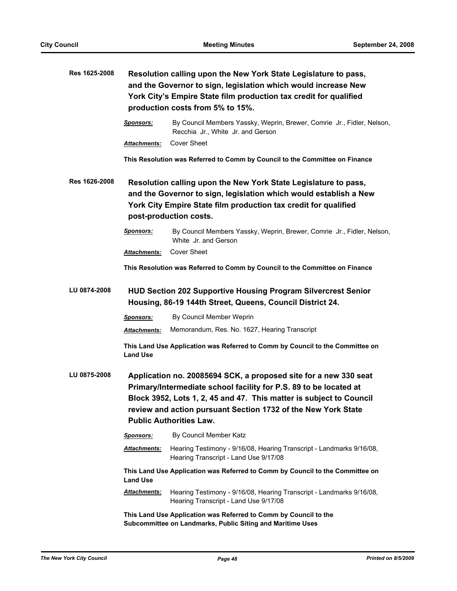| Res 1625-2008 |                                                                                                                                   | Resolution calling upon the New York State Legislature to pass,<br>and the Governor to sign, legislation which would increase New<br>York City's Empire State film production tax credit for qualified<br>production costs from 5% to 15%.                                                                      |
|---------------|-----------------------------------------------------------------------------------------------------------------------------------|-----------------------------------------------------------------------------------------------------------------------------------------------------------------------------------------------------------------------------------------------------------------------------------------------------------------|
|               | <u>Sponsors:</u>                                                                                                                  | By Council Members Yassky, Weprin, Brewer, Comrie Jr., Fidler, Nelson,<br>Recchia Jr., White Jr. and Gerson                                                                                                                                                                                                     |
|               | Attachments:                                                                                                                      | <b>Cover Sheet</b>                                                                                                                                                                                                                                                                                              |
|               |                                                                                                                                   | This Resolution was Referred to Comm by Council to the Committee on Finance                                                                                                                                                                                                                                     |
| Res 1626-2008 |                                                                                                                                   | Resolution calling upon the New York State Legislature to pass,<br>and the Governor to sign, legislation which would establish a New<br>York City Empire State film production tax credit for qualified<br>post-production costs.                                                                               |
|               | <b>Sponsors:</b>                                                                                                                  | By Council Members Yassky, Weprin, Brewer, Comrie Jr., Fidler, Nelson,<br>White Jr. and Gerson                                                                                                                                                                                                                  |
|               | Attachments:                                                                                                                      | <b>Cover Sheet</b>                                                                                                                                                                                                                                                                                              |
|               |                                                                                                                                   | This Resolution was Referred to Comm by Council to the Committee on Finance                                                                                                                                                                                                                                     |
| LU 0874-2008  | <b>HUD Section 202 Supportive Housing Program Silvercrest Senior</b><br>Housing, 86-19 144th Street, Queens, Council District 24. |                                                                                                                                                                                                                                                                                                                 |
|               | <b>Sponsors:</b>                                                                                                                  | By Council Member Weprin                                                                                                                                                                                                                                                                                        |
|               | Attachments:                                                                                                                      | Memorandum, Res. No. 1627, Hearing Transcript                                                                                                                                                                                                                                                                   |
|               | <b>Land Use</b>                                                                                                                   | This Land Use Application was Referred to Comm by Council to the Committee on                                                                                                                                                                                                                                   |
| LU 0875-2008  |                                                                                                                                   | Application no. 20085694 SCK, a proposed site for a new 330 seat<br>Primary/Intermediate school facility for P.S. 89 to be located at<br>Block 3952, Lots 1, 2, 45 and 47. This matter is subject to Council<br>review and action pursuant Section 1732 of the New York State<br><b>Public Authorities Law.</b> |
|               | Sponsors:                                                                                                                         | By Council Member Katz                                                                                                                                                                                                                                                                                          |
|               | Attachments:                                                                                                                      | Hearing Testimony - 9/16/08, Hearing Transcript - Landmarks 9/16/08,<br>Hearing Transcript - Land Use 9/17/08                                                                                                                                                                                                   |
|               | <b>Land Use</b>                                                                                                                   | This Land Use Application was Referred to Comm by Council to the Committee on                                                                                                                                                                                                                                   |
|               | Attachments:                                                                                                                      | Hearing Testimony - 9/16/08, Hearing Transcript - Landmarks 9/16/08,<br>Hearing Transcript - Land Use 9/17/08                                                                                                                                                                                                   |
|               |                                                                                                                                   | This Land Use Application was Referred to Comm by Council to the<br>Subcommittee on Landmarks, Public Siting and Maritime Uses                                                                                                                                                                                  |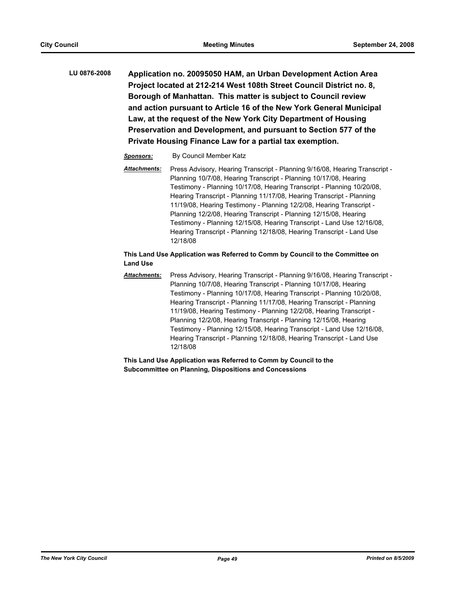**LU 0876-2008 Application no. 20095050 HAM, an Urban Development Action Area Project located at 212-214 West 108th Street Council District no. 8, Borough of Manhattan. This matter is subject to Council review and action pursuant to Article 16 of the New York General Municipal Law, at the request of the New York City Department of Housing Preservation and Development, and pursuant to Section 577 of the Private Housing Finance Law for a partial tax exemption.**

## *Sponsors:* By Council Member Katz

*Attachments:* Press Advisory, Hearing Transcript - Planning 9/16/08, Hearing Transcript - Planning 10/7/08, Hearing Transcript - Planning 10/17/08, Hearing Testimony - Planning 10/17/08, Hearing Transcript - Planning 10/20/08, Hearing Transcript - Planning 11/17/08, Hearing Transcript - Planning 11/19/08, Hearing Testimony - Planning 12/2/08, Hearing Transcript - Planning 12/2/08, Hearing Transcript - Planning 12/15/08, Hearing Testimony - Planning 12/15/08, Hearing Transcript - Land Use 12/16/08, Hearing Transcript - Planning 12/18/08, Hearing Transcript - Land Use 12/18/08

## **This Land Use Application was Referred to Comm by Council to the Committee on Land Use**

*Attachments:* Press Advisory, Hearing Transcript - Planning 9/16/08, Hearing Transcript - Planning 10/7/08, Hearing Transcript - Planning 10/17/08, Hearing Testimony - Planning 10/17/08, Hearing Transcript - Planning 10/20/08, Hearing Transcript - Planning 11/17/08, Hearing Transcript - Planning 11/19/08, Hearing Testimony - Planning 12/2/08, Hearing Transcript - Planning 12/2/08, Hearing Transcript - Planning 12/15/08, Hearing Testimony - Planning 12/15/08, Hearing Transcript - Land Use 12/16/08, Hearing Transcript - Planning 12/18/08, Hearing Transcript - Land Use 12/18/08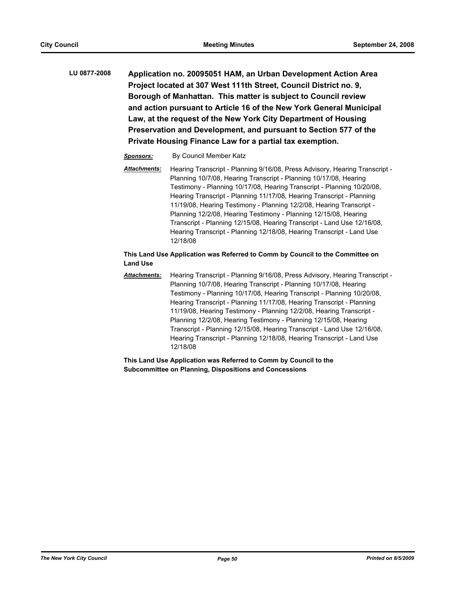**LU 0877-2008 Application no. 20095051 HAM, an Urban Development Action Area Project located at 307 West 111th Street, Council District no. 9, Borough of Manhattan. This matter is subject to Council review and action pursuant to Article 16 of the New York General Municipal Law, at the request of the New York City Department of Housing Preservation and Development, and pursuant to Section 577 of the Private Housing Finance Law for a partial tax exemption.**

## *Sponsors:* By Council Member Katz

*Attachments:* Hearing Transcript - Planning 9/16/08, Press Advisory, Hearing Transcript - Planning 10/7/08, Hearing Transcript - Planning 10/17/08, Hearing Testimony - Planning 10/17/08, Hearing Transcript - Planning 10/20/08, Hearing Transcript - Planning 11/17/08, Hearing Transcript - Planning 11/19/08, Hearing Testimony - Planning 12/2/08, Hearing Transcript - Planning 12/2/08, Hearing Testimony - Planning 12/15/08, Hearing Transcript - Planning 12/15/08, Hearing Transcript - Land Use 12/16/08, Hearing Transcript - Planning 12/18/08, Hearing Transcript - Land Use 12/18/08

## **This Land Use Application was Referred to Comm by Council to the Committee on Land Use**

*Attachments:* Hearing Transcript - Planning 9/16/08, Press Advisory, Hearing Transcript - Planning 10/7/08, Hearing Transcript - Planning 10/17/08, Hearing Testimony - Planning 10/17/08, Hearing Transcript - Planning 10/20/08, Hearing Transcript - Planning 11/17/08, Hearing Transcript - Planning 11/19/08, Hearing Testimony - Planning 12/2/08, Hearing Transcript - Planning 12/2/08, Hearing Testimony - Planning 12/15/08, Hearing Transcript - Planning 12/15/08, Hearing Transcript - Land Use 12/16/08, Hearing Transcript - Planning 12/18/08, Hearing Transcript - Land Use 12/18/08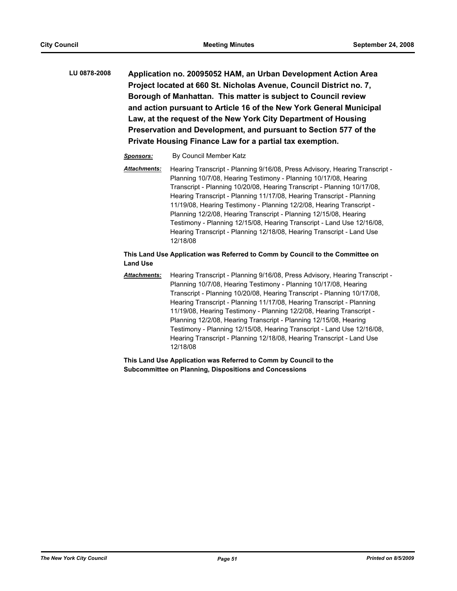**LU 0878-2008 Application no. 20095052 HAM, an Urban Development Action Area Project located at 660 St. Nicholas Avenue, Council District no. 7, Borough of Manhattan. This matter is subject to Council review and action pursuant to Article 16 of the New York General Municipal Law, at the request of the New York City Department of Housing Preservation and Development, and pursuant to Section 577 of the Private Housing Finance Law for a partial tax exemption.**

## *Sponsors:* By Council Member Katz

*Attachments:* Hearing Transcript - Planning 9/16/08, Press Advisory, Hearing Transcript - Planning 10/7/08, Hearing Testimony - Planning 10/17/08, Hearing Transcript - Planning 10/20/08, Hearing Transcript - Planning 10/17/08, Hearing Transcript - Planning 11/17/08, Hearing Transcript - Planning 11/19/08, Hearing Testimony - Planning 12/2/08, Hearing Transcript - Planning 12/2/08, Hearing Transcript - Planning 12/15/08, Hearing Testimony - Planning 12/15/08, Hearing Transcript - Land Use 12/16/08, Hearing Transcript - Planning 12/18/08, Hearing Transcript - Land Use 12/18/08

## **This Land Use Application was Referred to Comm by Council to the Committee on Land Use**

*Attachments:* Hearing Transcript - Planning 9/16/08, Press Advisory, Hearing Transcript - Planning 10/7/08, Hearing Testimony - Planning 10/17/08, Hearing Transcript - Planning 10/20/08, Hearing Transcript - Planning 10/17/08, Hearing Transcript - Planning 11/17/08, Hearing Transcript - Planning 11/19/08, Hearing Testimony - Planning 12/2/08, Hearing Transcript - Planning 12/2/08, Hearing Transcript - Planning 12/15/08, Hearing Testimony - Planning 12/15/08, Hearing Transcript - Land Use 12/16/08, Hearing Transcript - Planning 12/18/08, Hearing Transcript - Land Use 12/18/08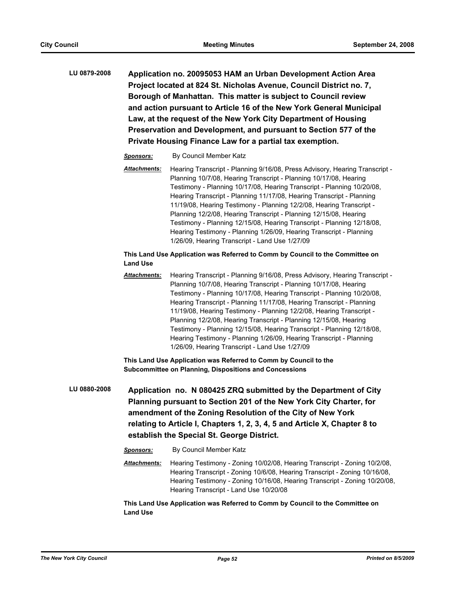**LU 0879-2008 Application no. 20095053 HAM an Urban Development Action Area Project located at 824 St. Nicholas Avenue, Council District no. 7, Borough of Manhattan. This matter is subject to Council review and action pursuant to Article 16 of the New York General Municipal Law, at the request of the New York City Department of Housing Preservation and Development, and pursuant to Section 577 of the Private Housing Finance Law for a partial tax exemption.**

## *Sponsors:* By Council Member Katz

*Attachments:* Hearing Transcript - Planning 9/16/08, Press Advisory, Hearing Transcript - Planning 10/7/08, Hearing Transcript - Planning 10/17/08, Hearing Testimony - Planning 10/17/08, Hearing Transcript - Planning 10/20/08, Hearing Transcript - Planning 11/17/08, Hearing Transcript - Planning 11/19/08, Hearing Testimony - Planning 12/2/08, Hearing Transcript - Planning 12/2/08, Hearing Transcript - Planning 12/15/08, Hearing Testimony - Planning 12/15/08, Hearing Transcript - Planning 12/18/08, Hearing Testimony - Planning 1/26/09, Hearing Transcript - Planning 1/26/09, Hearing Transcript - Land Use 1/27/09

## **This Land Use Application was Referred to Comm by Council to the Committee on Land Use**

*Attachments:* Hearing Transcript - Planning 9/16/08, Press Advisory, Hearing Transcript - Planning 10/7/08, Hearing Transcript - Planning 10/17/08, Hearing Testimony - Planning 10/17/08, Hearing Transcript - Planning 10/20/08, Hearing Transcript - Planning 11/17/08, Hearing Transcript - Planning 11/19/08, Hearing Testimony - Planning 12/2/08, Hearing Transcript - Planning 12/2/08, Hearing Transcript - Planning 12/15/08, Hearing Testimony - Planning 12/15/08, Hearing Transcript - Planning 12/18/08, Hearing Testimony - Planning 1/26/09, Hearing Transcript - Planning 1/26/09, Hearing Transcript - Land Use 1/27/09

**This Land Use Application was Referred to Comm by Council to the Subcommittee on Planning, Dispositions and Concessions**

**LU 0880-2008 Application no. N 080425 ZRQ submitted by the Department of City Planning pursuant to Section 201 of the New York City Charter, for amendment of the Zoning Resolution of the City of New York relating to Article I, Chapters 1, 2, 3, 4, 5 and Article X, Chapter 8 to establish the Special St. George District.**

#### *Sponsors:* By Council Member Katz

*Attachments:* Hearing Testimony - Zoning 10/02/08, Hearing Transcript - Zoning 10/2/08, Hearing Transcript - Zoning 10/6/08, Hearing Transcript - Zoning 10/16/08, Hearing Testimony - Zoning 10/16/08, Hearing Transcript - Zoning 10/20/08, Hearing Transcript - Land Use 10/20/08

**This Land Use Application was Referred to Comm by Council to the Committee on Land Use**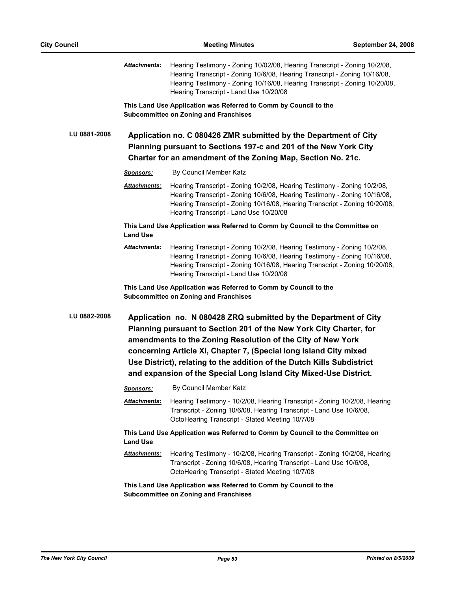|              | Attachments:     | Hearing Testimony - Zoning 10/02/08, Hearing Transcript - Zoning 10/2/08,<br>Hearing Transcript - Zoning 10/6/08, Hearing Transcript - Zoning 10/16/08,<br>Hearing Testimony - Zoning 10/16/08, Hearing Transcript - Zoning 10/20/08,<br>Hearing Transcript - Land Use 10/20/08                                                                                                                                           |
|--------------|------------------|---------------------------------------------------------------------------------------------------------------------------------------------------------------------------------------------------------------------------------------------------------------------------------------------------------------------------------------------------------------------------------------------------------------------------|
|              |                  | This Land Use Application was Referred to Comm by Council to the<br><b>Subcommittee on Zoning and Franchises</b>                                                                                                                                                                                                                                                                                                          |
| LU 0881-2008 |                  | Application no. C 080426 ZMR submitted by the Department of City<br>Planning pursuant to Sections 197-c and 201 of the New York City<br>Charter for an amendment of the Zoning Map, Section No. 21c.                                                                                                                                                                                                                      |
|              | <u>Sponsors:</u> | By Council Member Katz                                                                                                                                                                                                                                                                                                                                                                                                    |
|              | Attachments:     | Hearing Transcript - Zoning 10/2/08, Hearing Testimony - Zoning 10/2/08,<br>Hearing Transcript - Zoning 10/6/08, Hearing Testimony - Zoning 10/16/08,<br>Hearing Transcript - Zoning 10/16/08, Hearing Transcript - Zoning 10/20/08,<br>Hearing Transcript - Land Use 10/20/08                                                                                                                                            |
|              | <b>Land Use</b>  | This Land Use Application was Referred to Comm by Council to the Committee on                                                                                                                                                                                                                                                                                                                                             |
|              | Attachments:     | Hearing Transcript - Zoning 10/2/08, Hearing Testimony - Zoning 10/2/08,<br>Hearing Transcript - Zoning 10/6/08, Hearing Testimony - Zoning 10/16/08,<br>Hearing Transcript - Zoning 10/16/08, Hearing Transcript - Zoning 10/20/08,<br>Hearing Transcript - Land Use 10/20/08                                                                                                                                            |
|              |                  | This Land Use Application was Referred to Comm by Council to the<br><b>Subcommittee on Zoning and Franchises</b>                                                                                                                                                                                                                                                                                                          |
|              |                  |                                                                                                                                                                                                                                                                                                                                                                                                                           |
| LU 0882-2008 |                  | Application no. N 080428 ZRQ submitted by the Department of City<br>Planning pursuant to Section 201 of the New York City Charter, for<br>amendments to the Zoning Resolution of the City of New York<br>concerning Article XI, Chapter 7, (Special long Island City mixed<br>Use District), relating to the addition of the Dutch Kills Subdistrict<br>and expansion of the Special Long Island City Mixed-Use District. |
|              | <b>Sponsors:</b> | By Council Member Katz                                                                                                                                                                                                                                                                                                                                                                                                    |
|              | Attachments:     | Hearing Testimony - 10/2/08, Hearing Transcript - Zoning 10/2/08, Hearing<br>Transcript - Zoning 10/6/08, Hearing Transcript - Land Use 10/6/08,<br>OctoHearing Transcript - Stated Meeting 10/7/08                                                                                                                                                                                                                       |
|              | <b>Land Use</b>  | This Land Use Application was Referred to Comm by Council to the Committee on                                                                                                                                                                                                                                                                                                                                             |
|              | Attachments:     | Hearing Testimony - 10/2/08, Hearing Transcript - Zoning 10/2/08, Hearing<br>Transcript - Zoning 10/6/08, Hearing Transcript - Land Use 10/6/08,<br>OctoHearing Transcript - Stated Meeting 10/7/08                                                                                                                                                                                                                       |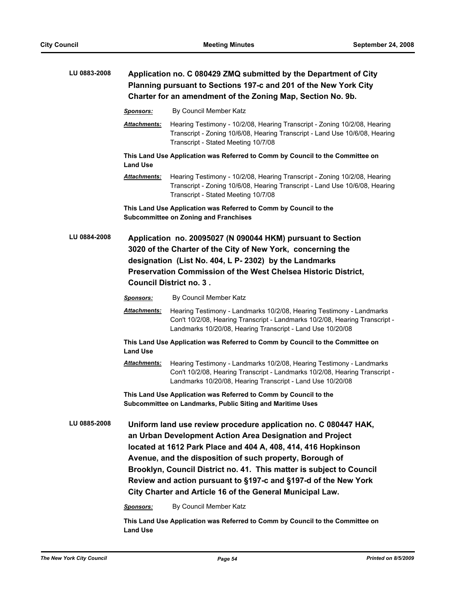| LU 0883-2008 | Application no. C 080429 ZMQ submitted by the Department of City<br>Planning pursuant to Sections 197-c and 201 of the New York City<br>Charter for an amendment of the Zoning Map, Section No. 9b. |                                                                                                                                                                                                                                                                                                                                                                                                                                                                                            |  |
|--------------|-----------------------------------------------------------------------------------------------------------------------------------------------------------------------------------------------------|--------------------------------------------------------------------------------------------------------------------------------------------------------------------------------------------------------------------------------------------------------------------------------------------------------------------------------------------------------------------------------------------------------------------------------------------------------------------------------------------|--|
|              | <b>Sponsors:</b>                                                                                                                                                                                    | By Council Member Katz                                                                                                                                                                                                                                                                                                                                                                                                                                                                     |  |
|              | <u> Attachments:</u>                                                                                                                                                                                | Hearing Testimony - 10/2/08, Hearing Transcript - Zoning 10/2/08, Hearing<br>Transcript - Zoning 10/6/08, Hearing Transcript - Land Use 10/6/08, Hearing<br>Transcript - Stated Meeting 10/7/08                                                                                                                                                                                                                                                                                            |  |
|              | <b>Land Use</b>                                                                                                                                                                                     | This Land Use Application was Referred to Comm by Council to the Committee on                                                                                                                                                                                                                                                                                                                                                                                                              |  |
|              | <u> Attachments:</u>                                                                                                                                                                                | Hearing Testimony - 10/2/08, Hearing Transcript - Zoning 10/2/08, Hearing<br>Transcript - Zoning 10/6/08, Hearing Transcript - Land Use 10/6/08, Hearing<br>Transcript - Stated Meeting 10/7/08                                                                                                                                                                                                                                                                                            |  |
|              |                                                                                                                                                                                                     | This Land Use Application was Referred to Comm by Council to the<br><b>Subcommittee on Zoning and Franchises</b>                                                                                                                                                                                                                                                                                                                                                                           |  |
| LU 0884-2008 |                                                                                                                                                                                                     | Application no. 20095027 (N 090044 HKM) pursuant to Section<br>3020 of the Charter of the City of New York, concerning the<br>designation (List No. 404, L P- 2302) by the Landmarks<br>Preservation Commission of the West Chelsea Historic District,<br><b>Council District no. 3.</b>                                                                                                                                                                                                   |  |
|              | <b>Sponsors:</b>                                                                                                                                                                                    | By Council Member Katz                                                                                                                                                                                                                                                                                                                                                                                                                                                                     |  |
|              | Attachments:                                                                                                                                                                                        | Hearing Testimony - Landmarks 10/2/08, Hearing Testimony - Landmarks<br>Con't 10/2/08, Hearing Transcript - Landmarks 10/2/08, Hearing Transcript -<br>Landmarks 10/20/08, Hearing Transcript - Land Use 10/20/08                                                                                                                                                                                                                                                                          |  |
|              | <b>Land Use</b>                                                                                                                                                                                     | This Land Use Application was Referred to Comm by Council to the Committee on                                                                                                                                                                                                                                                                                                                                                                                                              |  |
|              | Attachments:                                                                                                                                                                                        | Hearing Testimony - Landmarks 10/2/08, Hearing Testimony - Landmarks<br>Con't 10/2/08, Hearing Transcript - Landmarks 10/2/08, Hearing Transcript -<br>Landmarks 10/20/08, Hearing Transcript - Land Use 10/20/08                                                                                                                                                                                                                                                                          |  |
|              |                                                                                                                                                                                                     | This Land Use Application was Referred to Comm by Council to the<br>Subcommittee on Landmarks, Public Siting and Maritime Uses                                                                                                                                                                                                                                                                                                                                                             |  |
| LU 0885-2008 | Sponsors:                                                                                                                                                                                           | Uniform land use review procedure application no. C 080447 HAK,<br>an Urban Development Action Area Designation and Project<br>located at 1612 Park Place and 404 A, 408, 414, 416 Hopkinson<br>Avenue, and the disposition of such property, Borough of<br>Brooklyn, Council District no. 41. This matter is subject to Council<br>Review and action pursuant to §197-c and §197-d of the New York<br>City Charter and Article 16 of the General Municipal Law.<br>By Council Member Katz |  |

**This Land Use Application was Referred to Comm by Council to the Committee on Land Use**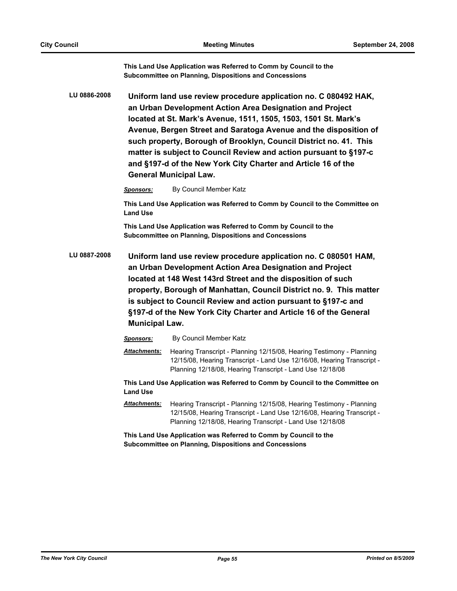**This Land Use Application was Referred to Comm by Council to the Subcommittee on Planning, Dispositions and Concessions**

**LU 0886-2008 Uniform land use review procedure application no. C 080492 HAK, an Urban Development Action Area Designation and Project located at St. Mark's Avenue, 1511, 1505, 1503, 1501 St. Mark's Avenue, Bergen Street and Saratoga Avenue and the disposition of such property, Borough of Brooklyn, Council District no. 41. This matter is subject to Council Review and action pursuant to §197-c and §197-d of the New York City Charter and Article 16 of the General Municipal Law.**

*Sponsors:* By Council Member Katz

**This Land Use Application was Referred to Comm by Council to the Committee on Land Use**

**This Land Use Application was Referred to Comm by Council to the Subcommittee on Planning, Dispositions and Concessions**

**LU 0887-2008 Uniform land use review procedure application no. C 080501 HAM, an Urban Development Action Area Designation and Project located at 148 West 143rd Street and the disposition of such property, Borough of Manhattan, Council District no. 9. This matter is subject to Council Review and action pursuant to §197-c and §197-d of the New York City Charter and Article 16 of the General Municipal Law.**

*Sponsors:* By Council Member Katz

*Attachments:* Hearing Transcript - Planning 12/15/08, Hearing Testimony - Planning 12/15/08, Hearing Transcript - Land Use 12/16/08, Hearing Transcript - Planning 12/18/08, Hearing Transcript - Land Use 12/18/08

**This Land Use Application was Referred to Comm by Council to the Committee on Land Use**

*Attachments:* Hearing Transcript - Planning 12/15/08, Hearing Testimony - Planning 12/15/08, Hearing Transcript - Land Use 12/16/08, Hearing Transcript - Planning 12/18/08, Hearing Transcript - Land Use 12/18/08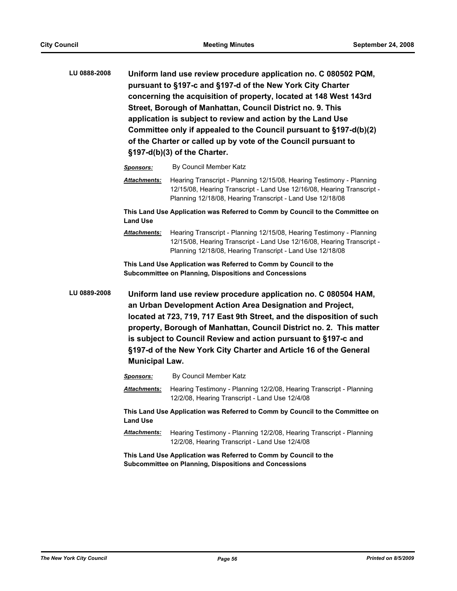**LU 0888-2008 Uniform land use review procedure application no. C 080502 PQM, pursuant to §197-c and §197-d of the New York City Charter concerning the acquisition of property, located at 148 West 143rd Street, Borough of Manhattan, Council District no. 9. This application is subject to review and action by the Land Use Committee only if appealed to the Council pursuant to §197-d(b)(2) of the Charter or called up by vote of the Council pursuant to §197-d(b)(3) of the Charter.**

*Sponsors:* By Council Member Katz

*Attachments:* Hearing Transcript - Planning 12/15/08, Hearing Testimony - Planning 12/15/08, Hearing Transcript - Land Use 12/16/08, Hearing Transcript - Planning 12/18/08, Hearing Transcript - Land Use 12/18/08

**This Land Use Application was Referred to Comm by Council to the Committee on Land Use**

*Attachments:* Hearing Transcript - Planning 12/15/08, Hearing Testimony - Planning 12/15/08, Hearing Transcript - Land Use 12/16/08, Hearing Transcript - Planning 12/18/08, Hearing Transcript - Land Use 12/18/08

**This Land Use Application was Referred to Comm by Council to the Subcommittee on Planning, Dispositions and Concessions**

**LU 0889-2008 Uniform land use review procedure application no. C 080504 HAM, an Urban Development Action Area Designation and Project, located at 723, 719, 717 East 9th Street, and the disposition of such property, Borough of Manhattan, Council District no. 2. This matter is subject to Council Review and action pursuant to §197-c and §197-d of the New York City Charter and Article 16 of the General Municipal Law.**

*Sponsors:* By Council Member Katz

*Attachments:* Hearing Testimony - Planning 12/2/08, Hearing Transcript - Planning 12/2/08, Hearing Transcript - Land Use 12/4/08

**This Land Use Application was Referred to Comm by Council to the Committee on Land Use**

*Attachments:* Hearing Testimony - Planning 12/2/08, Hearing Transcript - Planning 12/2/08, Hearing Transcript - Land Use 12/4/08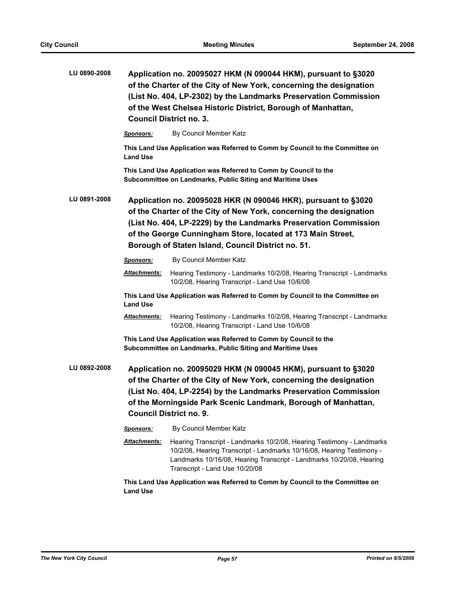| LU 0890-2008 | Application no. 20095027 HKM (N 090044 HKM), pursuant to §3020<br>of the Charter of the City of New York, concerning the designation<br>(List No. 404, LP-2302) by the Landmarks Preservation Commission<br>of the West Chelsea Historic District, Borough of Manhattan,<br><b>Council District no. 3.</b>                    |                                                                                                                                                                                                                                                                                                              |
|--------------|-------------------------------------------------------------------------------------------------------------------------------------------------------------------------------------------------------------------------------------------------------------------------------------------------------------------------------|--------------------------------------------------------------------------------------------------------------------------------------------------------------------------------------------------------------------------------------------------------------------------------------------------------------|
|              | <b>Sponsors:</b>                                                                                                                                                                                                                                                                                                              | By Council Member Katz                                                                                                                                                                                                                                                                                       |
|              | <b>Land Use</b>                                                                                                                                                                                                                                                                                                               | This Land Use Application was Referred to Comm by Council to the Committee on                                                                                                                                                                                                                                |
|              |                                                                                                                                                                                                                                                                                                                               | This Land Use Application was Referred to Comm by Council to the<br>Subcommittee on Landmarks, Public Siting and Maritime Uses                                                                                                                                                                               |
| LU 0891-2008 | Application no. 20095028 HKR (N 090046 HKR), pursuant to §3020<br>of the Charter of the City of New York, concerning the designation<br>(List No. 404, LP-2229) by the Landmarks Preservation Commission<br>of the George Cunningham Store, located at 173 Main Street,<br>Borough of Staten Island, Council District no. 51. |                                                                                                                                                                                                                                                                                                              |
|              | <b>Sponsors:</b>                                                                                                                                                                                                                                                                                                              | By Council Member Katz                                                                                                                                                                                                                                                                                       |
|              | <b>Attachments:</b>                                                                                                                                                                                                                                                                                                           | Hearing Testimony - Landmarks 10/2/08, Hearing Transcript - Landmarks<br>10/2/08, Hearing Transcript - Land Use 10/6/08                                                                                                                                                                                      |
|              | <b>Land Use</b>                                                                                                                                                                                                                                                                                                               | This Land Use Application was Referred to Comm by Council to the Committee on                                                                                                                                                                                                                                |
|              | Attachments:                                                                                                                                                                                                                                                                                                                  | Hearing Testimony - Landmarks 10/2/08, Hearing Transcript - Landmarks<br>10/2/08, Hearing Transcript - Land Use 10/6/08                                                                                                                                                                                      |
|              | This Land Use Application was Referred to Comm by Council to the<br>Subcommittee on Landmarks, Public Siting and Maritime Uses                                                                                                                                                                                                |                                                                                                                                                                                                                                                                                                              |
| LU 0892-2008 |                                                                                                                                                                                                                                                                                                                               | Application no. 20095029 HKM (N 090045 HKM), pursuant to §3020<br>of the Charter of the City of New York, concerning the designation<br>(List No. 404, LP-2254) by the Landmarks Preservation Commission<br>of the Morningside Park Scenic Landmark, Borough of Manhattan,<br><b>Council District no. 9.</b> |
|              | <b>Sponsors:</b>                                                                                                                                                                                                                                                                                                              | By Council Member Katz                                                                                                                                                                                                                                                                                       |
|              | Attachments:                                                                                                                                                                                                                                                                                                                  | Hearing Transcript - Landmarks 10/2/08, Hearing Testimony - Landmarks<br>10/2/08, Hearing Transcript - Landmarks 10/16/08, Hearing Testimony -<br>Landmarks 10/16/08, Hearing Transcript - Landmarks 10/20/08, Hearing<br>Transcript - Land Use 10/20/08                                                     |
|              |                                                                                                                                                                                                                                                                                                                               |                                                                                                                                                                                                                                                                                                              |

**This Land Use Application was Referred to Comm by Council to the Committee on Land Use**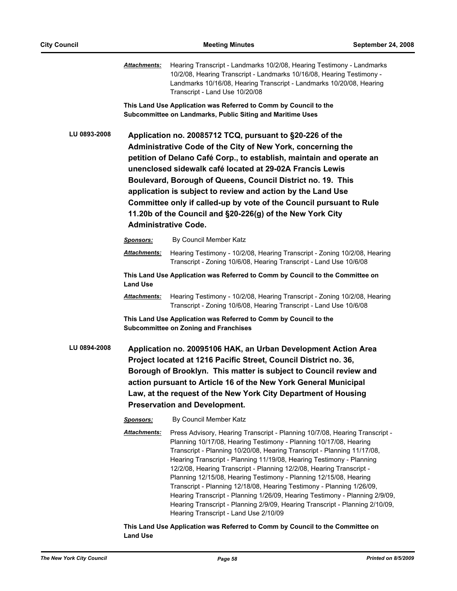*Attachments:* Hearing Transcript - Landmarks 10/2/08, Hearing Testimony - Landmarks 10/2/08, Hearing Transcript - Landmarks 10/16/08, Hearing Testimony - Landmarks 10/16/08, Hearing Transcript - Landmarks 10/20/08, Hearing Transcript - Land Use 10/20/08

**This Land Use Application was Referred to Comm by Council to the Subcommittee on Landmarks, Public Siting and Maritime Uses**

**LU 0893-2008 Application no. 20085712 TCQ, pursuant to §20-226 of the Administrative Code of the City of New York, concerning the petition of Delano Café Corp., to establish, maintain and operate an unenclosed sidewalk café located at 29-02A Francis Lewis Boulevard, Borough of Queens, Council District no. 19. This application is subject to review and action by the Land Use Committee only if called-up by vote of the Council pursuant to Rule 11.20b of the Council and §20-226(g) of the New York City Administrative Code.**

> *Sponsors:* By Council Member Katz *Attachments:* Hearing Testimony - 10/2/08, Hearing Transcript - Zoning 10/2/08, Hearing Transcript - Zoning 10/6/08, Hearing Transcript - Land Use 10/6/08 **This Land Use Application was Referred to Comm by Council to the Committee on Land Use**

*Attachments:* Hearing Testimony - 10/2/08, Hearing Transcript - Zoning 10/2/08, Hearing Transcript - Zoning 10/6/08, Hearing Transcript - Land Use 10/6/08

**This Land Use Application was Referred to Comm by Council to the Subcommittee on Zoning and Franchises**

**LU 0894-2008 Application no. 20095106 HAK, an Urban Development Action Area Project located at 1216 Pacific Street, Council District no. 36, Borough of Brooklyn. This matter is subject to Council review and action pursuant to Article 16 of the New York General Municipal Law, at the request of the New York City Department of Housing Preservation and Development.**

*Sponsors:* By Council Member Katz

*Attachments:* Press Advisory, Hearing Transcript - Planning 10/7/08, Hearing Transcript - Planning 10/17/08, Hearing Testimony - Planning 10/17/08, Hearing Transcript - Planning 10/20/08, Hearing Transcript - Planning 11/17/08, Hearing Transcript - Planning 11/19/08, Hearing Testimony - Planning 12/2/08, Hearing Transcript - Planning 12/2/08, Hearing Transcript - Planning 12/15/08, Hearing Testimony - Planning 12/15/08, Hearing Transcript - Planning 12/18/08, Hearing Testimony - Planning 1/26/09, Hearing Transcript - Planning 1/26/09, Hearing Testimony - Planning 2/9/09, Hearing Transcript - Planning 2/9/09, Hearing Transcript - Planning 2/10/09, Hearing Transcript - Land Use 2/10/09

**This Land Use Application was Referred to Comm by Council to the Committee on Land Use**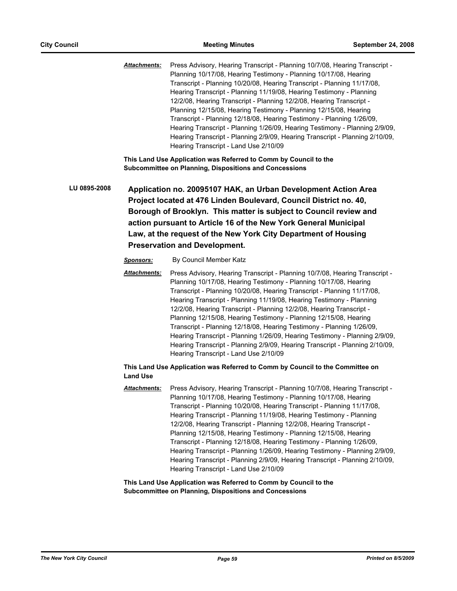*Attachments:* Press Advisory, Hearing Transcript - Planning 10/7/08, Hearing Transcript - Planning 10/17/08, Hearing Testimony - Planning 10/17/08, Hearing Transcript - Planning 10/20/08, Hearing Transcript - Planning 11/17/08, Hearing Transcript - Planning 11/19/08, Hearing Testimony - Planning 12/2/08, Hearing Transcript - Planning 12/2/08, Hearing Transcript - Planning 12/15/08, Hearing Testimony - Planning 12/15/08, Hearing Transcript - Planning 12/18/08, Hearing Testimony - Planning 1/26/09, Hearing Transcript - Planning 1/26/09, Hearing Testimony - Planning 2/9/09, Hearing Transcript - Planning 2/9/09, Hearing Transcript - Planning 2/10/09, Hearing Transcript - Land Use 2/10/09

**This Land Use Application was Referred to Comm by Council to the Subcommittee on Planning, Dispositions and Concessions**

**LU 0895-2008 Application no. 20095107 HAK, an Urban Development Action Area Project located at 476 Linden Boulevard, Council District no. 40, Borough of Brooklyn. This matter is subject to Council review and action pursuant to Article 16 of the New York General Municipal Law, at the request of the New York City Department of Housing Preservation and Development.**

#### *Sponsors:* By Council Member Katz

*Attachments:* Press Advisory, Hearing Transcript - Planning 10/7/08, Hearing Transcript - Planning 10/17/08, Hearing Testimony - Planning 10/17/08, Hearing Transcript - Planning 10/20/08, Hearing Transcript - Planning 11/17/08, Hearing Transcript - Planning 11/19/08, Hearing Testimony - Planning 12/2/08, Hearing Transcript - Planning 12/2/08, Hearing Transcript - Planning 12/15/08, Hearing Testimony - Planning 12/15/08, Hearing Transcript - Planning 12/18/08, Hearing Testimony - Planning 1/26/09, Hearing Transcript - Planning 1/26/09, Hearing Testimony - Planning 2/9/09, Hearing Transcript - Planning 2/9/09, Hearing Transcript - Planning 2/10/09, Hearing Transcript - Land Use 2/10/09

## **This Land Use Application was Referred to Comm by Council to the Committee on Land Use**

*Attachments:* Press Advisory, Hearing Transcript - Planning 10/7/08, Hearing Transcript - Planning 10/17/08, Hearing Testimony - Planning 10/17/08, Hearing Transcript - Planning 10/20/08, Hearing Transcript - Planning 11/17/08, Hearing Transcript - Planning 11/19/08, Hearing Testimony - Planning 12/2/08, Hearing Transcript - Planning 12/2/08, Hearing Transcript - Planning 12/15/08, Hearing Testimony - Planning 12/15/08, Hearing Transcript - Planning 12/18/08, Hearing Testimony - Planning 1/26/09, Hearing Transcript - Planning 1/26/09, Hearing Testimony - Planning 2/9/09, Hearing Transcript - Planning 2/9/09, Hearing Transcript - Planning 2/10/09, Hearing Transcript - Land Use 2/10/09